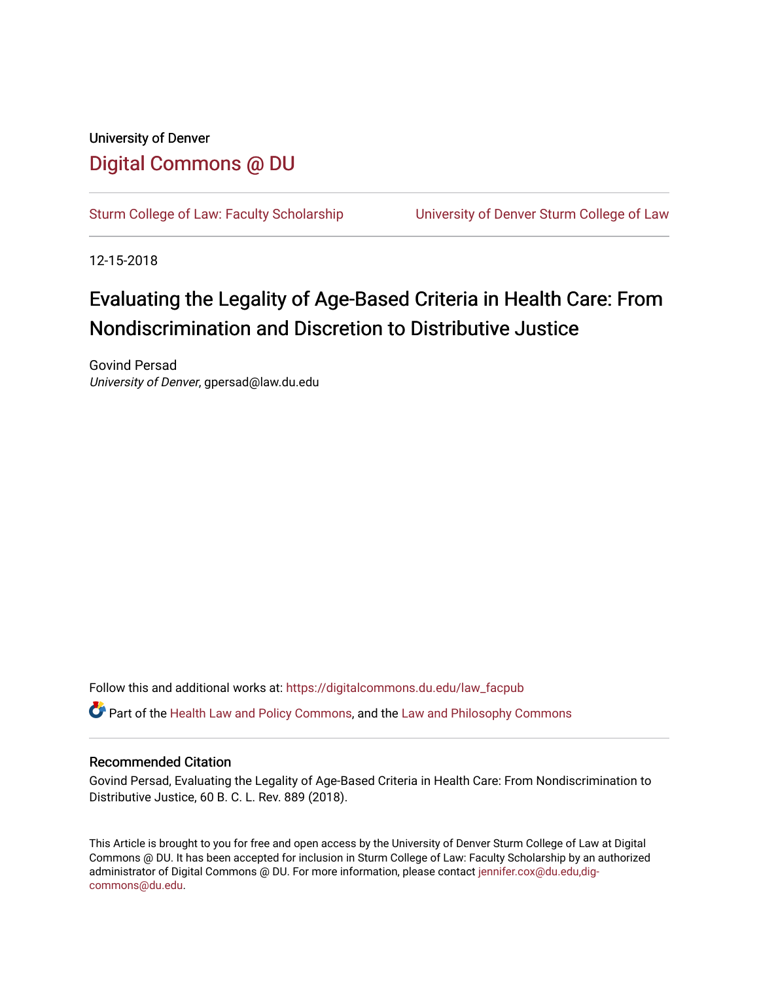# University of Denver [Digital Commons @ DU](https://digitalcommons.du.edu/)

[Sturm College of Law: Faculty Scholarship](https://digitalcommons.du.edu/law_facpub) [University of Denver Sturm College of Law](https://digitalcommons.du.edu/denver_law) 

12-15-2018

# Evaluating the Legality of Age-Based Criteria in Health Care: From Nondiscrimination and Discretion to Distributive Justice

Govind Persad University of Denver, gpersad@law.du.edu

Follow this and additional works at: [https://digitalcommons.du.edu/law\\_facpub](https://digitalcommons.du.edu/law_facpub?utm_source=digitalcommons.du.edu%2Flaw_facpub%2F224&utm_medium=PDF&utm_campaign=PDFCoverPages) 

**C** Part of the [Health Law and Policy Commons](http://network.bepress.com/hgg/discipline/901?utm_source=digitalcommons.du.edu%2Flaw_facpub%2F224&utm_medium=PDF&utm_campaign=PDFCoverPages), and the Law and Philosophy Commons

# Recommended Citation

Govind Persad, Evaluating the Legality of Age-Based Criteria in Health Care: From Nondiscrimination to Distributive Justice, 60 B. C. L. Rev. 889 (2018).

This Article is brought to you for free and open access by the University of Denver Sturm College of Law at Digital Commons @ DU. It has been accepted for inclusion in Sturm College of Law: Faculty Scholarship by an authorized administrator of Digital Commons @ DU. For more information, please contact [jennifer.cox@du.edu,dig](mailto:jennifer.cox@du.edu,dig-commons@du.edu)[commons@du.edu.](mailto:jennifer.cox@du.edu,dig-commons@du.edu)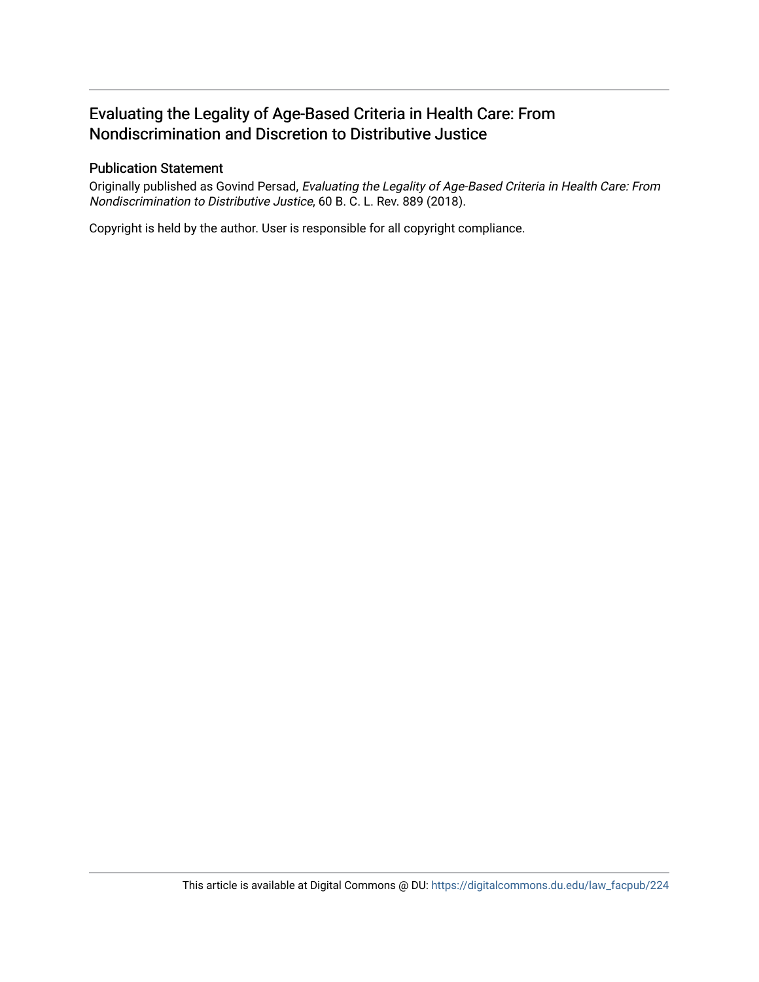# Evaluating the Legality of Age-Based Criteria in Health Care: From Nondiscrimination and Discretion to Distributive Justice

# Publication Statement

Originally published as Govind Persad, Evaluating the Legality of Age-Based Criteria in Health Care: From Nondiscrimination to Distributive Justice, 60 B. C. L. Rev. 889 (2018).

Copyright is held by the author. User is responsible for all copyright compliance.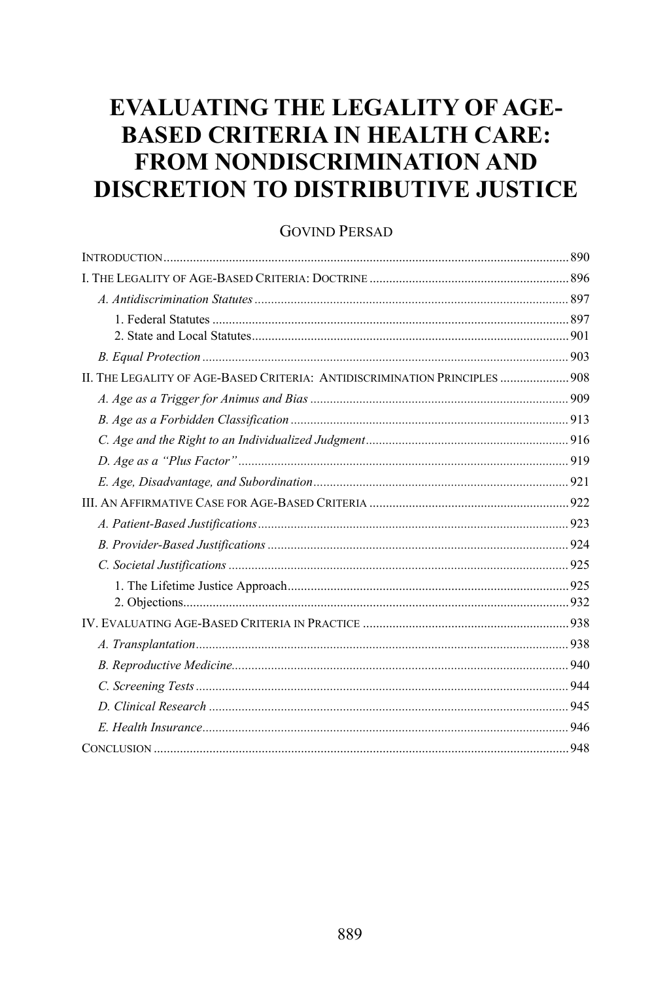# **EVALUATING THE LEGALITY OF AGE-BASED CRITERIA IN HEALTH CARE: FROM NONDISCRIMINATION AND DISCRETION TO DISTRIBUTIVE JUSTICE**

# **GOVIND PERSAD**

| II. THE LEGALITY OF AGE-BASED CRITERIA: ANTIDISCRIMINATION PRINCIPLES  908 |  |
|----------------------------------------------------------------------------|--|
|                                                                            |  |
|                                                                            |  |
|                                                                            |  |
|                                                                            |  |
|                                                                            |  |
|                                                                            |  |
|                                                                            |  |
|                                                                            |  |
|                                                                            |  |
|                                                                            |  |
|                                                                            |  |
|                                                                            |  |
|                                                                            |  |
|                                                                            |  |
|                                                                            |  |
|                                                                            |  |
|                                                                            |  |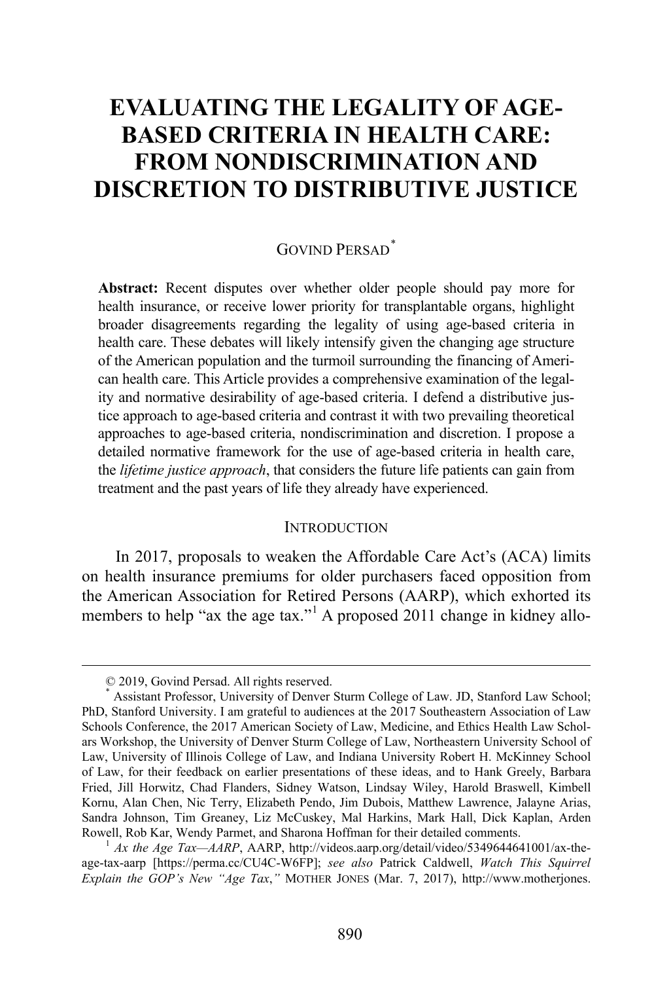# **EVALUATING THE LEGALITY OF AGE-BASED CRITERIA IN HEALTH CARE: FROM NONDISCRIMINATION AND DISCRETION TO DISTRIBUTIVE JUSTICE**

# GOVIND PERSAD[\\*](#page-3-0)

**Abstract:** Recent disputes over whether older people should pay more for health insurance, or receive lower priority for transplantable organs, highlight broader disagreements regarding the legality of using age-based criteria in health care. These debates will likely intensify given the changing age structure of the American population and the turmoil surrounding the financing of American health care. This Article provides a comprehensive examination of the legality and normative desirability of age-based criteria. I defend a distributive justice approach to age-based criteria and contrast it with two prevailing theoretical approaches to age-based criteria, nondiscrimination and discretion. I propose a detailed normative framework for the use of age-based criteria in health care, the *lifetime justice approach*, that considers the future life patients can gain from treatment and the past years of life they already have experienced.

#### <span id="page-3-2"></span>**INTRODUCTION**

In 2017, proposals to weaken the Affordable Care Act's (ACA) limits on health insurance premiums for older purchasers faced opposition from the American Association for Retired Persons (AARP), which exhorted its members to help "ax the age tax."<sup>[1](#page-3-1)</sup> A proposed 2011 change in kidney allo-

 <sup>© 2019,</sup> Govind Persad. All rights reserved.

<span id="page-3-0"></span><sup>\*</sup> Assistant Professor, University of Denver Sturm College of Law. JD, Stanford Law School; PhD, Stanford University. I am grateful to audiences at the 2017 Southeastern Association of Law Schools Conference, the 2017 American Society of Law, Medicine, and Ethics Health Law Scholars Workshop, the University of Denver Sturm College of Law, Northeastern University School of Law, University of Illinois College of Law, and Indiana University Robert H. McKinney School of Law, for their feedback on earlier presentations of these ideas, and to Hank Greely, Barbara Fried, Jill Horwitz, Chad Flanders, Sidney Watson, Lindsay Wiley, Harold Braswell, Kimbell Kornu, Alan Chen, Nic Terry, Elizabeth Pendo, Jim Dubois, Matthew Lawrence, Jalayne Arias, Sandra Johnson, Tim Greaney, Liz McCuskey, Mal Harkins, Mark Hall, Dick Kaplan, Arden Rowell, Rob Kar, Wendy Parmet, and Sharona Hoffman for their detailed comments. <sup>1</sup> *Ax the Age Tax—AARP*, AARP, http://videos.aarp.org/detail/video/5349644641001/ax-the-

<span id="page-3-1"></span>age-tax-aarp [https://perma.cc/CU4C-W6FP]; *see also* Patrick Caldwell, *Watch This Squirrel Explain the GOP's New "Age Tax*,*"* MOTHER JONES (Mar. 7, 2017), http://www.motherjones.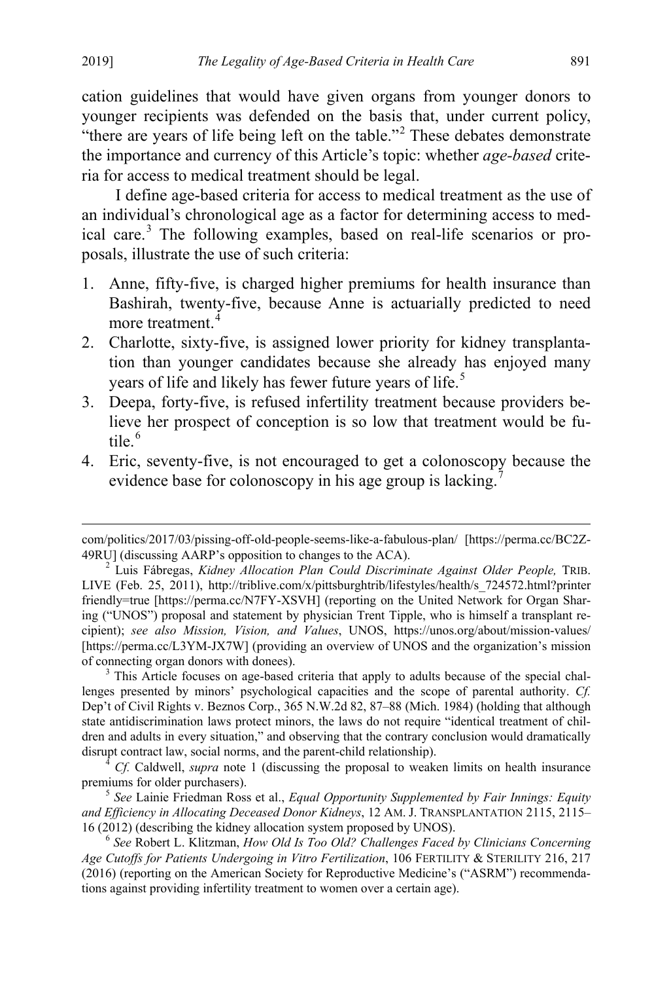cation guidelines that would have given organs from younger donors to younger recipients was defended on the basis that, under current policy, "there are years of life being left on the table."<sup>[2](#page-4-0)</sup> These debates demonstrate the importance and currency of this Article's topic: whether *age-based* criteria for access to medical treatment should be legal.

I define age-based criteria for access to medical treatment as the use of an individual's chronological age as a factor for determining access to med-ical care.<sup>[3](#page-4-1)</sup> The following examples, based on real-life scenarios or proposals, illustrate the use of such criteria:

- 1. Anne, fifty-five, is charged higher premiums for health insurance than Bashirah, twenty-five, because Anne is actuarially predicted to need more treatment.<sup>[4](#page-4-2)</sup>
- 2. Charlotte, sixty-five, is assigned lower priority for kidney transplantation than younger candidates because she already has enjoyed many years of life and likely has fewer future years of life.<sup>[5](#page-4-3)</sup>
- <span id="page-4-6"></span>3. Deepa, forty-five, is refused infertility treatment because providers believe her prospect of conception is so low that treatment would be futile. $6$
- <span id="page-4-8"></span>4. Eric, seventy-five, is not encouraged to get a colonoscopy because the evidence base for colonoscopy in his age group is lacking.<sup>[7](#page-4-5)</sup>

<span id="page-4-7"></span> $\overline{a}$ 

com/politics/2017/03/pissing-off-old-people-seems-like-a-fabulous-plan/ [https://perma.cc/BC2Z-49RU] (discussing AARP's opposition to changes to the ACA). <sup>2</sup> Luis Fábregas, *Kidney Allocation Plan Could Discriminate Against Older People,* TRIB.

<span id="page-4-0"></span>LIVE (Feb. 25, 2011), http://triblive.com/x/pittsburghtrib/lifestyles/health/s\_724572.html?printer friendly=true [https://perma.cc/N7FY-XSVH] (reporting on the United Network for Organ Sharing ("UNOS") proposal and statement by physician Trent Tipple, who is himself a transplant recipient); *see also Mission, Vision, and Values*, UNOS, https://unos.org/about/mission-values/ [https://perma.cc/L3YM-JX7W] (providing an overview of UNOS and the organization's mission of connecting organ donors with donees).<br><sup>3</sup> This Article focuses on age-based criteria that apply to adults because of the special chal-

<span id="page-4-5"></span><span id="page-4-1"></span>lenges presented by minors' psychological capacities and the scope of parental authority. *Cf.* Dep't of Civil Rights v. Beznos Corp., 365 N.W.2d 82, 87–88 (Mich. 1984) (holding that although state antidiscrimination laws protect minors, the laws do not require "identical treatment of children and adults in every situation," and observing that the contrary conclusion would dramatically disrupt contract law, social norms, and the parent-child relationship). <sup>4</sup> *Cf.* Caldwell, *supra* note [1](#page-3-2) (discussing the proposal to weaken limits on health insurance

<span id="page-4-2"></span>premiums for older purchasers).

<span id="page-4-3"></span><sup>&</sup>lt;sup>5</sup> See Lainie Friedman Ross et al., *Equal Opportunity Supplemented by Fair Innings: Equity and Efficiency in Allocating Deceased Donor Kidneys*, 12 AM. J. TRANSPLANTATION 2115, 2115– 16 (2012) (describing the kidney allocation system proposed by UNOS). <sup>6</sup>

<span id="page-4-4"></span>*See* Robert L. Klitzman, *How Old Is Too Old? Challenges Faced by Clinicians Concerning Age Cutoffs for Patients Undergoing in Vitro Fertilization*, 106 FERTILITY & STERILITY 216, 217 (2016) (reporting on the American Society for Reproductive Medicine's ("ASRM") recommendations against providing infertility treatment to women over a certain age).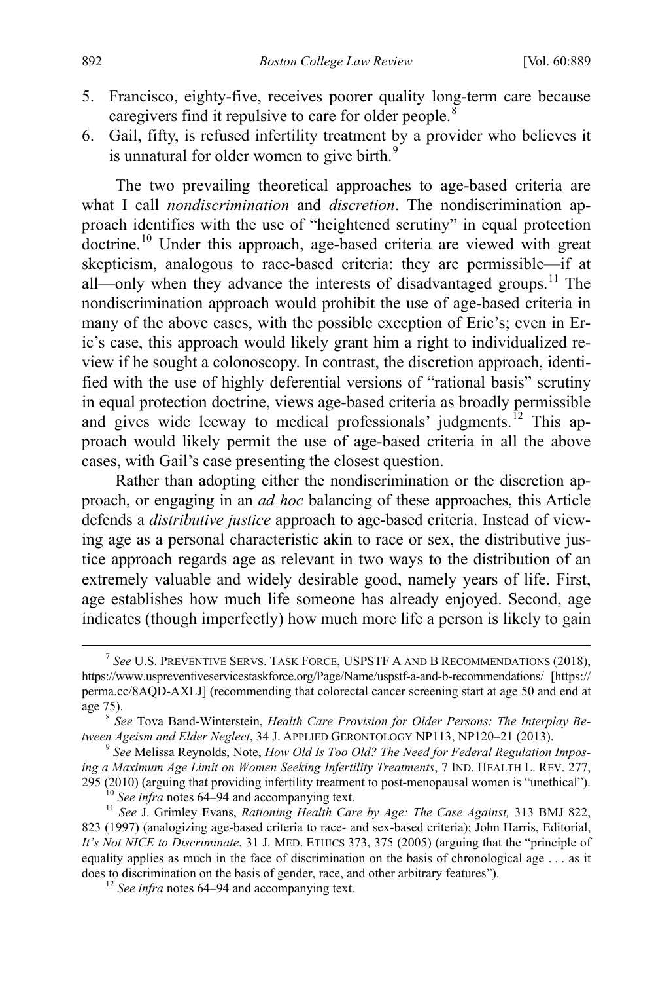- 5. Francisco, eighty-five, receives poorer quality long-term care because caregivers find it repulsive to care for older people.<sup>[8](#page-5-0)</sup>
- <span id="page-5-5"></span>6. Gail, fifty, is refused infertility treatment by a provider who believes it is unnatural for older women to give birth.<sup>[9](#page-5-1)</sup>

<span id="page-5-6"></span>The two prevailing theoretical approaches to age-based criteria are what I call *nondiscrimination* and *discretion*. The nondiscrimination approach identifies with the use of "heightened scrutiny" in equal protection doctrine. [10](#page-5-2) Under this approach, age-based criteria are viewed with great skepticism, analogous to race-based criteria: they are permissible—if at all—only when they advance the interests of disadvantaged groups.<sup>[11](#page-5-3)</sup> The nondiscrimination approach would prohibit the use of age-based criteria in many of the above cases, with the possible exception of Eric's; even in Eric's case, this approach would likely grant him a right to individualized review if he sought a colonoscopy. In contrast, the discretion approach, identified with the use of highly deferential versions of "rational basis" scrutiny in equal protection doctrine, views age-based criteria as broadly permissible and gives wide leeway to medical professionals' judgments.<sup> $12$ </sup> This approach would likely permit the use of age-based criteria in all the above cases, with Gail's case presenting the closest question.

Rather than adopting either the nondiscrimination or the discretion approach, or engaging in an *ad hoc* balancing of these approaches, this Article defends a *distributive justice* approach to age-based criteria. Instead of viewing age as a personal characteristic akin to race or sex, the distributive justice approach regards age as relevant in two ways to the distribution of an extremely valuable and widely desirable good, namely years of life. First, age establishes how much life someone has already enjoyed. Second, age indicates (though imperfectly) how much more life a person is likely to gain

 $\frac{1}{7}$  *See* U.S. PREVENTIVE SERVS. TASK FORCE, USPSTF A AND B RECOMMENDATIONS (2018), https://www.uspreventiveservicestaskforce.org/Page/Name/uspstf-a-and-b-recommendations/ [https:// perma.cc/8AQD-AXLJ] (recommending that colorectal cancer screening start at age 50 and end at age 75).

<span id="page-5-0"></span>*See* Tova Band-Winterstein, *Health Care Provision for Older Persons: The Interplay Between Ageism and Elder Neglect*, 34 J. APPLIED GERONTOLOGY NP113, NP120-21 (2013).

<span id="page-5-1"></span><sup>&</sup>lt;sup>9</sup> See Melissa Reynolds, Note, *How Old Is Too Old? The Need for Federal Regulation Imposing a Maximum Age Limit on Women Seeking Infertility Treatments*, 7 IND. HEALTH L. REV. 277, 295 (2010) (arguing that providing infertility treatment to post-menopausal women is "unethical").<br><sup>10</sup> See infra note[s 64–](#page-16-0)[94](#page-21-0) and accompanying text.<br><sup>11</sup> See J. Grimley Evans, *Rationing Health Care by Age: The Case Again* 

<span id="page-5-4"></span><span id="page-5-3"></span><span id="page-5-2"></span><sup>823 (1997) (</sup>analogizing age-based criteria to race- and sex-based criteria); John Harris, Editorial, *It's Not NICE to Discriminate*, 31 J. MED. ETHICS 373, 375 (2005) (arguing that the "principle of equality applies as much in the face of discrimination on the basis of chronological age . . . as it does to discrimination on the basis of gender, race, and other arbitrary features"). <sup>12</sup> *See infra* note[s 64–](#page-16-0)[94](#page-21-0) and accompanying text.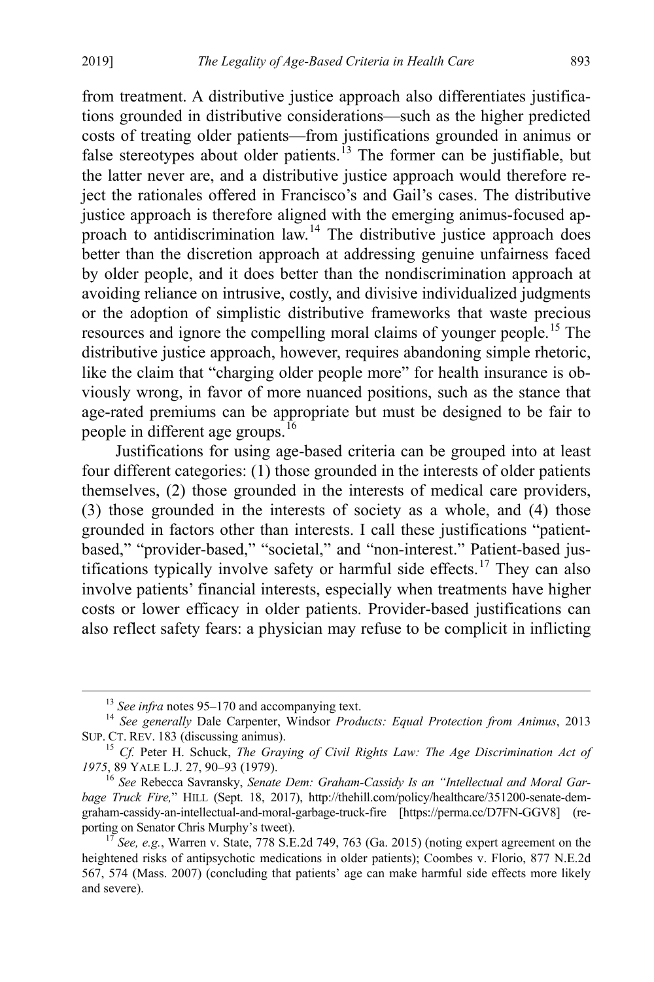<span id="page-6-6"></span>from treatment. A distributive justice approach also differentiates justifications grounded in distributive considerations—such as the higher predicted costs of treating older patients—from justifications grounded in animus or false stereotypes about older patients.<sup>[13](#page-6-0)</sup> The former can be justifiable, but the latter never are, and a distributive justice approach would therefore reject the rationales offered in Francisco's and Gail's cases. The distributive justice approach is therefore aligned with the emerging animus-focused approach to antidiscrimination  $\text{law}$ <sup>[14](#page-6-1)</sup>. The distributive justice approach does better than the discretion approach at addressing genuine unfairness faced by older people, and it does better than the nondiscrimination approach at avoiding reliance on intrusive, costly, and divisive individualized judgments or the adoption of simplistic distributive frameworks that waste precious resources and ignore the compelling moral claims of younger people.<sup>[15](#page-6-2)</sup> The distributive justice approach, however, requires abandoning simple rhetoric, like the claim that "charging older people more" for health insurance is obviously wrong, in favor of more nuanced positions, such as the stance that age-rated premiums can be appropriate but must be designed to be fair to people in different age groups.<sup>[16](#page-6-3)</sup>

<span id="page-6-7"></span><span id="page-6-5"></span>Justifications for using age-based criteria can be grouped into at least four different categories: (1) those grounded in the interests of older patients themselves, (2) those grounded in the interests of medical care providers, (3) those grounded in the interests of society as a whole, and (4) those grounded in factors other than interests. I call these justifications "patientbased," "provider-based," "societal," and "non-interest." Patient-based jus-tifications typically involve safety or harmful side effects.<sup>[17](#page-6-4)</sup> They can also involve patients' financial interests, especially when treatments have higher costs or lower efficacy in older patients. Provider-based justifications can also reflect safety fears: a physician may refuse to be complicit in inflicting

<span id="page-6-1"></span><span id="page-6-0"></span><sup>&</sup>lt;sup>13</sup> *See infra* note[s 95–](#page-22-0)[170](#page-35-0) and accompanying text.<br><sup>14</sup> *See generally Dale Carpenter, Windsor <i>Products: Equal Protection from Animus*, 2013 SUP. CT. REV. 183 (discussing animus). 15 *Cf.* Peter H. Schuck, *The Graying of Civil Rights Law: The Age Discrimination Act of* 

<span id="page-6-2"></span><sup>1975, 89</sup> YALE L.J. 27, 90–93 (1979).<br><sup>16</sup> *See* Rebecca Savransky, *Senate Dem: Graham-Cassidy Is an "Intellectual and Moral Gar-*

<span id="page-6-3"></span>*bage Truck Fire,*" HILL (Sept. 18, 2017), http://thehill.com/policy/healthcare/351200-senate-demgraham-cassidy-an-intellectual-and-moral-garbage-truck-fire [https://perma.cc/D7FN-GGV8] (re-

<span id="page-6-4"></span> $\frac{17}{17}$  See, e.g., Warren v. State, 778 S.E.2d 749, 763 (Ga. 2015) (noting expert agreement on the heightened risks of antipsychotic medications in older patients); Coombes v. Florio, 877 N.E.2d 567, 574 (Mass. 2007) (concluding that patients' age can make harmful side effects more likely and severe).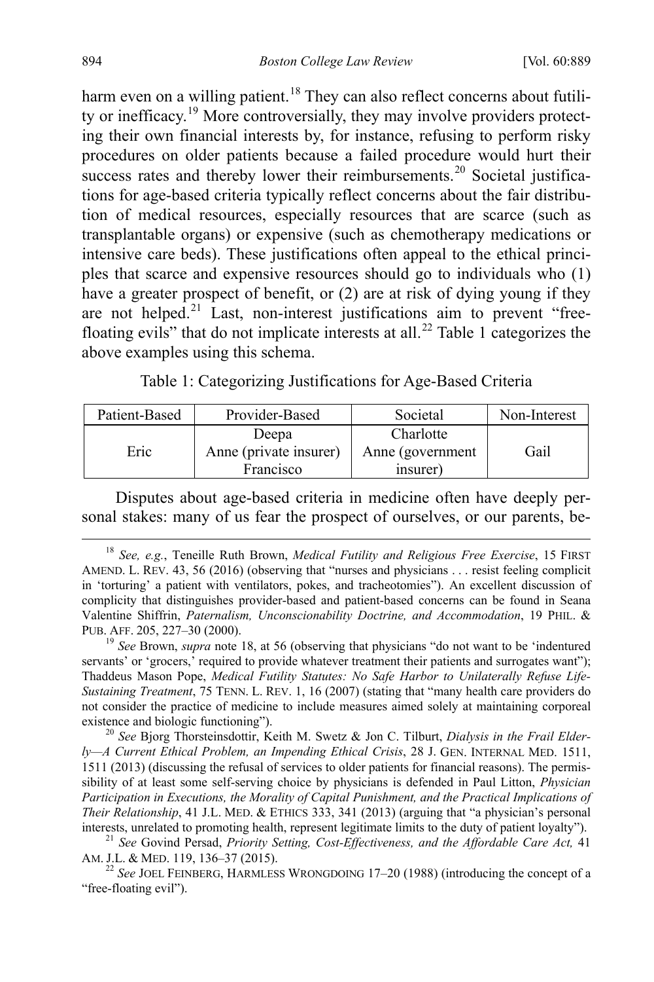<span id="page-7-0"></span>harm even on a willing patient.<sup>[18](#page-7-1)</sup> They can also reflect concerns about futility or inefficacy.[19](#page-7-2) More controversially, they may involve providers protecting their own financial interests by, for instance, refusing to perform risky procedures on older patients because a failed procedure would hurt their success rates and thereby lower their reimbursements.<sup>[20](#page-7-3)</sup> Societal justifications for age-based criteria typically reflect concerns about the fair distribution of medical resources, especially resources that are scarce (such as transplantable organs) or expensive (such as chemotherapy medications or intensive care beds). These justifications often appeal to the ethical principles that scarce and expensive resources should go to individuals who (1) have a greater prospect of benefit, or (2) are at risk of dying young if they are not helped. $21$  Last, non-interest justifications aim to prevent "free-floating evils" that do not implicate interests at all.<sup>[22](#page-7-5)</sup> Table 1 categorizes the above examples using this schema.

<span id="page-7-8"></span><span id="page-7-7"></span><span id="page-7-6"></span>Table 1: Categorizing Justifications for Age-Based Criteria

| Patient-Based | Provider-Based                      | Societal                     | Non-Interest |
|---------------|-------------------------------------|------------------------------|--------------|
| Eric          | Deepa                               | Charlotte                    |              |
|               | Anne (private insurer)<br>Francisco | Anne (government<br>insurer) | Gail         |
|               |                                     |                              |              |

Disputes about age-based criteria in medicine often have deeply personal stakes: many of us fear the prospect of ourselves, or our parents, be-

<span id="page-7-2"></span>servants' or 'grocers,' required to provide whatever treatment their patients and surrogates want"); Thaddeus Mason Pope, *Medical Futility Statutes: No Safe Harbor to Unilaterally Refuse Life-Sustaining Treatment*, 75 TENN. L. REV. 1, 16 (2007) (stating that "many health care providers do not consider the practice of medicine to include measures aimed solely at maintaining corporeal existence and biologic functioning"). <sup>20</sup> *See* Bjorg Thorsteinsdottir, Keith M. Swetz & Jon C. Tilburt, *Dialysis in the Frail Elder-*

<span id="page-7-3"></span>*ly—A Current Ethical Problem, an Impending Ethical Crisis*, 28 J. GEN. INTERNAL MED. 1511, 1511 (2013) (discussing the refusal of services to older patients for financial reasons). The permissibility of at least some self-serving choice by physicians is defended in Paul Litton, *Physician Participation in Executions, the Morality of Capital Punishment, and the Practical Implications of Their Relationship*, 41 J.L. MED. & ETHICS 333, 341 (2013) (arguing that "a physician's personal interests, unrelated to promoting health, represent legitimate limits to the duty of patient loyalty"). <sup>21</sup> *See* Govind Persad, *Priority Setting, Cost-Effectiveness, and the Affordable Care Act,* <sup>41</sup>

<span id="page-7-4"></span>AM. J.L. & MED. 119, 136–37 (2015). <sup>22</sup> *See* JOEL FEINBERG, HARMLESS WRONGDOING 17–20 (1988) (introducing the concept of a

<span id="page-7-5"></span>"free-floating evil").

<span id="page-7-1"></span> <sup>18</sup> *See, e.g.*, Teneille Ruth Brown, *Medical Futility and Religious Free Exercise*, 15 FIRST AMEND. L. REV. 43, 56 (2016) (observing that "nurses and physicians . . . resist feeling complicit in 'torturing' a patient with ventilators, pokes, and tracheotomies"). An excellent discussion of complicity that distinguishes provider-based and patient-based concerns can be found in Seana Valentine Shiffrin, *Paternalism, Unconscionability Doctrine, and Accommodation*, 19 PHIL. & PUB. AFF. 205, 227–30 (2000). <sup>19</sup> *See* Brown, *supra* note [18,](#page-7-0) at 56 (observing that physicians "do not want to be 'indentured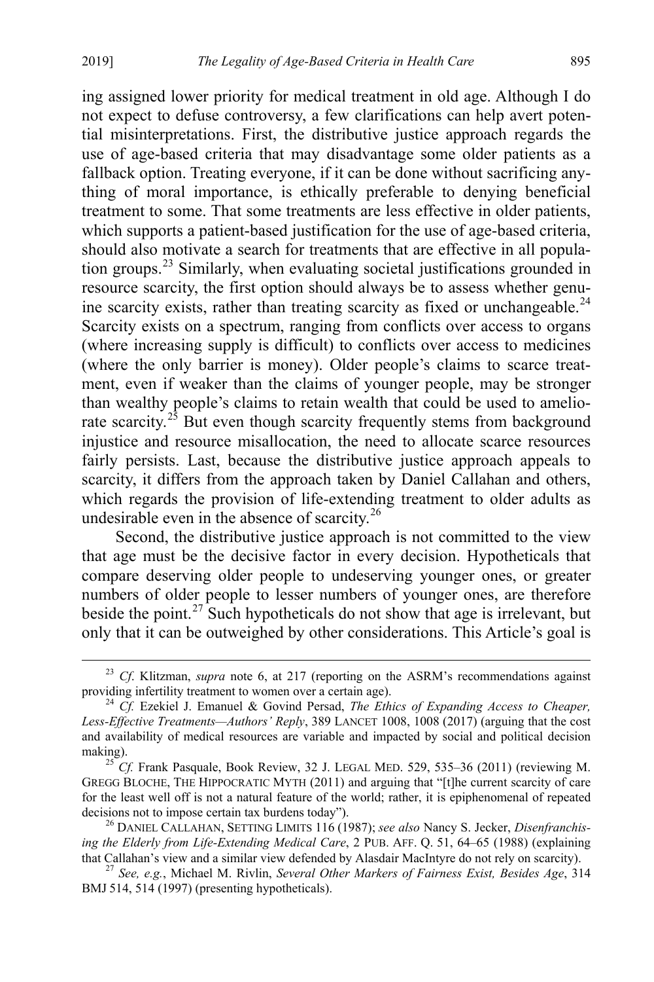ing assigned lower priority for medical treatment in old age. Although I do not expect to defuse controversy, a few clarifications can help avert potential misinterpretations. First, the distributive justice approach regards the use of age-based criteria that may disadvantage some older patients as a fallback option. Treating everyone, if it can be done without sacrificing anything of moral importance, is ethically preferable to denying beneficial treatment to some. That some treatments are less effective in older patients, which supports a patient-based justification for the use of age-based criteria, should also motivate a search for treatments that are effective in all population groups.[23](#page-8-0) Similarly, when evaluating societal justifications grounded in resource scarcity, the first option should always be to assess whether genu-ine scarcity exists, rather than treating scarcity as fixed or unchangeable.<sup>[24](#page-8-1)</sup> Scarcity exists on a spectrum, ranging from conflicts over access to organs (where increasing supply is difficult) to conflicts over access to medicines (where the only barrier is money). Older people's claims to scarce treatment, even if weaker than the claims of younger people, may be stronger than wealthy people's claims to retain wealth that could be used to amelio-rate scarcity.<sup>[25](#page-8-2)</sup> But even though scarcity frequently stems from background injustice and resource misallocation, the need to allocate scarce resources fairly persists. Last, because the distributive justice approach appeals to scarcity, it differs from the approach taken by Daniel Callahan and others, which regards the provision of life-extending treatment to older adults as undesirable even in the absence of scarcity.<sup>[26](#page-8-3)</sup>

<span id="page-8-5"></span>Second, the distributive justice approach is not committed to the view that age must be the decisive factor in every decision. Hypotheticals that compare deserving older people to undeserving younger ones, or greater numbers of older people to lesser numbers of younger ones, are therefore beside the point.<sup>[27](#page-8-4)</sup> Such hypotheticals do not show that age is irrelevant, but only that it can be outweighed by other considerations. This Article's goal is

<span id="page-8-0"></span><sup>&</sup>lt;sup>23</sup> *Cf*. Klitzman, *supra* note 6, at 217 (reporting on the ASRM's recommendations against providing infertility treatment to women over a certain age).

<span id="page-8-1"></span> $^{24}$  *Cf.* Ezekiel J. Emanuel & Govind Persad, *The Ethics of Expanding Access to Cheaper*, *Less-Effective Treatments—Authors' Reply*, 389 LANCET 1008, 1008 (2017) (arguing that the cost and availability of medical resources are variable and impacted by social and political decision making).

<span id="page-8-2"></span><sup>&</sup>lt;sup>25</sup> Cf. Frank Pasquale, Book Review, 32 J. LEGAL MED. 529, 535-36 (2011) (reviewing M. GREGG BLOCHE, THE HIPPOCRATIC MYTH (2011) and arguing that "[t]he current scarcity of care for the least well off is not a natural feature of the world; rather, it is epiphenomenal of repeated decisions not to impose certain tax burdens today").<br><sup>26</sup> DANIEL CALLAHAN, SETTING LIMITS 116 (1987); *see also* Nancy S. Jecker, *Disenfranchis*-

<span id="page-8-3"></span>*ing the Elderly from Life-Extending Medical Care*, 2 PUB. AFF. Q. 51, 64–65 (1988) (explaining that Callahan's view and a similar view defended by Alasdair MacIntyre do not rely on scarcity). <sup>27</sup> *See, e.g.*, Michael M. Rivlin, *Several Other Markers of Fairness Exist, Besides Age*, 314

<span id="page-8-4"></span>BMJ 514, 514 (1997) (presenting hypotheticals).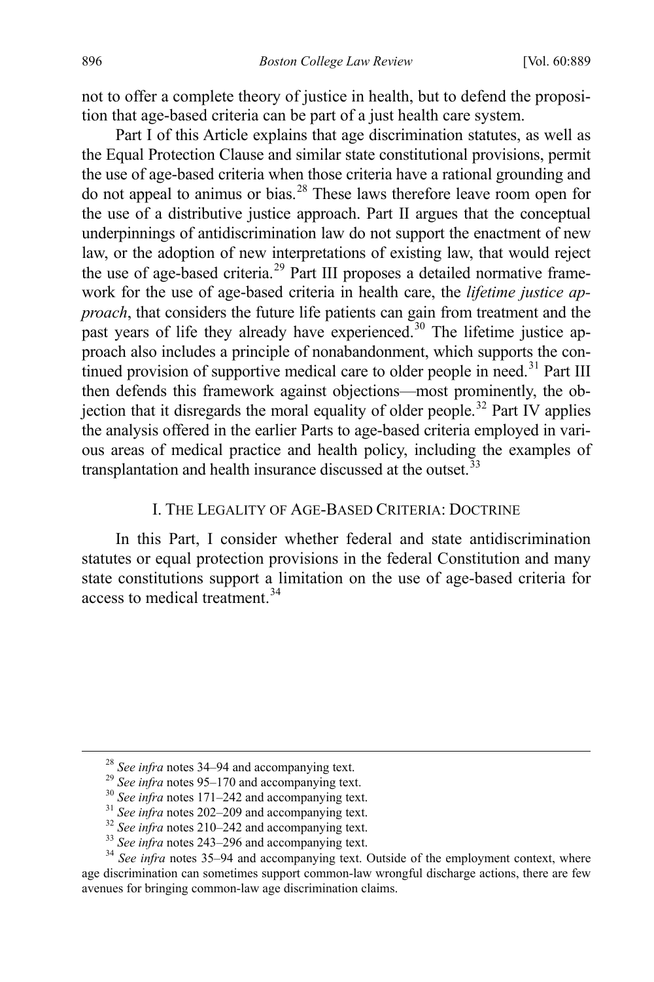not to offer a complete theory of justice in health, but to defend the proposition that age-based criteria can be part of a just health care system.

Part I of this Article explains that age discrimination statutes, as well as the Equal Protection Clause and similar state constitutional provisions, permit the use of age-based criteria when those criteria have a rational grounding and do not appeal to animus or bias.<sup>[28](#page-9-1)</sup> These laws therefore leave room open for the use of a distributive justice approach. Part II argues that the conceptual underpinnings of antidiscrimination law do not support the enactment of new law, or the adoption of new interpretations of existing law, that would reject the use of age-based criteria.<sup>[29](#page-9-2)</sup> Part III proposes a detailed normative framework for the use of age-based criteria in health care, the *lifetime justice approach*, that considers the future life patients can gain from treatment and the past years of life they already have experienced.<sup>[30](#page-9-3)</sup> The lifetime justice approach also includes a principle of nonabandonment, which supports the con-tinued provision of supportive medical care to older people in need.<sup>[31](#page-9-4)</sup> Part III then defends this framework against objections—most prominently, the ob-jection that it disregards the moral equality of older people.<sup>[32](#page-9-5)</sup> Part IV applies the analysis offered in the earlier Parts to age-based criteria employed in various areas of medical practice and health policy, including the examples of transplantation and health insurance discussed at the outset.<sup>[33](#page-9-6)</sup>

# <span id="page-9-0"></span>I. THE LEGALITY OF AGE-BASED CRITERIA: DOCTRINE

In this Part, I consider whether federal and state antidiscrimination statutes or equal protection provisions in the federal Constitution and many state constitutions support a limitation on the use of age-based criteria for access to medical treatment.<sup>[34](#page-9-7)</sup>

<span id="page-9-7"></span><span id="page-9-6"></span>

<span id="page-9-5"></span><span id="page-9-4"></span><span id="page-9-3"></span><span id="page-9-2"></span><span id="page-9-1"></span><sup>&</sup>lt;sup>28</sup> See infra note[s 34–](#page-9-0)[94](#page-21-0) and accompanying text.<br><sup>29</sup> See infra note[s 95–](#page-22-0)[170](#page-35-0) and accompanying text.<br><sup>30</sup> See infra note[s 171](#page-35-1)[–242](#page-51-0) and accompanying text.<br><sup>31</sup> See infra note[s 202](#page-43-0)[–209](#page-45-0) and accompanying text.<br><sup>32</sup> See infra n age discrimination can sometimes support common-law wrongful discharge actions, there are few avenues for bringing common-law age discrimination claims.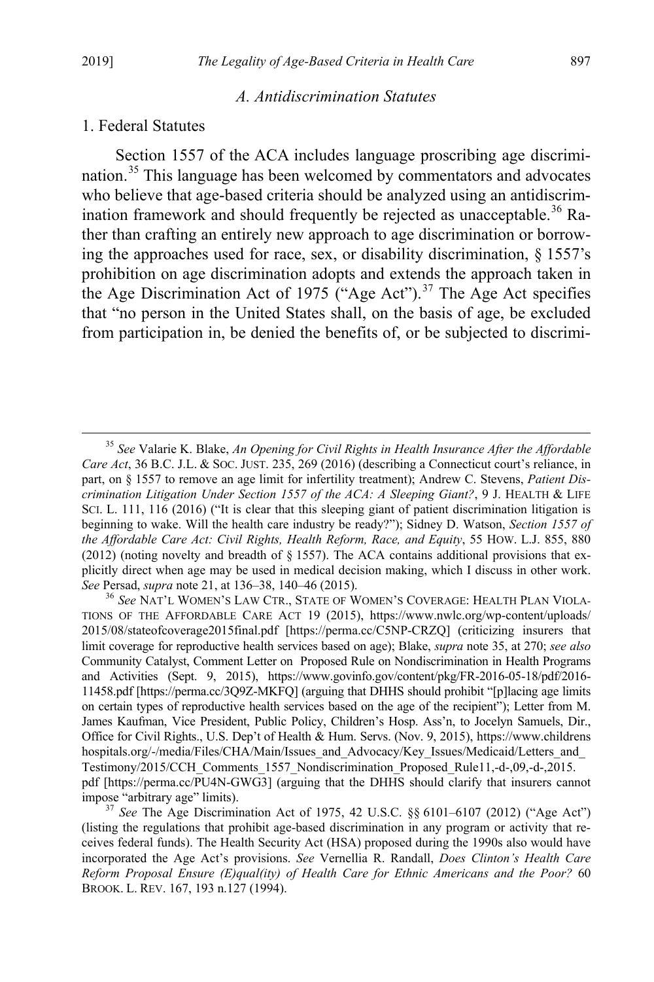### *A. Antidiscrimination Statutes*

# 1. Federal Statutes

<span id="page-10-0"></span>Section 1557 of the ACA includes language proscribing age discrimination.[35](#page-10-1) This language has been welcomed by commentators and advocates who believe that age-based criteria should be analyzed using an antidiscrim-ination framework and should frequently be rejected as unacceptable.<sup>[36](#page-10-2)</sup> Rather than crafting an entirely new approach to age discrimination or borrowing the approaches used for race, sex, or disability discrimination,  $\S$  1557's prohibition on age discrimination adopts and extends the approach taken in the Age Discrimination Act of 1975 ("Age Act").<sup>[37](#page-10-3)</sup> The Age Act specifies that "no person in the United States shall, on the basis of age, be excluded from participation in, be denied the benefits of, or be subjected to discrimi-

<span id="page-10-1"></span> <sup>35</sup> *See* Valarie K. Blake, *An Opening for Civil Rights in Health Insurance After the Affordable Care Act*, 36 B.C. J.L. & SOC. JUST. 235, 269 (2016) (describing a Connecticut court's reliance, in part, on § 1557 to remove an age limit for infertility treatment); Andrew C. Stevens, *Patient Discrimination Litigation Under Section 1557 of the ACA: A Sleeping Giant?*, 9 J. HEALTH & LIFE SCI. L. 111, 116 (2016) ("It is clear that this sleeping giant of patient discrimination litigation is beginning to wake. Will the health care industry be ready?"); Sidney D. Watson, *Section 1557 of the Affordable Care Act: Civil Rights, Health Reform, Race, and Equity*, 55 HOW. L.J. 855, 880 (2012) (noting novelty and breadth of  $\S 1557$ ). The ACA contains additional provisions that explicitly direct when age may be used in medical decision making, which I discuss in other work. *See* Persad, *supra* note [21,](#page-7-6) at 136–38, 140–46 (2015).<br><sup>36</sup> See NAT'L WOMEN'S LAW CTR., STATE OF WOMEN'S COVERAGE: HEALTH PLAN VIOLA-

<span id="page-10-2"></span>TIONS OF THE AFFORDABLE CARE ACT 19 (2015), https://www.nwlc.org/wp-content/uploads/ 2015/08/stateofcoverage2015final.pdf [https://perma.cc/C5NP-CRZQ] (criticizing insurers that limit coverage for reproductive health services based on age); Blake, *supra* note [35,](#page-10-0) at 270; *see also*  Community Catalyst, Comment Letter on Proposed Rule on Nondiscrimination in Health Programs and Activities (Sept. 9, 2015), https://www.govinfo.gov/content/pkg/FR-2016-05-18/pdf/2016- 11458.pdf [https://perma.cc/3Q9Z-MKFQ] (arguing that DHHS should prohibit "[p]lacing age limits on certain types of reproductive health services based on the age of the recipient"); Letter from M. James Kaufman, Vice President, Public Policy, Children's Hosp. Ass'n, to Jocelyn Samuels, Dir., Office for Civil Rights., U.S. Dep't of Health & Hum. Servs. (Nov. 9, 2015), https://www.childrens hospitals.org/-/media/Files/CHA/Main/Issues\_and\_Advocacy/Key\_Issues/Medicaid/Letters\_and Testimony/2015/CCH\_Comments\_1557\_Nondiscrimination\_Proposed\_Rule11,-d-,09,-d-,2015. pdf [https://perma.cc/PU4N-GWG3] (arguing that the DHHS should clarify that insurers cannot impose "arbitrary age" limits). <sup>37</sup> *See* The Age Discrimination Act of 1975, 42 U.S.C. §§ 6101–6107 (2012) ("Age Act")

<span id="page-10-3"></span><sup>(</sup>listing the regulations that prohibit age-based discrimination in any program or activity that receives federal funds). The Health Security Act (HSA) proposed during the 1990s also would have incorporated the Age Act's provisions. *See* Vernellia R. Randall, *Does Clinton's Health Care Reform Proposal Ensure (E)qual(ity) of Health Care for Ethnic Americans and the Poor?* 60 BROOK. L. REV. 167, 193 n.127 (1994).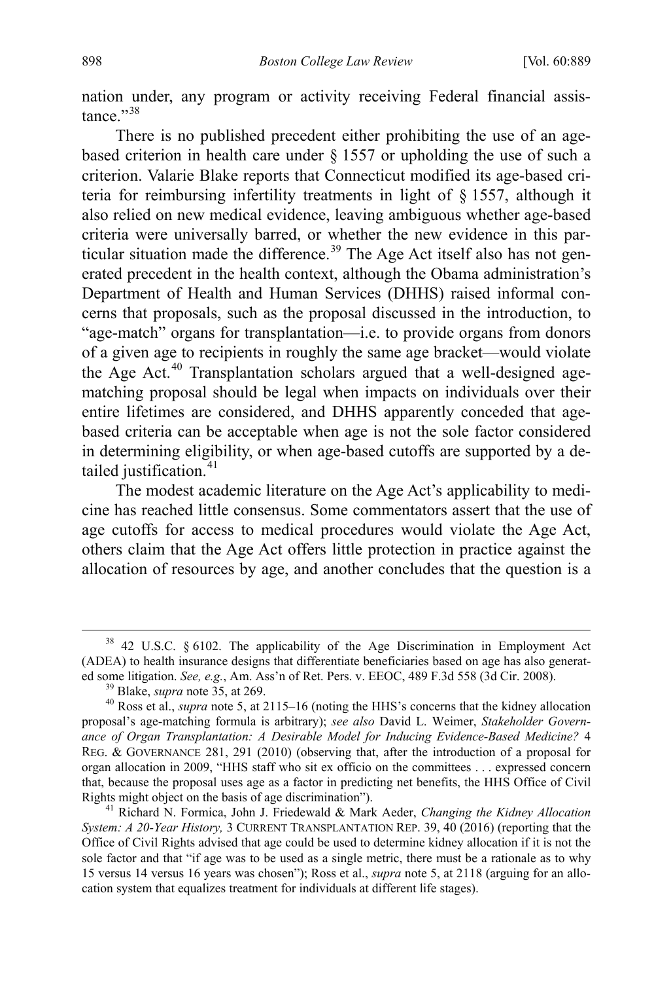nation under, any program or activity receiving Federal financial assistance $"$ <sup>[38](#page-11-0)</sup>

There is no published precedent either prohibiting the use of an agebased criterion in health care under § 1557 or upholding the use of such a criterion. Valarie Blake reports that Connecticut modified its age-based criteria for reimbursing infertility treatments in light of § 1557, although it also relied on new medical evidence, leaving ambiguous whether age-based criteria were universally barred, or whether the new evidence in this par-ticular situation made the difference.<sup>[39](#page-11-1)</sup> The Age Act itself also has not generated precedent in the health context, although the Obama administration's Department of Health and Human Services (DHHS) raised informal concerns that proposals, such as the proposal discussed in the introduction, to "age-match" organs for transplantation—i.e. to provide organs from donors of a given age to recipients in roughly the same age bracket—would violate the Age Act.<sup>[40](#page-11-2)</sup> Transplantation scholars argued that a well-designed agematching proposal should be legal when impacts on individuals over their entire lifetimes are considered, and DHHS apparently conceded that agebased criteria can be acceptable when age is not the sole factor considered in determining eligibility, or when age-based cutoffs are supported by a de-tailed justification.<sup>[41](#page-11-3)</sup>

<span id="page-11-4"></span>The modest academic literature on the Age Act's applicability to medicine has reached little consensus. Some commentators assert that the use of age cutoffs for access to medical procedures would violate the Age Act, others claim that the Age Act offers little protection in practice against the allocation of resources by age, and another concludes that the question is a

<span id="page-11-0"></span> $38$  42 U.S.C. § 6102. The applicability of the Age Discrimination in Employment Act (ADEA) to health insurance designs that differentiate beneficiaries based on age has also generated some litigation. *See, e.g.*, Am. Ass'n of Ret. Pers. v. EEOC, 489 F.3d 558 (3d Cir. 2008).<br><sup>39</sup> Blake, *supra* note 35, at 269.<br><sup>40</sup> Ross et al., *supra* not[e 5,](#page-4-6) at 2115–16 (noting the HHS's concerns that the kidney a

<span id="page-11-2"></span><span id="page-11-1"></span>proposal's age-matching formula is arbitrary); *see also* David L. Weimer, *Stakeholder Governance of Organ Transplantation: A Desirable Model for Inducing Evidence-Based Medicine?* 4 REG. & GOVERNANCE 281, 291 (2010) (observing that, after the introduction of a proposal for organ allocation in 2009, "HHS staff who sit ex officio on the committees . . . expressed concern that, because the proposal uses age as a factor in predicting net benefits, the HHS Office of Civil Rights might object on the basis of age discrimination"). <sup>41</sup> Richard N. Formica, John J. Friedewald & Mark Aeder, *Changing the Kidney Allocation* 

<span id="page-11-3"></span>*System: A 20-Year History,* 3 CURRENT TRANSPLANTATION REP. 39, 40 (2016) (reporting that the Office of Civil Rights advised that age could be used to determine kidney allocation if it is not the sole factor and that "if age was to be used as a single metric, there must be a rationale as to why 15 versus 14 versus 16 years was chosen"); Ross et al., *supra* not[e 5,](#page-4-6) at 2118 (arguing for an allocation system that equalizes treatment for individuals at different life stages).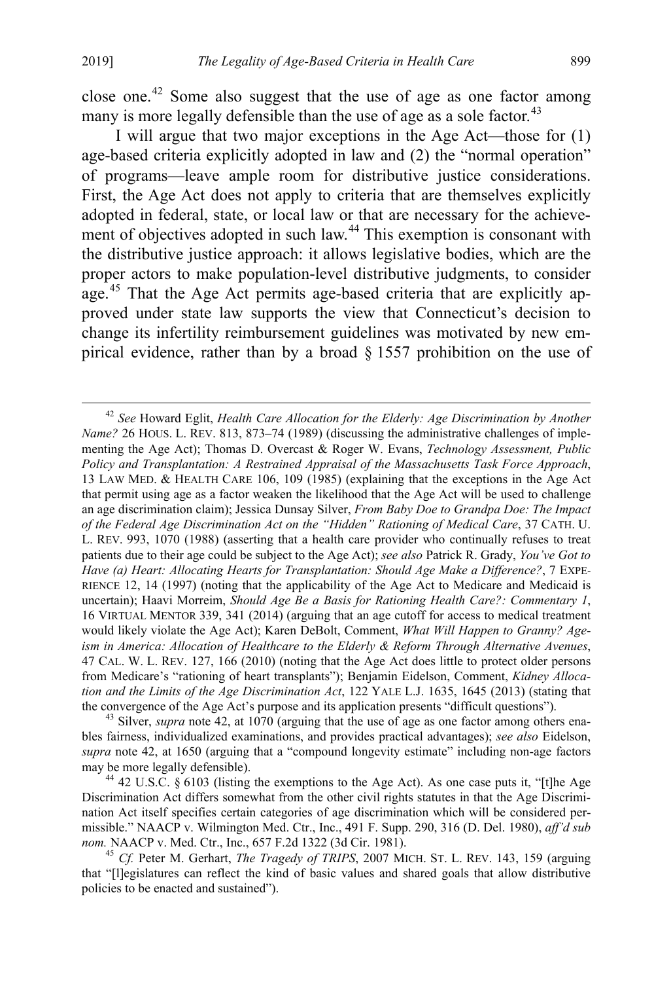<span id="page-12-0"></span>close one.[42](#page-12-1) Some also suggest that the use of age as one factor among many is more legally defensible than the use of age as a sole factor.<sup>[43](#page-12-2)</sup>

I will argue that two major exceptions in the Age Act—those for (1) age-based criteria explicitly adopted in law and (2) the "normal operation" of programs—leave ample room for distributive justice considerations. First, the Age Act does not apply to criteria that are themselves explicitly adopted in federal, state, or local law or that are necessary for the achieve-ment of objectives adopted in such law.<sup>[44](#page-12-3)</sup> This exemption is consonant with the distributive justice approach: it allows legislative bodies, which are the proper actors to make population-level distributive judgments, to consider age.<sup>[45](#page-12-4)</sup> That the Age Act permits age-based criteria that are explicitly approved under state law supports the view that Connecticut's decision to change its infertility reimbursement guidelines was motivated by new empirical evidence, rather than by a broad § 1557 prohibition on the use of

<span id="page-12-2"></span>bles fairness, individualized examinations, and provides practical advantages); *see also* Eidelson, *supra* note [42,](#page-12-0) at 1650 (arguing that a "compound longevity estimate" including non-age factors may be more legally defensible). <sup>44</sup> 42 U.S.C. § 6103 (listing the exemptions to the Age Act). As one case puts it, "[t]he Age

<span id="page-12-1"></span> <sup>42</sup> *See* Howard Eglit, *Health Care Allocation for the Elderly: Age Discrimination by Another Name?* 26 HOUS. L. REV. 813, 873–74 (1989) (discussing the administrative challenges of implementing the Age Act); Thomas D. Overcast & Roger W. Evans, *Technology Assessment, Public Policy and Transplantation: A Restrained Appraisal of the Massachusetts Task Force Approach*, 13 LAW MED. & HEALTH CARE 106, 109 (1985) (explaining that the exceptions in the Age Act that permit using age as a factor weaken the likelihood that the Age Act will be used to challenge an age discrimination claim); Jessica Dunsay Silver, *From Baby Doe to Grandpa Doe: The Impact of the Federal Age Discrimination Act on the "Hidden" Rationing of Medical Care*, 37 CATH. U. L. REV. 993, 1070 (1988) (asserting that a health care provider who continually refuses to treat patients due to their age could be subject to the Age Act); *see also* Patrick R. Grady, *You've Got to Have (a) Heart: Allocating Hearts for Transplantation: Should Age Make a Difference?*, 7 EXPE-RIENCE 12, 14 (1997) (noting that the applicability of the Age Act to Medicare and Medicaid is uncertain); Haavi Morreim, *Should Age Be a Basis for Rationing Health Care?: Commentary 1*, 16 VIRTUAL MENTOR 339, 341 (2014) (arguing that an age cutoff for access to medical treatment would likely violate the Age Act); Karen DeBolt, Comment, *What Will Happen to Granny? Ageism in America: Allocation of Healthcare to the Elderly & Reform Through Alternative Avenues*, 47 CAL. W. L. REV. 127, 166 (2010) (noting that the Age Act does little to protect older persons from Medicare's "rationing of heart transplants"); Benjamin Eidelson, Comment, *Kidney Allocation and the Limits of the Age Discrimination Act*, 122 YALE L.J. 1635, 1645 (2013) (stating that the convergence of the Age Act's purpose and its application presents "difficult questions"). 43 Silver, *supra* note 42, at 1070 (arguing that the use of age as one factor among others ena-

<span id="page-12-3"></span>Discrimination Act differs somewhat from the other civil rights statutes in that the Age Discrimination Act itself specifies certain categories of age discrimination which will be considered permissible." NAACP v. Wilmington Med. Ctr., Inc., 491 F. Supp. 290, 316 (D. Del. 1980), *aff'd sub nom.* NAACP v. Med. Ctr., Inc., 657 F.2d 1322 (3d Cir. 1981). <sup>45</sup> *Cf.* Peter M. Gerhart, *The Tragedy of TRIPS*, 2007 MICH. ST. L. REV. 143, 159 (arguing

<span id="page-12-4"></span>that "[l]egislatures can reflect the kind of basic values and shared goals that allow distributive policies to be enacted and sustained").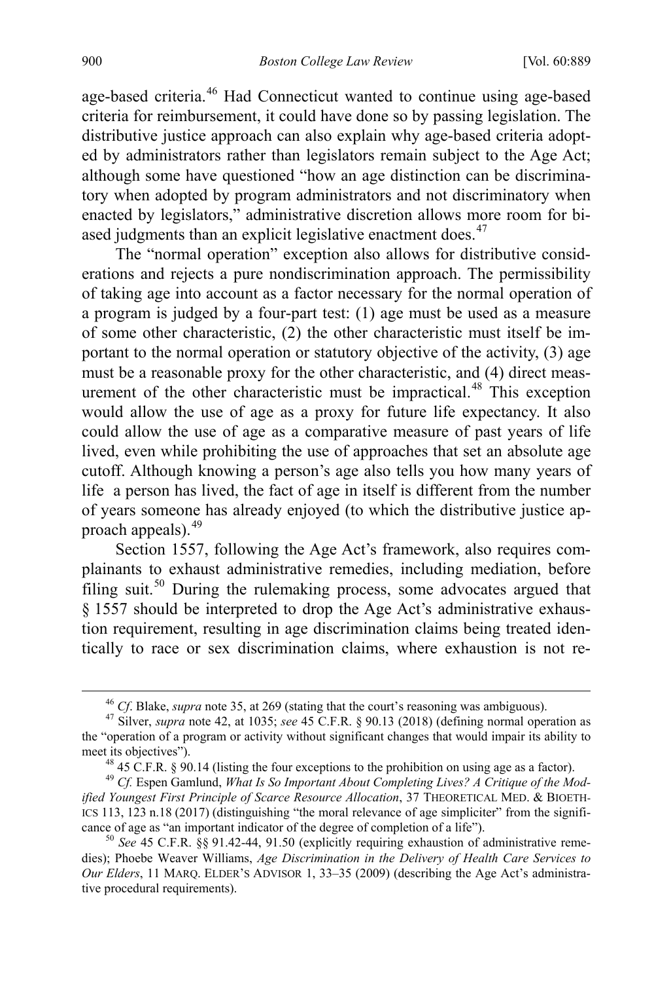age-based criteria.[46](#page-13-0) Had Connecticut wanted to continue using age-based criteria for reimbursement, it could have done so by passing legislation. The distributive justice approach can also explain why age-based criteria adopted by administrators rather than legislators remain subject to the Age Act; although some have questioned "how an age distinction can be discriminatory when adopted by program administrators and not discriminatory when enacted by legislators," administrative discretion allows more room for bi-ased judgments than an explicit legislative enactment does.<sup>[47](#page-13-1)</sup>

The "normal operation" exception also allows for distributive considerations and rejects a pure nondiscrimination approach. The permissibility of taking age into account as a factor necessary for the normal operation of a program is judged by a four-part test: (1) age must be used as a measure of some other characteristic, (2) the other characteristic must itself be important to the normal operation or statutory objective of the activity, (3) age must be a reasonable proxy for the other characteristic, and (4) direct meas-urement of the other characteristic must be impractical.<sup>[48](#page-13-2)</sup> This exception would allow the use of age as a proxy for future life expectancy. It also could allow the use of age as a comparative measure of past years of life lived, even while prohibiting the use of approaches that set an absolute age cutoff. Although knowing a person's age also tells you how many years of life a person has lived, the fact of age in itself is different from the number of years someone has already enjoyed (to which the distributive justice approach appeals).[49](#page-13-3)

<span id="page-13-5"></span>Section 1557, following the Age Act's framework, also requires complainants to exhaust administrative remedies, including mediation, before filing suit.[50](#page-13-4) During the rulemaking process, some advocates argued that § 1557 should be interpreted to drop the Age Act's administrative exhaustion requirement, resulting in age discrimination claims being treated identically to race or sex discrimination claims, where exhaustion is not re-

<span id="page-13-1"></span><span id="page-13-0"></span><sup>46</sup> *Cf*. Blake, *supra* note 35, at 269 (stating that the court's reasoning was ambiguous). 47 Silver, *supra* note 42, at 1035; *see* 45 C.F.R. § 90.13 (2018) (defining normal operation as the "operation of a program or activity without significant changes that would impair its ability to meet its objectives").<br><sup>48</sup> 45 C.F.R. § 90.14 (listing the four exceptions to the prohibition on using age as a factor).<br><sup>49</sup> *Cf.* Espen Gamlund, *What Is So Important About Completing Lives? A Critique of the Mod-*

<span id="page-13-3"></span><span id="page-13-2"></span>*ified Youngest First Principle of Scarce Resource Allocation*, 37 THEORETICAL MED. & BIOETH-ICS 113, 123 n.18 (2017) (distinguishing "the moral relevance of age simpliciter" from the significance of age as "an important indicator of the degree of completion of a life").<br><sup>50</sup> See 45 C.F.R. §§ 91.42-44, 91.50 (explicitly requiring exhaustion of administrative reme-

<span id="page-13-4"></span>dies); Phoebe Weaver Williams, *Age Discrimination in the Delivery of Health Care Services to Our Elders*, 11 MARQ. ELDER'S ADVISOR 1, 33–35 (2009) (describing the Age Act's administrative procedural requirements).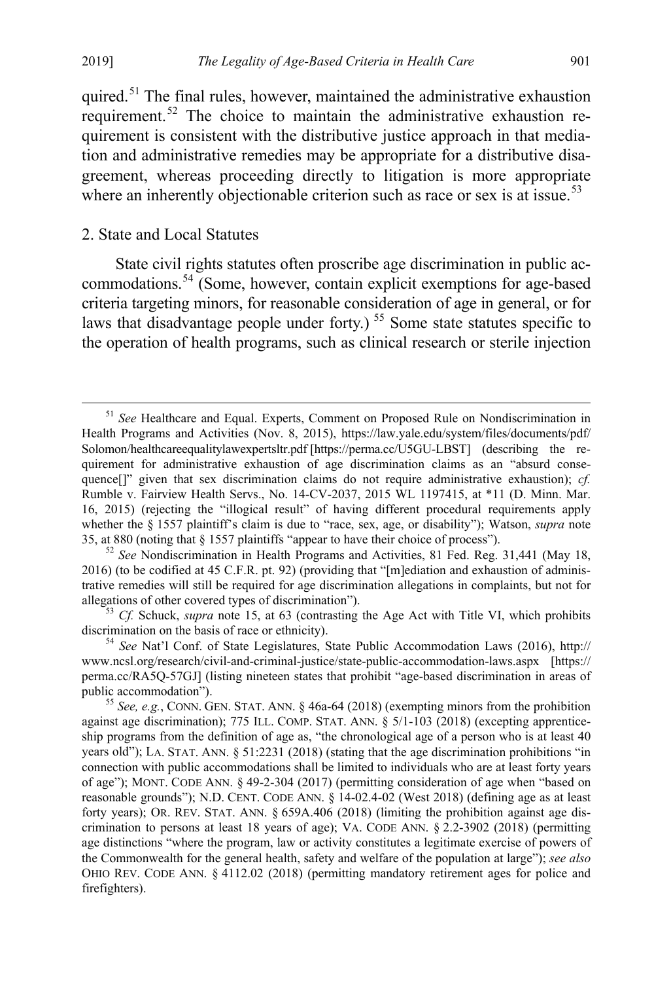quired.<sup>[51](#page-14-0)</sup> The final rules, however, maintained the administrative exhaustion requirement.[52](#page-14-1) The choice to maintain the administrative exhaustion requirement is consistent with the distributive justice approach in that mediation and administrative remedies may be appropriate for a distributive disagreement, whereas proceeding directly to litigation is more appropriate where an inherently objectionable criterion such as race or sex is at issue.<sup>[53](#page-14-2)</sup>

# 2. State and Local Statutes

State civil rights statutes often proscribe age discrimination in public accommodations.[54](#page-14-3) (Some, however, contain explicit exemptions for age-based criteria targeting minors, for reasonable consideration of age in general, or for laws that disadvantage people under forty.)<sup>[55](#page-14-4)</sup> Some state statutes specific to the operation of health programs, such as clinical research or sterile injection

<span id="page-14-0"></span><sup>&</sup>lt;sup>51</sup> See Healthcare and Equal. Experts, Comment on Proposed Rule on Nondiscrimination in Health Programs and Activities (Nov. 8, 2015), https://law.yale.edu/system/files/documents/pdf/ Solomon/healthcareequalitylawexpertsltr.pdf [https://perma.cc/U5GU-LBST] (describing the requirement for administrative exhaustion of age discrimination claims as an "absurd consequence[]" given that sex discrimination claims do not require administrative exhaustion); *cf.*  Rumble v. Fairview Health Servs., No. 14-CV-2037, 2015 WL 1197415, at \*11 (D. Minn. Mar. 16, 2015) (rejecting the "illogical result" of having different procedural requirements apply whether the § 1557 plaintiff's claim is due to "race, sex, age, or disability"); Watson, *supra* note [35,](#page-10-0) at 880 (noting that § 1557 plaintiffs "appear to have their choice of process"). <sup>52</sup> *See* Nondiscrimination in Health Programs and Activities, 81 Fed. Reg. 31,441 (May 18,

<span id="page-14-1"></span><sup>2016) (</sup>to be codified at 45 C.F.R. pt. 92) (providing that "[m]ediation and exhaustion of administrative remedies will still be required for age discrimination allegations in complaints, but not for allegations of other covered types of discrimination"). <sup>53</sup> *Cf.* Schuck, *supra* note [15,](#page-6-5) at 63 (contrasting the Age Act with Title VI, which prohibits

<span id="page-14-2"></span>discrimination on the basis of race or ethnicity). <sup>54</sup> *See* Nat'l Conf. of State Legislatures, State Public Accommodation Laws (2016), http://

<span id="page-14-3"></span>www.ncsl.org/research/civil-and-criminal-justice/state-public-accommodation-laws.aspx [https:// perma.cc/RA5Q-57GJ] (listing nineteen states that prohibit "age-based discrimination in areas of public accommodation").<br><sup>55</sup> *See, e.g.*, CONN. GEN. STAT. ANN. § 46a-64 (2018) (exempting minors from the prohibition

<span id="page-14-4"></span>against age discrimination); 775 ILL. COMP. STAT. ANN. § 5/1-103 (2018) (excepting apprenticeship programs from the definition of age as, "the chronological age of a person who is at least 40 years old"); LA. STAT. ANN. § 51:2231 (2018) (stating that the age discrimination prohibitions "in connection with public accommodations shall be limited to individuals who are at least forty years of age"); MONT. CODE ANN. § 49-2-304 (2017) (permitting consideration of age when "based on reasonable grounds"); N.D. CENT. CODE ANN. § 14-02.4-02 (West 2018) (defining age as at least forty years); OR. REV. STAT. ANN. § 659A.406 (2018) (limiting the prohibition against age discrimination to persons at least 18 years of age); VA. CODE ANN. § 2.2-3902 (2018) (permitting age distinctions "where the program, law or activity constitutes a legitimate exercise of powers of the Commonwealth for the general health, safety and welfare of the population at large"); *see also*  OHIO REV. CODE ANN. § 4112.02 (2018) (permitting mandatory retirement ages for police and firefighters).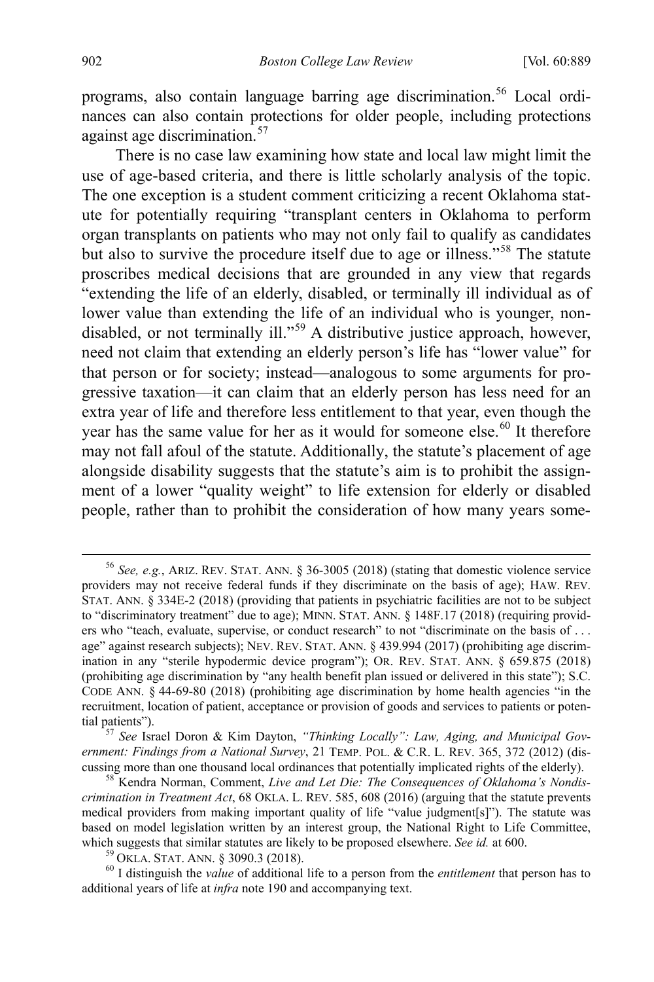programs, also contain language barring age discrimination.<sup>[56](#page-15-0)</sup> Local ordinances can also contain protections for older people, including protections against age discrimination.<sup>[57](#page-15-1)</sup>

There is no case law examining how state and local law might limit the use of age-based criteria, and there is little scholarly analysis of the topic. The one exception is a student comment criticizing a recent Oklahoma statute for potentially requiring "transplant centers in Oklahoma to perform organ transplants on patients who may not only fail to qualify as candidates but also to survive the procedure itself due to age or illness."[58](#page-15-2) The statute proscribes medical decisions that are grounded in any view that regards "extending the life of an elderly, disabled, or terminally ill individual as of lower value than extending the life of an individual who is younger, non-disabled, or not terminally ill."<sup>[59](#page-15-3)</sup> A distributive justice approach, however, need not claim that extending an elderly person's life has "lower value" for that person or for society; instead—analogous to some arguments for progressive taxation—it can claim that an elderly person has less need for an extra year of life and therefore less entitlement to that year, even though the year has the same value for her as it would for someone else.<sup>[60](#page-15-4)</sup> It therefore may not fall afoul of the statute. Additionally, the statute's placement of age alongside disability suggests that the statute's aim is to prohibit the assignment of a lower "quality weight" to life extension for elderly or disabled people, rather than to prohibit the consideration of how many years some-

<span id="page-15-1"></span>*ernment: Findings from a National Survey*, 21 TEMP. POL. & C.R. L. REV. 365, 372 (2012) (discussing more than one thousand local ordinances that potentially implicated rights of the elderly). 58 Kendra Norman, Comment, *Live and Let Die: The Consequences of Oklahoma's Nondis-*

<span id="page-15-2"></span>*crimination in Treatment Act*, 68 OKLA. L. REV. 585, 608 (2016) (arguing that the statute prevents medical providers from making important quality of life "value judgment[s]"). The statute was based on model legislation written by an interest group, the National Right to Life Committee, which suggests that similar statutes are likely to be proposed elsewhere. See id. at 600.<br><sup>59</sup> OKLA. STAT. ANN. § 3090.3 (2018).<br><sup>60</sup> I distinguish the *value* of additional life to a person from the *entitlement* that pe

<span id="page-15-4"></span><span id="page-15-3"></span>additional years of life at *infra* note [190 a](#page-40-0)nd accompanying text.

<span id="page-15-0"></span> <sup>56</sup> *See, e.g.*, ARIZ. REV. STAT. ANN. § 36-3005 (2018) (stating that domestic violence service providers may not receive federal funds if they discriminate on the basis of age); HAW. REV. STAT. ANN. § 334E-2 (2018) (providing that patients in psychiatric facilities are not to be subject to "discriminatory treatment" due to age); MINN. STAT. ANN. § 148F.17 (2018) (requiring providers who "teach, evaluate, supervise, or conduct research" to not "discriminate on the basis of . . . age" against research subjects); NEV. REV. STAT. ANN. § 439.994 (2017) (prohibiting age discrimination in any "sterile hypodermic device program"); OR. REV. STAT. ANN. § 659.875 (2018) (prohibiting age discrimination by "any health benefit plan issued or delivered in this state"); S.C. CODE ANN. § 44-69-80 (2018) (prohibiting age discrimination by home health agencies "in the recruitment, location of patient, acceptance or provision of goods and services to patients or potential patients"). <sup>57</sup> *See* Israel Doron & Kim Dayton, *"Thinking Locally": Law, Aging, and Municipal Gov-*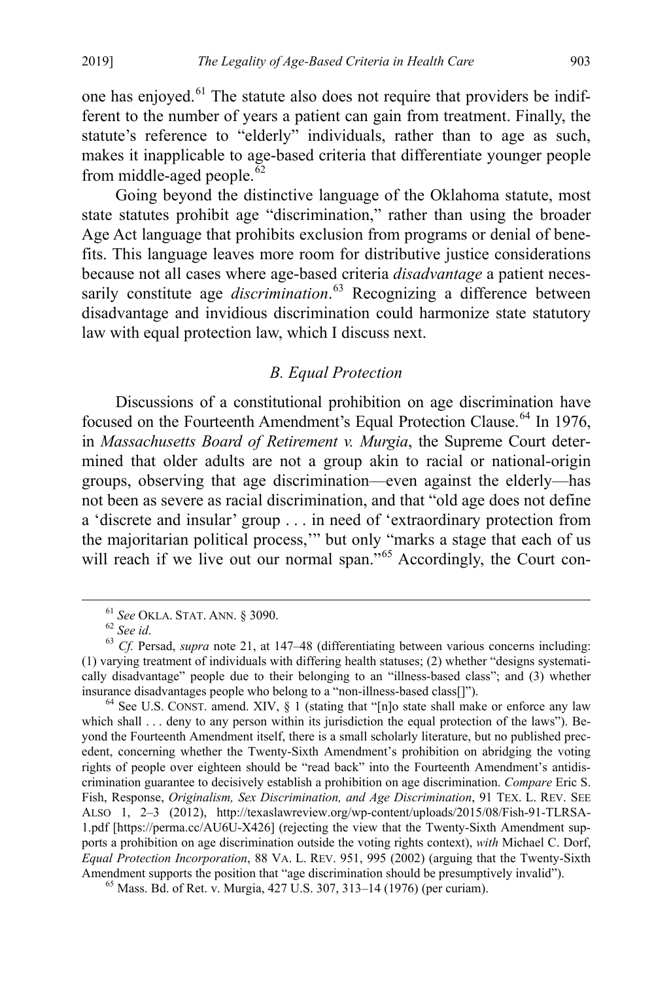one has enjoyed.[61](#page-16-1) The statute also does not require that providers be indifferent to the number of years a patient can gain from treatment. Finally, the statute's reference to "elderly" individuals, rather than to age as such, makes it inapplicable to age-based criteria that differentiate younger people from middle-aged people.<sup>[62](#page-16-2)</sup>

Going beyond the distinctive language of the Oklahoma statute, most state statutes prohibit age "discrimination," rather than using the broader Age Act language that prohibits exclusion from programs or denial of benefits. This language leaves more room for distributive justice considerations because not all cases where age-based criteria *disadvantage* a patient necessarily constitute age *discrimination*. [63](#page-16-3) Recognizing a difference between disadvantage and invidious discrimination could harmonize state statutory law with equal protection law, which I discuss next.

# <span id="page-16-0"></span>*B. Equal Protection*

Discussions of a constitutional prohibition on age discrimination have focused on the Fourteenth Amendment's Equal Protection Clause.<sup>[64](#page-16-4)</sup> In 1976, in *Massachusetts Board of Retirement v. Murgia*, the Supreme Court determined that older adults are not a group akin to racial or national-origin groups, observing that age discrimination—even against the elderly—has not been as severe as racial discrimination, and that "old age does not define a 'discrete and insular' group . . . in need of 'extraordinary protection from the majoritarian political process,'" but only "marks a stage that each of us will reach if we live out our normal span."<sup>[65](#page-16-5)</sup> Accordingly, the Court con-

<span id="page-16-3"></span><span id="page-16-2"></span><span id="page-16-1"></span><sup>&</sup>lt;sup>61</sup> *See* OKLA. STAT. ANN. § 3090.<br><sup>62</sup> *See id.* 63 *Cf.* Persad, *supra* note [21,](#page-7-6) at 147–48 (differentiating between various concerns including: (1) varying treatment of individuals with differing health statuses; (2) whether "designs systematically disadvantage" people due to their belonging to an "illness-based class"; and (3) whether

<span id="page-16-4"></span>insurance disadvantages people who belong to a "non-illness-based class[]").<br><sup>64</sup> See U.S. CONST. amend. XIV, § 1 (stating that "[n]o state shall make or enforce any law which shall . . . deny to any person within its jurisdiction the equal protection of the laws"). Beyond the Fourteenth Amendment itself, there is a small scholarly literature, but no published precedent, concerning whether the Twenty-Sixth Amendment's prohibition on abridging the voting rights of people over eighteen should be "read back" into the Fourteenth Amendment's antidiscrimination guarantee to decisively establish a prohibition on age discrimination. *Compare* Eric S. Fish, Response, *Originalism, Sex Discrimination, and Age Discrimination*, 91 TEX. L. REV. SEE ALSO 1, 2–3 (2012), http://texaslawreview.org/wp-content/uploads/2015/08/Fish-91-TLRSA-1.pdf [https://perma.cc/AU6U-X426] (rejecting the view that the Twenty-Sixth Amendment supports a prohibition on age discrimination outside the voting rights context), *with* Michael C. Dorf, *Equal Protection Incorporation*, 88 VA. L. REV. 951, 995 (2002) (arguing that the Twenty-Sixth Amendment supports the position that "age discrimination should be presumptively invalid"). <sup>65</sup> Mass. Bd. of Ret. v. Murgia, 427 U.S. 307, 313–14 (1976) (per curiam).

<span id="page-16-5"></span>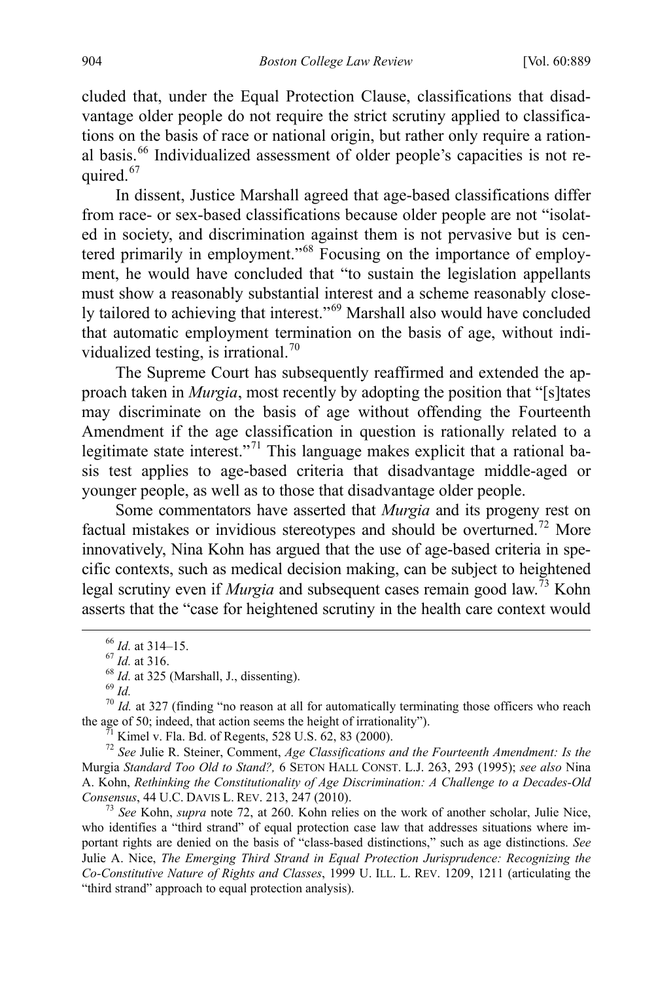cluded that, under the Equal Protection Clause, classifications that disadvantage older people do not require the strict scrutiny applied to classifications on the basis of race or national origin, but rather only require a ration-al basis.<sup>[66](#page-17-1)</sup> Individualized assessment of older people's capacities is not re-quired.<sup>[67](#page-17-2)</sup>

In dissent, Justice Marshall agreed that age-based classifications differ from race- or sex-based classifications because older people are not "isolated in society, and discrimination against them is not pervasive but is centered primarily in employment."[68](#page-17-3) Focusing on the importance of employment, he would have concluded that "to sustain the legislation appellants must show a reasonably substantial interest and a scheme reasonably closely tailored to achieving that interest."[69](#page-17-4) Marshall also would have concluded that automatic employment termination on the basis of age, without indi-vidualized testing, is irrational.<sup>[70](#page-17-5)</sup>

The Supreme Court has subsequently reaffirmed and extended the approach taken in *Murgia*, most recently by adopting the position that "[s]tates may discriminate on the basis of age without offending the Fourteenth Amendment if the age classification in question is rationally related to a legitimate state interest."<sup>[71](#page-17-6)</sup> This language makes explicit that a rational basis test applies to age-based criteria that disadvantage middle-aged or younger people, as well as to those that disadvantage older people.

Some commentators have asserted that *Murgia* and its progeny rest on factual mistakes or invidious stereotypes and should be overturned.<sup>[72](#page-17-7)</sup> More innovatively, Nina Kohn has argued that the use of age-based criteria in specific contexts, such as medical decision making, can be subject to heightened legal scrutiny even if *Murgia* and subsequent cases remain good law.[73](#page-17-8) Kohn asserts that the "case for heightened scrutiny in the health care context would

<span id="page-17-4"></span><span id="page-17-3"></span><span id="page-17-2"></span><span id="page-17-1"></span><sup>66</sup> *Id.* at 314–15.<br><sup>67</sup> *Id.* at 316.<br><sup>68</sup> *Id.* at 325 (Marshall, J., dissenting).<br><sup>69</sup> *Id.*  $^{70}$  *Id.* at 327 (finding "no reason at all for automatically terminating those officers who reach the age of 50; indeed, that action seems the height of irrationality").<br><sup>71</sup> Kimel v. Fla. Bd. of Regents, 528 U.S. 62, 83 (2000).<br><sup>72</sup> *See Julie R. Steiner, Comment, Age Classifications and the Fourteenth Amendment: Is* 

<span id="page-17-7"></span><span id="page-17-6"></span><span id="page-17-5"></span>Murgia *Standard Too Old to Stand?,* 6 SETON HALL CONST. L.J. 263, 293 (1995); *see also* Nina A. Kohn, *Rethinking the Constitutionality of Age Discrimination: A Challenge to a Decades-Old Consensus*, 44 U.C. DAVIS L. REV. 213, 247 (2010). <sup>73</sup> *See* Kohn, *supra* note [72,](#page-17-0) at 260. Kohn relies on the work of another scholar, Julie Nice,

<span id="page-17-8"></span>who identifies a "third strand" of equal protection case law that addresses situations where important rights are denied on the basis of "class-based distinctions," such as age distinctions. *See*  Julie A. Nice, *The Emerging Third Strand in Equal Protection Jurisprudence: Recognizing the Co-Constitutive Nature of Rights and Classes*, 1999 U. ILL. L. REV. 1209, 1211 (articulating the "third strand" approach to equal protection analysis).

<span id="page-17-0"></span>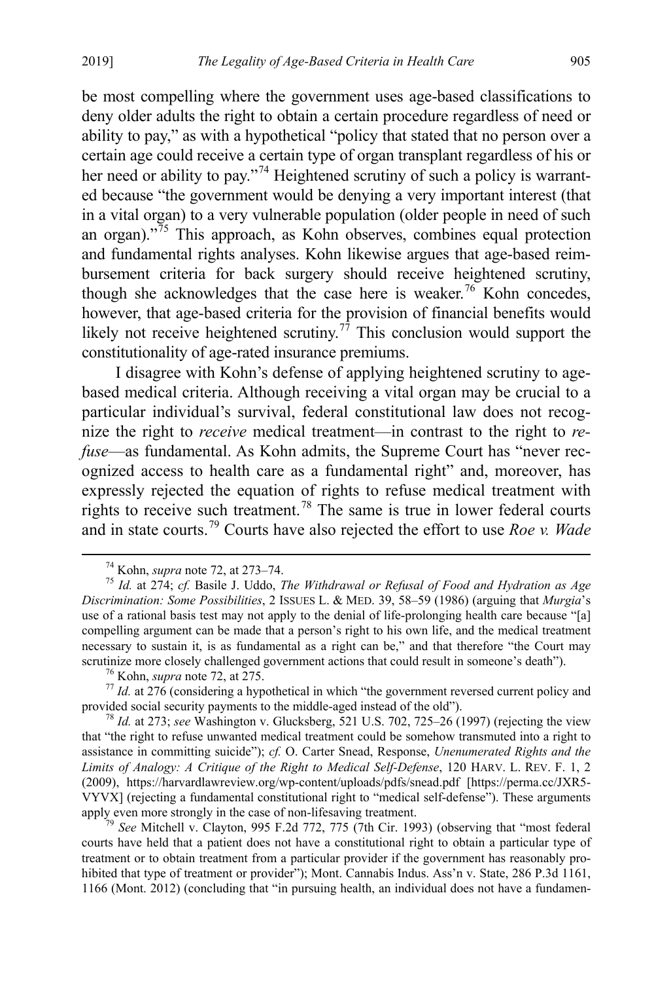be most compelling where the government uses age-based classifications to deny older adults the right to obtain a certain procedure regardless of need or ability to pay," as with a hypothetical "policy that stated that no person over a certain age could receive a certain type of organ transplant regardless of his or her need or ability to pay."<sup>[74](#page-18-0)</sup> Heightened scrutiny of such a policy is warranted because "the government would be denying a very important interest (that in a vital organ) to a very vulnerable population (older people in need of such an organ)."[75](#page-18-1) This approach, as Kohn observes, combines equal protection and fundamental rights analyses. Kohn likewise argues that age-based reimbursement criteria for back surgery should receive heightened scrutiny, though she acknowledges that the case here is weaker.<sup>[76](#page-18-2)</sup> Kohn concedes, however, that age-based criteria for the provision of financial benefits would likely not receive heightened scrutiny.<sup>[77](#page-18-3)</sup> This conclusion would support the constitutionality of age-rated insurance premiums.

I disagree with Kohn's defense of applying heightened scrutiny to agebased medical criteria. Although receiving a vital organ may be crucial to a particular individual's survival, federal constitutional law does not recognize the right to *receive* medical treatment—in contrast to the right to *refuse*—as fundamental. As Kohn admits, the Supreme Court has "never recognized access to health care as a fundamental right" and, moreover, has expressly rejected the equation of rights to refuse medical treatment with rights to receive such treatment.<sup>[78](#page-18-4)</sup> The same is true in lower federal courts and in state courts.[79](#page-18-5) Courts have also rejected the effort to use *Roe v. Wade*

<span id="page-18-3"></span><span id="page-18-2"></span>provided social security payments to the middle-aged instead of the old"). <sup>78</sup> *Id.* at 273; *see* Washington v. Glucksberg, 521 U.S. 702, 725–26 (1997) (rejecting the view

<span id="page-18-4"></span>that "the right to refuse unwanted medical treatment could be somehow transmuted into a right to assistance in committing suicide"); *cf.* O. Carter Snead, Response, *Unenumerated Rights and the Limits of Analogy: A Critique of the Right to Medical Self-Defense*, 120 HARV. L. REV. F. 1, 2 (2009), https://harvardlawreview.org/wp-content/uploads/pdfs/snead.pdf [https://perma.cc/JXR5- VYVX] (rejecting a fundamental constitutional right to "medical self-defense"). These arguments apply even more strongly in the case of non-lifesaving treatment.<br><sup>79</sup> *See* Mitchell v. Clayton, 995 F.2d 772, 775 (7th Cir. 1993) (observing that "most federal

<span id="page-18-5"></span>courts have held that a patient does not have a constitutional right to obtain a particular type of treatment or to obtain treatment from a particular provider if the government has reasonably prohibited that type of treatment or provider"); Mont. Cannabis Indus. Ass'n v. State, 286 P.3d 1161, 1166 (Mont. 2012) (concluding that "in pursuing health, an individual does not have a fundamen-

<span id="page-18-1"></span><span id="page-18-0"></span> <sup>74</sup> Kohn, *supra* note [72,](#page-17-0) at 273–74. 75 *Id.* at 274; *cf.* Basile J. Uddo, *The Withdrawal or Refusal of Food and Hydration as Age Discrimination: Some Possibilities*, 2 ISSUES L. & MED. 39, 58–59 (1986) (arguing that *Murgia*'s use of a rational basis test may not apply to the denial of life-prolonging health care because "[a] compelling argument can be made that a person's right to his own life, and the medical treatment necessary to sustain it, is as fundamental as a right can be," and that therefore "the Court may scrutinize more closely challenged government actions that could result in someone's death'').<br><sup>76</sup> Kohn, *supra* note [72,](#page-17-0) at 275.<br><sup>77</sup> Id. at 276 (considering a hypothetical in which "the government reversed current poli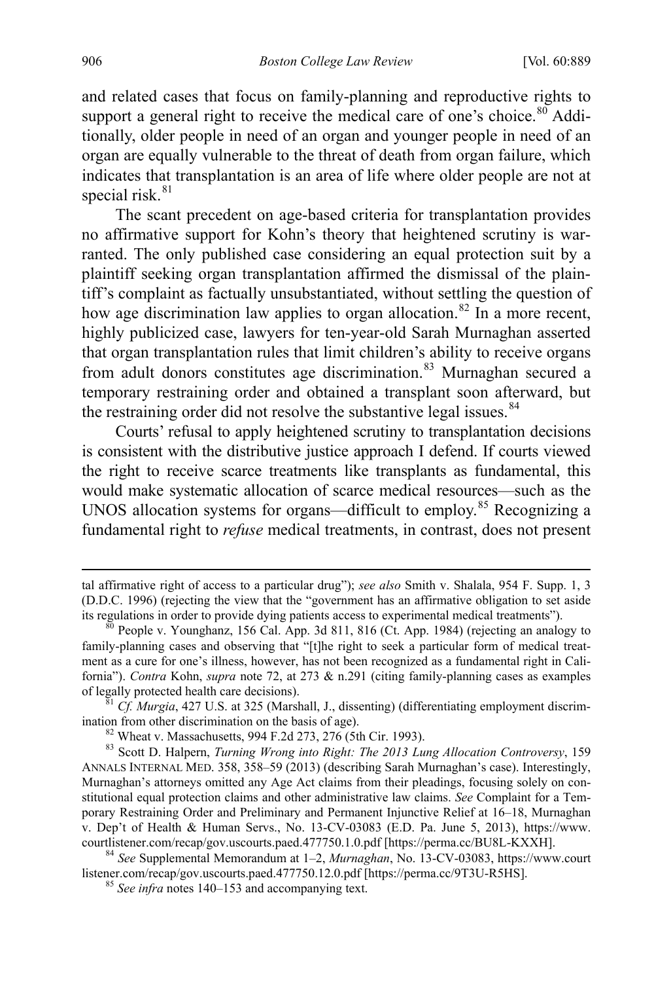and related cases that focus on family-planning and reproductive rights to support a general right to receive the medical care of one's choice. $80^\circ$  $80^\circ$  Additionally, older people in need of an organ and younger people in need of an organ are equally vulnerable to the threat of death from organ failure, which indicates that transplantation is an area of life where older people are not at special risk. $81$ 

The scant precedent on age-based criteria for transplantation provides no affirmative support for Kohn's theory that heightened scrutiny is warranted. The only published case considering an equal protection suit by a plaintiff seeking organ transplantation affirmed the dismissal of the plaintiff's complaint as factually unsubstantiated, without settling the question of how age discrimination law applies to organ allocation.<sup>[82](#page-19-2)</sup> In a more recent, highly publicized case, lawyers for ten-year-old Sarah Murnaghan asserted that organ transplantation rules that limit children's ability to receive organs from adult donors constitutes age discrimination.<sup>[83](#page-19-3)</sup> Murnaghan secured a temporary restraining order and obtained a transplant soon afterward, but the restraining order did not resolve the substantive legal issues.<sup>[84](#page-19-4)</sup>

<span id="page-19-6"></span>Courts' refusal to apply heightened scrutiny to transplantation decisions is consistent with the distributive justice approach I defend. If courts viewed the right to receive scarce treatments like transplants as fundamental, this would make systematic allocation of scarce medical resources—such as the UNOS allocation systems for organs—difficult to employ.<sup>[85](#page-19-5)</sup> Recognizing a fundamental right to *refuse* medical treatments, in contrast, does not present

 $\overline{a}$ 

tal affirmative right of access to a particular drug"); *see also* Smith v. Shalala, 954 F. Supp. 1, 3 (D.D.C. 1996) (rejecting the view that the "government has an affirmative obligation to set aside its regulations in order to provide dying patients access to experimental medical treatments").<br><sup>80</sup> People v. Younghanz, 156 Cal. App. 3d 811, 816 (Ct. App. 1984) (rejecting an analogy to

<span id="page-19-0"></span>family-planning cases and observing that "[t]he right to seek a particular form of medical treatment as a cure for one's illness, however, has not been recognized as a fundamental right in California"). *Contra* Kohn, *supra* note [72,](#page-17-0) at 273 & n.291 (citing family-planning cases as examples of legally protected health care decisions). <sup>81</sup> *Cf. Murgia*, 427 U.S. at 325 (Marshall, J., dissenting) (differentiating employment discrim-

<span id="page-19-1"></span>ination from other discrimination on the basis of age).<br><sup>82</sup> Wheat v. Massachusetts, 994 F.2d 273, 276 (5th Cir. 1993).<br><sup>83</sup> Scott D. Halpern, *Turning Wrong into Right: The 2013 Lung Allocation Controversy*, 159

<span id="page-19-3"></span><span id="page-19-2"></span>ANNALS INTERNAL MED. 358, 358–59 (2013) (describing Sarah Murnaghan's case). Interestingly, Murnaghan's attorneys omitted any Age Act claims from their pleadings, focusing solely on constitutional equal protection claims and other administrative law claims. *See* Complaint for a Temporary Restraining Order and Preliminary and Permanent Injunctive Relief at 16–18, Murnaghan v. Dep't of Health & Human Servs., No. 13-CV-03083 (E.D. Pa. June 5, 2013), https://www. courtlistener.com/recap/gov.uscourts.paed.477750.1.0.pdf [https://perma.cc/BU8L-KXXH]. <sup>84</sup> *See* Supplemental Memorandum at 1–2, *Murnaghan*, No. 13-CV-03083, https://www.court

<span id="page-19-5"></span><span id="page-19-4"></span>listener.com/recap/gov.uscourts.paed.477750.12.0.pdf [https://perma.cc/9T3U-R5HS]. <sup>85</sup> *See infra* note[s 140](#page-30-0)[–153](#page-32-0) and accompanying text.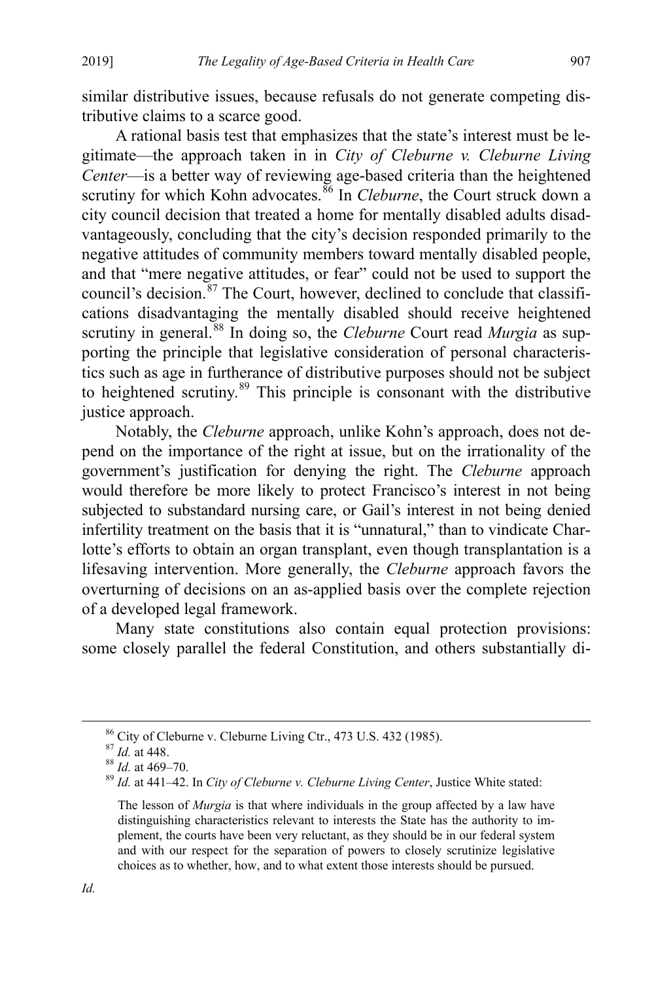similar distributive issues, because refusals do not generate competing distributive claims to a scarce good.

A rational basis test that emphasizes that the state's interest must be legitimate—the approach taken in in *City of Cleburne v. Cleburne Living Center*—is a better way of reviewing age-based criteria than the heightened scrutiny for which Kohn advocates.<sup>[86](#page-20-0)</sup> In *Cleburne*, the Court struck down a city council decision that treated a home for mentally disabled adults disadvantageously, concluding that the city's decision responded primarily to the negative attitudes of community members toward mentally disabled people, and that "mere negative attitudes, or fear" could not be used to support the council's decision. $87$  The Court, however, declined to conclude that classifications disadvantaging the mentally disabled should receive heightened scrutiny in general.[88](#page-20-2) In doing so, the *Cleburne* Court read *Murgia* as supporting the principle that legislative consideration of personal characteristics such as age in furtherance of distributive purposes should not be subject to heightened scrutiny.<sup>[89](#page-20-3)</sup> This principle is consonant with the distributive justice approach.

Notably, the *Cleburne* approach, unlike Kohn's approach, does not depend on the importance of the right at issue, but on the irrationality of the government's justification for denying the right. The *Cleburne* approach would therefore be more likely to protect Francisco's interest in not being subjected to substandard nursing care, or Gail's interest in not being denied infertility treatment on the basis that it is "unnatural," than to vindicate Charlotte's efforts to obtain an organ transplant, even though transplantation is a lifesaving intervention. More generally, the *Cleburne* approach favors the overturning of decisions on an as-applied basis over the complete rejection of a developed legal framework.

Many state constitutions also contain equal protection provisions: some closely parallel the federal Constitution, and others substantially di-

<span id="page-20-1"></span><span id="page-20-0"></span>

<span id="page-20-3"></span><span id="page-20-2"></span>

<sup>86</sup> City of Cleburne v. Cleburne Living Ctr., 473 U.S. 432 (1985).<br><sup>87</sup> *Id.* at 448.<br><sup>88</sup> *Id.* at 440–70. <br><sup>89</sup> *Id.* at 441–42. In *City of Cleburne v. Cleburne Living Center*, Justice White stated:

The lesson of *Murgia* is that where individuals in the group affected by a law have distinguishing characteristics relevant to interests the State has the authority to implement, the courts have been very reluctant, as they should be in our federal system and with our respect for the separation of powers to closely scrutinize legislative choices as to whether, how, and to what extent those interests should be pursued.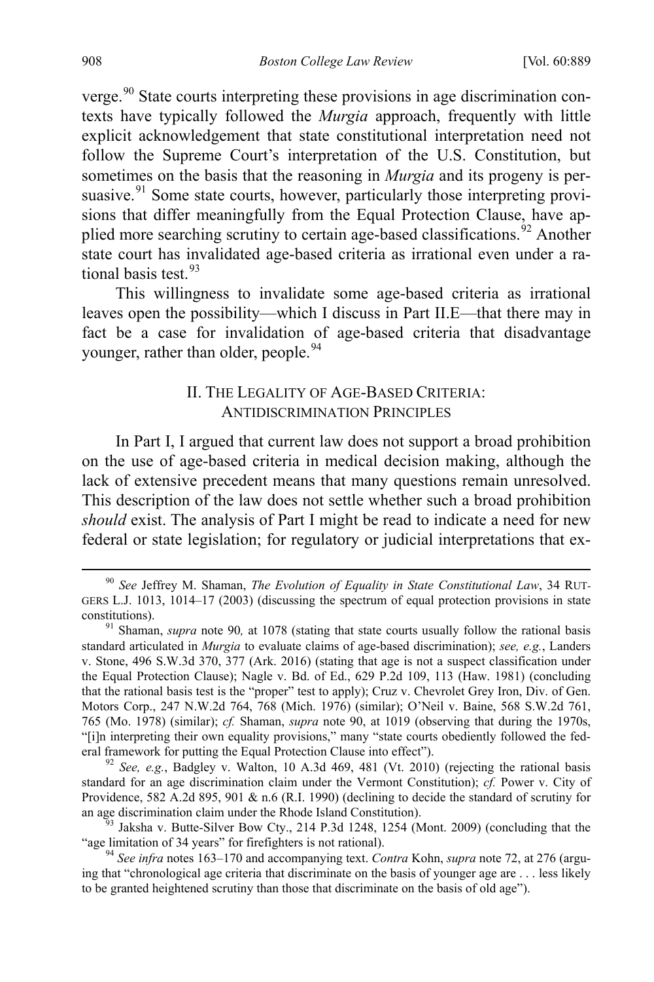<span id="page-21-1"></span>verge.<sup>[90](#page-21-2)</sup> State courts interpreting these provisions in age discrimination contexts have typically followed the *Murgia* approach, frequently with little explicit acknowledgement that state constitutional interpretation need not follow the Supreme Court's interpretation of the U.S. Constitution, but sometimes on the basis that the reasoning in *Murgia* and its progeny is persuasive. <sup>91</sup> Some state courts, however, particularly those interpreting provisions that differ meaningfully from the Equal Protection Clause, have ap-plied more searching scrutiny to certain age-based classifications.<sup>[92](#page-21-4)</sup> Another state court has invalidated age-based criteria as irrational even under a ra-tional basis test.<sup>[93](#page-21-5)</sup>

This willingness to invalidate some age-based criteria as irrational leaves open the possibility—which I discuss in Part II.E—that there may in fact be a case for invalidation of age-based criteria that disadvantage younger, rather than older, people.<sup>[94](#page-21-6)</sup>

# <span id="page-21-0"></span>II. THE LEGALITY OF AGE-BASED CRITERIA: ANTIDISCRIMINATION PRINCIPLES

In Part I, I argued that current law does not support a broad prohibition on the use of age-based criteria in medical decision making, although the lack of extensive precedent means that many questions remain unresolved. This description of the law does not settle whether such a broad prohibition *should* exist. The analysis of Part I might be read to indicate a need for new federal or state legislation; for regulatory or judicial interpretations that ex-

<span id="page-21-4"></span><sup>92</sup> See, e.g., Badgley v. Walton, 10 A.3d 469, 481 (Vt. 2010) (rejecting the rational basis standard for an age discrimination claim under the Vermont Constitution); *cf.* Power v. City of Providence, 582 A.2d 895, 901 & n.6 (R.I. 1990) (declining to decide the standard of scrutiny for an age discrimination claim under the Rhode Island Constitution).

<span id="page-21-2"></span> <sup>90</sup> *See* Jeffrey M. Shaman, *The Evolution of Equality in State Constitutional Law*, 34 RUT-GERS L.J. 1013, 1014–17 (2003) (discussing the spectrum of equal protection provisions in state constitutions). 91 Shaman, *supra* note [90](#page-21-1)*,* at 1078 (stating that state courts usually follow the rational basis

<span id="page-21-3"></span>standard articulated in *Murgia* to evaluate claims of age-based discrimination); *see, e.g.*, Landers v. Stone, 496 S.W.3d 370, 377 (Ark. 2016) (stating that age is not a suspect classification under the Equal Protection Clause); Nagle v. Bd. of Ed., 629 P.2d 109, 113 (Haw. 1981) (concluding that the rational basis test is the "proper" test to apply); Cruz v. Chevrolet Grey Iron, Div. of Gen. Motors Corp., 247 N.W.2d 764, 768 (Mich. 1976) (similar); O'Neil v. Baine, 568 S.W.2d 761, 765 (Mo. 1978) (similar); *cf.* Shaman, *supra* note [90,](#page-21-1) at 1019 (observing that during the 1970s, "[i]n interpreting their own equality provisions," many "state courts obediently followed the fed-<br>eral framework for putting the Equal Protection Clause into effect").

<span id="page-21-5"></span> $93$  Jaksha v. Butte-Silver Bow Cty., 214 P.3d 1248, 1254 (Mont. 2009) (concluding that the "age limitation of 34 years" for firefighters is not rational).

<span id="page-21-6"></span><sup>&</sup>lt;sup>94</sup> See infra note[s 163](#page-34-0)[–170](#page-35-0) and accompanying text. Contra Kohn, *supra* not[e 72,](#page-17-0) at 276 (arguing that "chronological age criteria that discriminate on the basis of younger age are . . . less likely to be granted heightened scrutiny than those that discriminate on the basis of old age").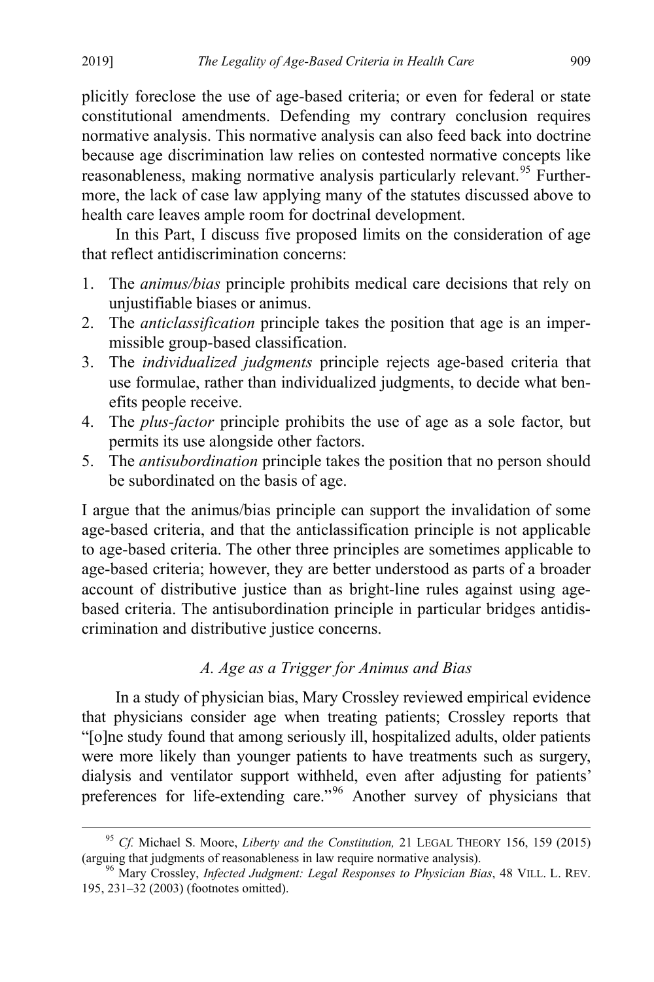plicitly foreclose the use of age-based criteria; or even for federal or state constitutional amendments. Defending my contrary conclusion requires normative analysis. This normative analysis can also feed back into doctrine because age discrimination law relies on contested normative concepts like reasonableness, making normative analysis particularly relevant.<sup>[95](#page-22-1)</sup> Furthermore, the lack of case law applying many of the statutes discussed above to health care leaves ample room for doctrinal development.

<span id="page-22-0"></span>In this Part, I discuss five proposed limits on the consideration of age that reflect antidiscrimination concerns:

- 1. The *animus/bias* principle prohibits medical care decisions that rely on unjustifiable biases or animus.
- 2. The *anticlassification* principle takes the position that age is an impermissible group-based classification.
- 3. The *individualized judgments* principle rejects age-based criteria that use formulae, rather than individualized judgments, to decide what benefits people receive.
- 4. The *plus-factor* principle prohibits the use of age as a sole factor, but permits its use alongside other factors.
- 5. The *antisubordination* principle takes the position that no person should be subordinated on the basis of age.

I argue that the animus/bias principle can support the invalidation of some age-based criteria, and that the anticlassification principle is not applicable to age-based criteria. The other three principles are sometimes applicable to age-based criteria; however, they are better understood as parts of a broader account of distributive justice than as bright-line rules against using agebased criteria. The antisubordination principle in particular bridges antidiscrimination and distributive justice concerns.

# <span id="page-22-3"></span>*A. Age as a Trigger for Animus and Bias*

In a study of physician bias, Mary Crossley reviewed empirical evidence that physicians consider age when treating patients; Crossley reports that "[o]ne study found that among seriously ill, hospitalized adults, older patients were more likely than younger patients to have treatments such as surgery, dialysis and ventilator support withheld, even after adjusting for patients' preferences for life-extending care."[96](#page-22-2) Another survey of physicians that

<span id="page-22-1"></span> <sup>95</sup> *Cf.* Michael S. Moore, *Liberty and the Constitution,* 21 LEGAL THEORY 156, 159 (2015) (arguing that judgments of reasonableness in law require normative analysis). 96 Mary Crossley, *Infected Judgment: Legal Responses to Physician Bias*, 48 VILL. L. REV.

<span id="page-22-2"></span><sup>195, 231–32 (2003) (</sup>footnotes omitted).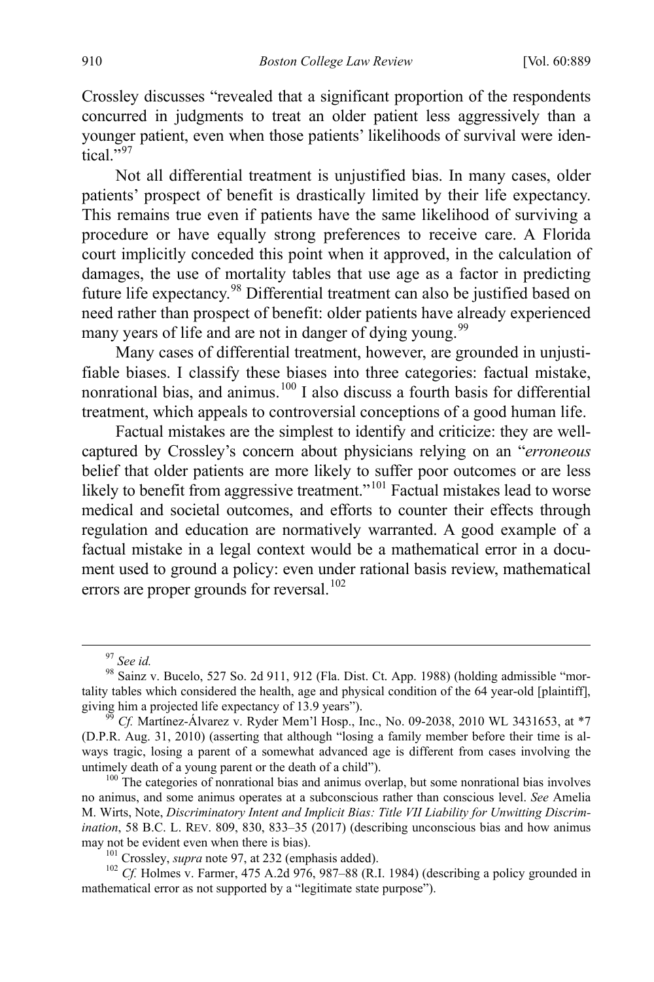Crossley discusses "revealed that a significant proportion of the respondents concurred in judgments to treat an older patient less aggressively than a younger patient, even when those patients' likelihoods of survival were iden- $\frac{1}{2}$ tical.<sup>5[97](#page-23-1)</sup>

<span id="page-23-0"></span>Not all differential treatment is unjustified bias. In many cases, older patients' prospect of benefit is drastically limited by their life expectancy. This remains true even if patients have the same likelihood of surviving a procedure or have equally strong preferences to receive care. A Florida court implicitly conceded this point when it approved, in the calculation of damages, the use of mortality tables that use age as a factor in predicting future life expectancy.<sup>[98](#page-23-2)</sup> Differential treatment can also be justified based on need rather than prospect of benefit: older patients have already experienced many years of life and are not in danger of dying young.<sup>[99](#page-23-3)</sup>

Many cases of differential treatment, however, are grounded in unjustifiable biases. I classify these biases into three categories: factual mistake, nonrational bias, and animus.<sup>[100](#page-23-4)</sup> I also discuss a fourth basis for differential treatment, which appeals to controversial conceptions of a good human life.

Factual mistakes are the simplest to identify and criticize: they are wellcaptured by Crossley's concern about physicians relying on an "*erroneous* belief that older patients are more likely to suffer poor outcomes or are less likely to benefit from aggressive treatment."<sup>[101](#page-23-5)</sup> Factual mistakes lead to worse medical and societal outcomes, and efforts to counter their effects through regulation and education are normatively warranted. A good example of a factual mistake in a legal context would be a mathematical error in a document used to ground a policy: even under rational basis review, mathematical errors are proper grounds for reversal.<sup>[102](#page-23-6)</sup>

<span id="page-23-4"></span>no animus, and some animus operates at a subconscious rather than conscious level. *See* Amelia M. Wirts, Note, *Discriminatory Intent and Implicit Bias: Title VII Liability for Unwitting Discrimination*, 58 B.C. L. REV. 809, 830, 833–35 (2017) (describing unconscious bias and how animus may not be evident even when there is bias).<br><sup>101</sup> Crossley, *supra* not[e 97,](#page-23-0) at 232 (emphasis added).<br><sup>102</sup> *Cf.* Holmes v. Farmer, 475 A.2d 976, 987–88 (R.I. 1984) (describing a policy grounded in

<span id="page-23-6"></span><span id="page-23-5"></span>mathematical error as not supported by a "legitimate state purpose").

<span id="page-23-2"></span><span id="page-23-1"></span><sup>&</sup>lt;sup>97</sup> *See id.*<br><sup>98</sup> Sainz v. Bucelo, 527 So. 2d 911, 912 (Fla. Dist. Ct. App. 1988) (holding admissible "mortality tables which considered the health, age and physical condition of the 64 year-old [plaintiff], giving him a projected life expectancy of 13.9 years").<br><sup>99</sup> *Cf.* Martínez-Álvarez v. Ryder Mem'l Hosp., Inc., No. 09-2038, 2010 WL 3431653, at \*7

<span id="page-23-3"></span><sup>(</sup>D.P.R. Aug. 31, 2010) (asserting that although "losing a family member before their time is always tragic, losing a parent of a somewhat advanced age is different from cases involving the untimely death of a young parent or the death of a child").<br><sup>100</sup> The categories of nonrational bias and animus overlap, but some nonrational bias involves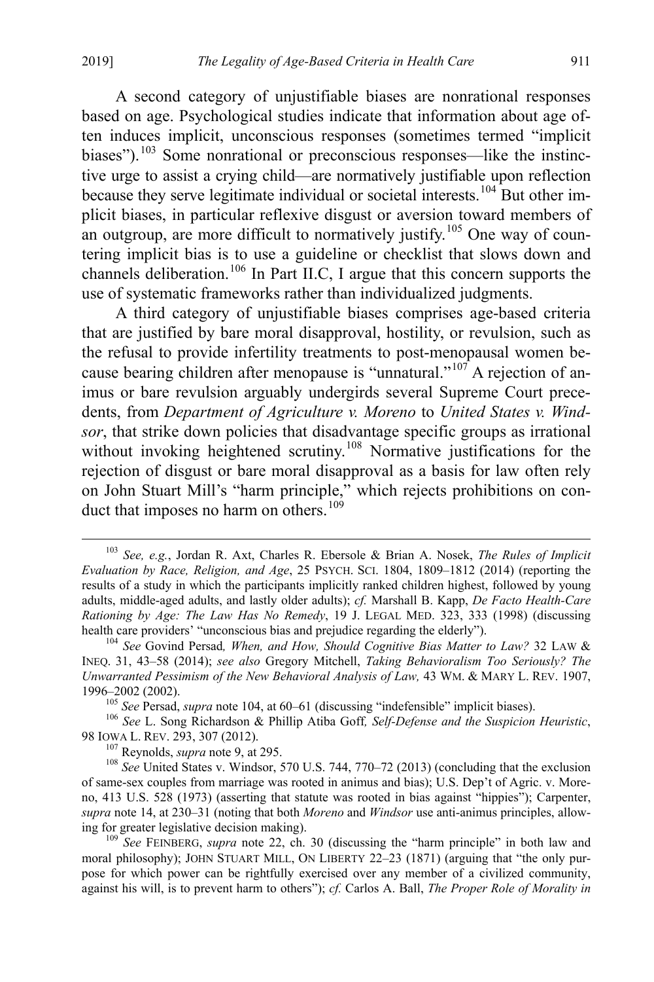<span id="page-24-8"></span><span id="page-24-0"></span>A second category of unjustifiable biases are nonrational responses based on age. Psychological studies indicate that information about age often induces implicit, unconscious responses (sometimes termed "implicit biases").<sup>[103](#page-24-1)</sup> Some nonrational or preconscious responses—like the instinctive urge to assist a crying child—are normatively justifiable upon reflection because they serve legitimate individual or societal interests.<sup>[104](#page-24-2)</sup> But other implicit biases, in particular reflexive disgust or aversion toward members of an outgroup, are more difficult to normatively justify.<sup>[105](#page-24-3)</sup> One way of countering implicit bias is to use a guideline or checklist that slows down and channels deliberation.<sup>[106](#page-24-4)</sup> In Part II.C, I argue that this concern supports the use of systematic frameworks rather than individualized judgments.

A third category of unjustifiable biases comprises age-based criteria that are justified by bare moral disapproval, hostility, or revulsion, such as the refusal to provide infertility treatments to post-menopausal women be-cause bearing children after menopause is "unnatural."<sup>[107](#page-24-5)</sup> A rejection of animus or bare revulsion arguably undergirds several Supreme Court precedents, from *Department of Agriculture v. Moreno* to *United States v. Windsor*, that strike down policies that disadvantage specific groups as irrational without invoking heightened scrutiny.<sup>[108](#page-24-6)</sup> Normative justifications for the rejection of disgust or bare moral disapproval as a basis for law often rely on John Stuart Mill's "harm principle," which rejects prohibitions on con-duct that imposes no harm on others.<sup>[109](#page-24-7)</sup>

<span id="page-24-4"></span><span id="page-24-3"></span><sup>105</sup> See Persad, *supra* not[e 104,](#page-24-0) at 60–61 (discussing "indefensible" implicit biases). <sup>106</sup> See L. Song Richardson & Phillip Atiba Goff, Self-Defense and the Suspicion Heuristic, 98 IOWA L. REV. 293, 307 (2012).<br><sup>107</sup> Reynolds, *supra* note [9,](#page-5-5) at 295.<br><sup>108</sup> *See* United States v. Windsor, 570 U.S. 744, 770–72 (2013) (concluding that the exclusion

<span id="page-24-6"></span><span id="page-24-5"></span>of same-sex couples from marriage was rooted in animus and bias); U.S. Dep't of Agric. v. Moreno, 413 U.S. 528 (1973) (asserting that statute was rooted in bias against "hippies"); Carpenter, *supra* not[e 14,](#page-6-6) at 230–31 (noting that both *Moreno* and *Windsor* use anti-animus principles, allowing for greater legislative decision making). 109 *See* FEINBERG, *supra* note [22,](#page-7-7) ch. 30 (discussing the "harm principle" in both law and

<span id="page-24-7"></span>moral philosophy); JOHN STUART MILL, ON LIBERTY 22–23 (1871) (arguing that "the only purpose for which power can be rightfully exercised over any member of a civilized community, against his will, is to prevent harm to others"); *cf.* Carlos A. Ball, *The Proper Role of Morality in* 

<span id="page-24-1"></span> <sup>103</sup> *See, e.g.*, Jordan R. Axt, Charles R. Ebersole & Brian A. Nosek, *The Rules of Implicit Evaluation by Race, Religion, and Age*, 25 PSYCH. SCI. 1804, 1809–1812 (2014) (reporting the results of a study in which the participants implicitly ranked children highest, followed by young adults, middle-aged adults, and lastly older adults); *cf.* Marshall B. Kapp, *De Facto Health-Care Rationing by Age: The Law Has No Remedy*, 19 J. LEGAL MED. 323, 333 (1998) (discussing health care providers' "unconscious bias and prejudice regarding the elderly").<br><sup>104</sup> See Govind Persad, *When, and How, Should Cognitive Bias Matter to Law?* 32 LAW &

<span id="page-24-2"></span>INEQ. 31, 43–58 (2014); *see also* Gregory Mitchell, *Taking Behavioralism Too Seriously? The Unwarranted Pessimism of the New Behavioral Analysis of Law, 43 WM. & MARY L. REV. 1907, 1996–2002 (2002).*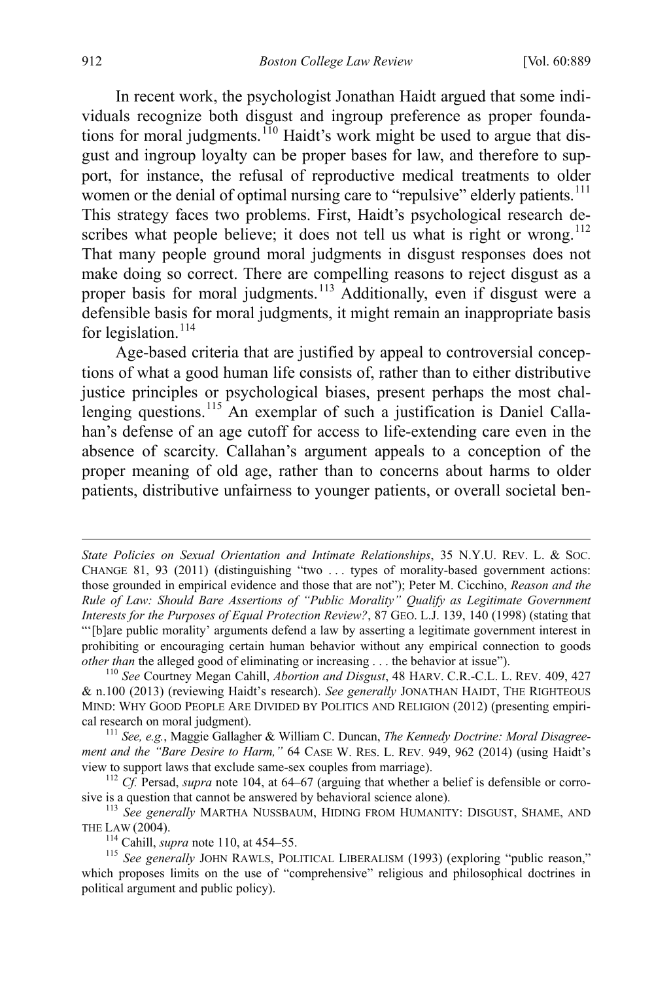<span id="page-25-0"></span>In recent work, the psychologist Jonathan Haidt argued that some individuals recognize both disgust and ingroup preference as proper founda-tions for moral judgments.<sup>[110](#page-25-1)</sup> Haidt's work might be used to argue that disgust and ingroup loyalty can be proper bases for law, and therefore to support, for instance, the refusal of reproductive medical treatments to older women or the denial of optimal nursing care to "repulsive" elderly patients.<sup>[111](#page-25-2)</sup> This strategy faces two problems. First, Haidt's psychological research de-scribes what people believe; it does not tell us what is right or wrong.<sup>[112](#page-25-3)</sup> That many people ground moral judgments in disgust responses does not make doing so correct. There are compelling reasons to reject disgust as a proper basis for moral judgments.<sup>[113](#page-25-4)</sup> Additionally, even if disgust were a defensible basis for moral judgments, it might remain an inappropriate basis for legislation.<sup>[114](#page-25-5)</sup>

Age-based criteria that are justified by appeal to controversial conceptions of what a good human life consists of, rather than to either distributive justice principles or psychological biases, present perhaps the most chal-lenging questions.<sup>[115](#page-25-6)</sup> An exemplar of such a justification is Daniel Callahan's defense of an age cutoff for access to life-extending care even in the absence of scarcity. Callahan's argument appeals to a conception of the proper meaning of old age, rather than to concerns about harms to older patients, distributive unfairness to younger patients, or overall societal ben-

 $\overline{a}$ 

*State Policies on Sexual Orientation and Intimate Relationships*, 35 N.Y.U. REV. L. & SOC. CHANGE 81, 93 (2011) (distinguishing "two . . . types of morality-based government actions: those grounded in empirical evidence and those that are not"); Peter M. Cicchino, *Reason and the Rule of Law: Should Bare Assertions of "Public Morality" Qualify as Legitimate Government Interests for the Purposes of Equal Protection Review?*, 87 GEO. L.J. 139, 140 (1998) (stating that "'[b]are public morality' arguments defend a law by asserting a legitimate government interest in prohibiting or encouraging certain human behavior without any empirical connection to goods *other than* the alleged good of eliminating or increasing . . . the behavior at issue"). <sup>110</sup> *See* Courtney Megan Cahill, *Abortion and Disgust*, 48 HARV. C.R.-C.L. L. REV. 409, 427

<span id="page-25-1"></span><sup>&</sup>amp; n.100 (2013) (reviewing Haidt's research). *See generally* JONATHAN HAIDT, THE RIGHTEOUS MIND: WHY GOOD PEOPLE ARE DIVIDED BY POLITICS AND RELIGION (2012) (presenting empirical research on moral judgment). 111 *See, e.g.*, Maggie Gallagher & William C. Duncan, *The Kennedy Doctrine: Moral Disagree-*

<span id="page-25-2"></span>*ment and the "Bare Desire to Harm,"* 64 CASE W. RES. L. REV. 949, 962 (2014) (using Haidt's view to support laws that exclude same-sex couples from marriage). <sup>112</sup> *Cf.* Persad, *supra* not[e 104,](#page-24-0) at 64–67 (arguing that whether a belief is defensible or corro-

<span id="page-25-3"></span>

<span id="page-25-4"></span>sive is a question that cannot be answered by behavioral science alone).<br><sup>113</sup> See generally MARTHA NUSSBAUM, HIDING FROM HUMANITY: DISGUST, SHAME, AND THE LAW (2004).

<span id="page-25-6"></span><span id="page-25-5"></span><sup>&</sup>lt;sup>114</sup> Cahill, *supra* not[e 110,](#page-25-0) at 454–55.<br><sup>115</sup> *See generally* JOHN RAWLS, POLITICAL LIBERALISM (1993) (exploring "public reason," which proposes limits on the use of "comprehensive" religious and philosophical doctrines in political argument and public policy).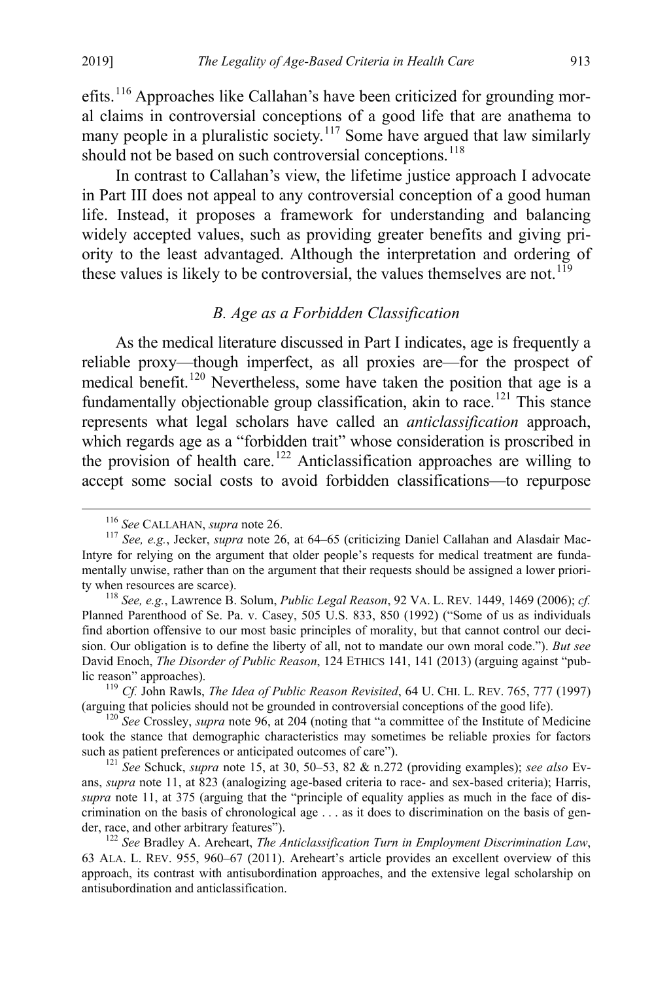<span id="page-26-8"></span>efits.<sup>[116](#page-26-0)</sup> Approaches like Callahan's have been criticized for grounding moral claims in controversial conceptions of a good life that are anathema to many people in a pluralistic society.<sup>[117](#page-26-1)</sup> Some have argued that law similarly should not be based on such controversial conceptions.<sup>[118](#page-26-2)</sup>

In contrast to Callahan's view, the lifetime justice approach I advocate in Part III does not appeal to any controversial conception of a good human life. Instead, it proposes a framework for understanding and balancing widely accepted values, such as providing greater benefits and giving priority to the least advantaged. Although the interpretation and ordering of these values is likely to be controversial, the values themselves are not.<sup>[119](#page-26-3)</sup>

# <span id="page-26-10"></span><span id="page-26-9"></span><span id="page-26-7"></span>*B. Age as a Forbidden Classification*

As the medical literature discussed in Part I indicates, age is frequently a reliable proxy—though imperfect, as all proxies are—for the prospect of medical benefit.<sup>[120](#page-26-4)</sup> Nevertheless, some have taken the position that age is a fundamentally objectionable group classification, akin to race.<sup>[121](#page-26-5)</sup> This stance represents what legal scholars have called an *anticlassification* approach, which regards age as a "forbidden trait" whose consideration is proscribed in the provision of health care.<sup>[122](#page-26-6)</sup> Anticlassification approaches are willing to accept some social costs to avoid forbidden classifications—to repurpose

<span id="page-26-1"></span><span id="page-26-0"></span><sup>&</sup>lt;sup>116</sup> See CALLAHAN, *supra* note 26.<br><sup>117</sup> *See, e.g.*, Jecker, *supra* note [26,](#page-8-5) at 64–65 (criticizing Daniel Callahan and Alasdair Mac-Intyre for relying on the argument that older people's requests for medical treatment are fundamentally unwise, rather than on the argument that their requests should be assigned a lower priority when resources are scarce). <sup>118</sup> *See, e.g.*, Lawrence B. Solum, *Public Legal Reason*, 92 VA. L. REV*.* 1449, 1469 (2006); *cf.* 

<span id="page-26-2"></span>Planned Parenthood of Se. Pa. v. Casey, 505 U.S. 833, 850 (1992) ("Some of us as individuals find abortion offensive to our most basic principles of morality, but that cannot control our decision. Our obligation is to define the liberty of all, not to mandate our own moral code."). *But see*  David Enoch, *The Disorder of Public Reason*, 124 ETHICS 141, 141 (2013) (arguing against "public reason" approaches). 119 *Cf.* John Rawls, *The Idea of Public Reason Revisited*, 64 U. CHI. L. REV. 765, 777 (1997)

<span id="page-26-3"></span><sup>(</sup>arguing that policies should not be grounded in controversial conceptions of the good life). 120 *See* Crossley, *supra* note [96,](#page-22-3) at 204 (noting that "a committee of the Institute of Medicine

<span id="page-26-4"></span>took the stance that demographic characteristics may sometimes be reliable proxies for factors such as patient preferences or anticipated outcomes of care").<br><sup>121</sup> See Schuck, *supra* not[e 15,](#page-6-5) at 30, 50–53, 82 & n.272 (providing examples); *see also* Ev-

<span id="page-26-5"></span>ans, *supra* note [11,](#page-5-6) at 823 (analogizing age-based criteria to race- and sex-based criteria); Harris, *supra* note [11,](#page-5-6) at 375 (arguing that the "principle of equality applies as much in the face of discrimination on the basis of chronological age . . . as it does to discrimination on the basis of gender, race, and other arbitrary features"). 122 *See* Bradley A. Areheart, *The Anticlassification Turn in Employment Discrimination Law*,

<span id="page-26-6"></span><sup>63</sup> ALA. L. REV. 955, 960–67 (2011). Areheart's article provides an excellent overview of this approach, its contrast with antisubordination approaches, and the extensive legal scholarship on antisubordination and anticlassification.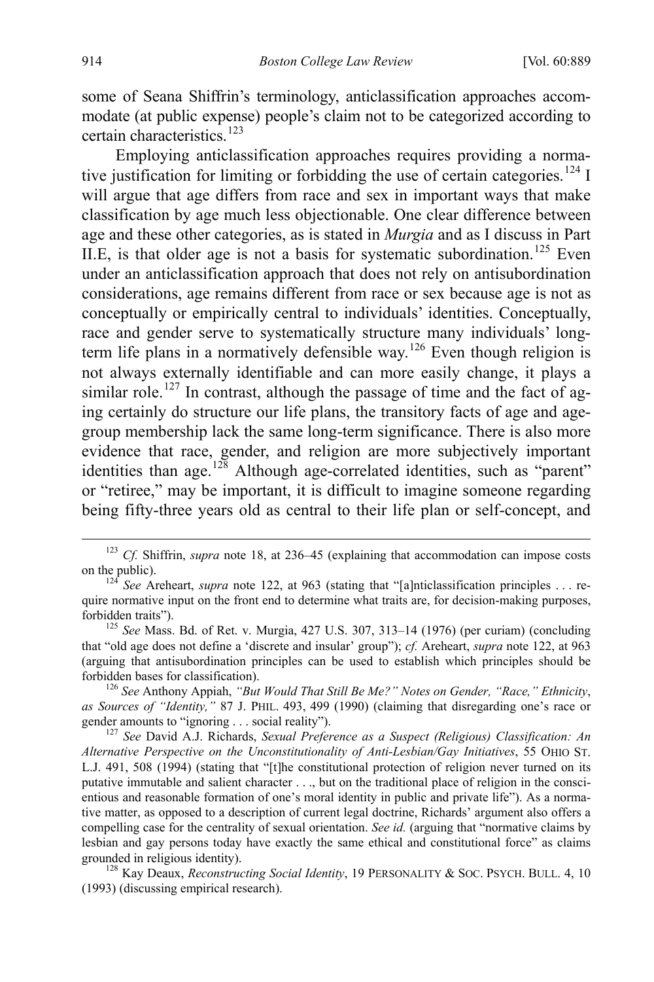some of Seana Shiffrin's terminology, anticlassification approaches accommodate (at public expense) people's claim not to be categorized according to certain characteristics.<sup>[123](#page-27-0)</sup>

Employing anticlassification approaches requires providing a norma-tive justification for limiting or forbidding the use of certain categories.<sup>[124](#page-27-1)</sup> I will argue that age differs from race and sex in important ways that make classification by age much less objectionable. One clear difference between age and these other categories, as is stated in *Murgia* and as I discuss in Part II.E, is that older age is not a basis for systematic subordination.<sup>[125](#page-27-2)</sup> Even under an anticlassification approach that does not rely on antisubordination considerations, age remains different from race or sex because age is not as conceptually or empirically central to individuals' identities. Conceptually, race and gender serve to systematically structure many individuals' long-term life plans in a normatively defensible way.<sup>[126](#page-27-3)</sup> Even though religion is not always externally identifiable and can more easily change, it plays a similar role.<sup>[127](#page-27-4)</sup> In contrast, although the passage of time and the fact of aging certainly do structure our life plans, the transitory facts of age and agegroup membership lack the same long-term significance. There is also more evidence that race, gender, and religion are more subjectively important identities than age.<sup>[128](#page-27-5)</sup> Although age-correlated identities, such as "parent" or "retiree," may be important, it is difficult to imagine someone regarding being fifty-three years old as central to their life plan or self-concept, and

<span id="page-27-0"></span><sup>&</sup>lt;sup>123</sup> *Cf.* Shiffrin, *supra* note [18,](#page-7-0) at 236–45 (explaining that accommodation can impose costs on the public). 124 *See* Areheart, *supra* note [122,](#page-26-7) at 963 (stating that "[a]nticlassification principles . . . re-

<span id="page-27-1"></span>quire normative input on the front end to determine what traits are, for decision-making purposes, forbidden traits").<br><sup>125</sup> *See* Mass. Bd. of Ret. v. Murgia, 427 U.S. 307, 313–14 (1976) (per curiam) (concluding

<span id="page-27-2"></span>that "old age does not define a 'discrete and insular' group"); *cf.* Areheart, *supra* not[e 122,](#page-26-7) at 963 (arguing that antisubordination principles can be used to establish which principles should be forbidden bases for classification). <sup>126</sup> *See* Anthony Appiah, *"But Would That Still Be Me?" Notes on Gender, "Race," Ethnicity*,

<span id="page-27-3"></span>*as Sources of "Identity,"* 87 J. PHIL. 493, 499 (1990) (claiming that disregarding one's race or gender amounts to "ignoring . . . social reality").<br><sup>127</sup> See David A.J. Richards, *Sexual Preference as a Suspect (Religious) Classification: An* 

<span id="page-27-4"></span>*Alternative Perspective on the Unconstitutionality of Anti-Lesbian/Gay Initiatives*, 55 OHIO ST. L.J. 491, 508 (1994) (stating that "[t]he constitutional protection of religion never turned on its putative immutable and salient character . . ., but on the traditional place of religion in the conscientious and reasonable formation of one's moral identity in public and private life"). As a normative matter, as opposed to a description of current legal doctrine, Richards' argument also offers a compelling case for the centrality of sexual orientation. *See id.* (arguing that "normative claims by lesbian and gay persons today have exactly the same ethical and constitutional force" as claims grounded in religious identity).<br><sup>128</sup> Kay Deaux, *Reconstructing Social Identity*, 19 PERSONALITY & SOC. PSYCH. BULL. 4, 10

<span id="page-27-5"></span><sup>(1993) (</sup>discussing empirical research).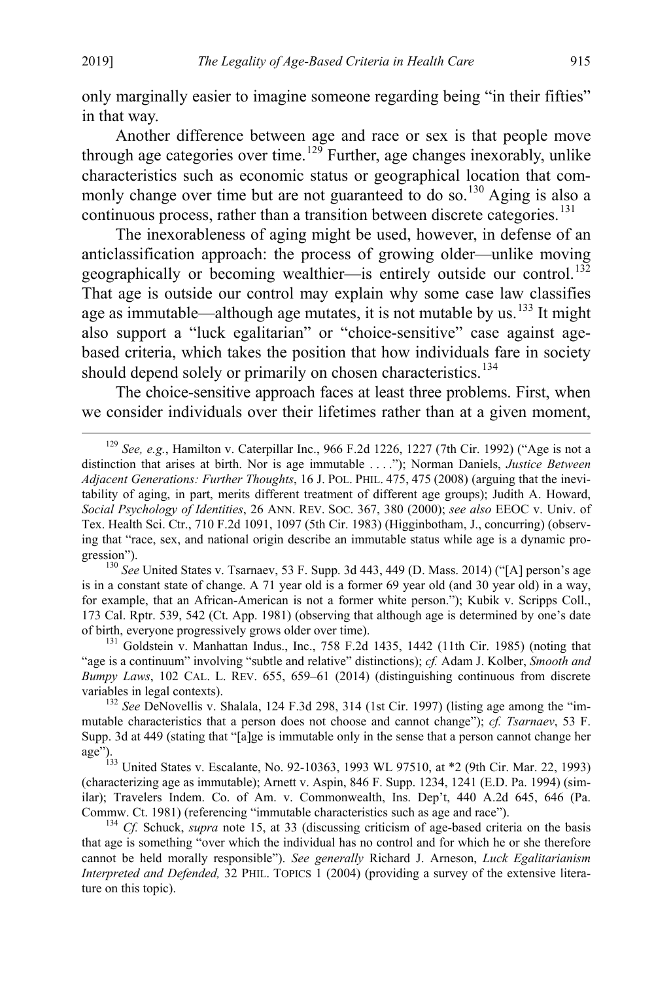only marginally easier to imagine someone regarding being "in their fifties" in that way.

<span id="page-28-6"></span>Another difference between age and race or sex is that people move through age categories over time.<sup>[129](#page-28-0)</sup> Further, age changes inexorably, unlike characteristics such as economic status or geographical location that com-monly change over time but are not guaranteed to do so.<sup>[130](#page-28-1)</sup> Aging is also a continuous process, rather than a transition between discrete categories.<sup>[131](#page-28-2)</sup>

<span id="page-28-7"></span>The inexorableness of aging might be used, however, in defense of an anticlassification approach: the process of growing older—unlike moving geographically or becoming wealthier—is entirely outside our control.<sup>[132](#page-28-3)</sup> That age is outside our control may explain why some case law classifies age as immutable—although age mutates, it is not mutable by us. $133$  It might also support a "luck egalitarian" or "choice-sensitive" case against agebased criteria, which takes the position that how individuals fare in society should depend solely or primarily on chosen characteristics.<sup>[134](#page-28-5)</sup>

The choice-sensitive approach faces at least three problems. First, when we consider individuals over their lifetimes rather than at a given moment,

<span id="page-28-1"></span>is in a constant state of change. A 71 year old is a former 69 year old (and 30 year old) in a way, for example, that an African-American is not a former white person."); Kubik v. Scripps Coll., 173 Cal. Rptr. 539, 542 (Ct. App. 1981) (observing that although age is determined by one's date of birth, everyone progressively grows older over time).<br><sup>131</sup> Goldstein v. Manhattan Indus., Inc., 758 F.2d 1435, 1442 (11th Cir. 1985) (noting that

<span id="page-28-2"></span>"age is a continuum" involving "subtle and relative" distinctions); *cf.* Adam J. Kolber, *Smooth and Bumpy Laws*, 102 CAL. L. REV. 655, 659–61 (2014) (distinguishing continuous from discrete variables in legal contexts).<br><sup>132</sup> *See* DeNovellis v. Shalala, 124 F.3d 298, 314 (1st Cir. 1997) (listing age among the "im-

<span id="page-28-4"></span><sup>133</sup> United States v. Escalante, No. 92-10363, 1993 WL 97510, at \*2 (9th Cir. Mar. 22, 1993) (characterizing age as immutable); Arnett v. Aspin, 846 F. Supp. 1234, 1241 (E.D. Pa. 1994) (similar); Travelers Indem. Co. of Am. v. Commonwealth, Ins. Dep't, 440 A.2d 645, 646 (Pa. Commw. Ct. 1981) (referencing "immutable characteristics such as age and race").<br><sup>134</sup> *Cf.* Schuck, *supra* note [15,](#page-6-5) at 33 (discussing criticism of age-based criteria on the basis

<span id="page-28-5"></span>that age is something "over which the individual has no control and for which he or she therefore cannot be held morally responsible"). *See generally* Richard J. Arneson, *Luck Egalitarianism Interpreted and Defended,* 32 PHIL. TOPICS 1 (2004) (providing a survey of the extensive literature on this topic).

<span id="page-28-0"></span> <sup>129</sup> *See, e.g.*, Hamilton v. Caterpillar Inc., 966 F.2d 1226, 1227 (7th Cir. 1992) ("Age is not a distinction that arises at birth. Nor is age immutable . . . ."); Norman Daniels, *Justice Between Adjacent Generations: Further Thoughts*, 16 J. POL. PHIL. 475, 475 (2008) (arguing that the inevitability of aging, in part, merits different treatment of different age groups); Judith A. Howard, *Social Psychology of Identities*, 26 ANN. REV. SOC. 367, 380 (2000); *see also* EEOC v. Univ. of Tex. Health Sci. Ctr., 710 F.2d 1091, 1097 (5th Cir. 1983) (Higginbotham, J., concurring) (observing that "race, sex, and national origin describe an immutable status while age is a dynamic progression").<br><sup>130</sup> See United States v. Tsarnaev, 53 F. Supp. 3d 443, 449 (D. Mass. 2014) ("[A] person's age

<span id="page-28-3"></span>mutable characteristics that a person does not choose and cannot change"); *cf. Tsarnaev*, 53 F. Supp. 3d at 449 (stating that "[a]ge is immutable only in the sense that a person cannot change her age").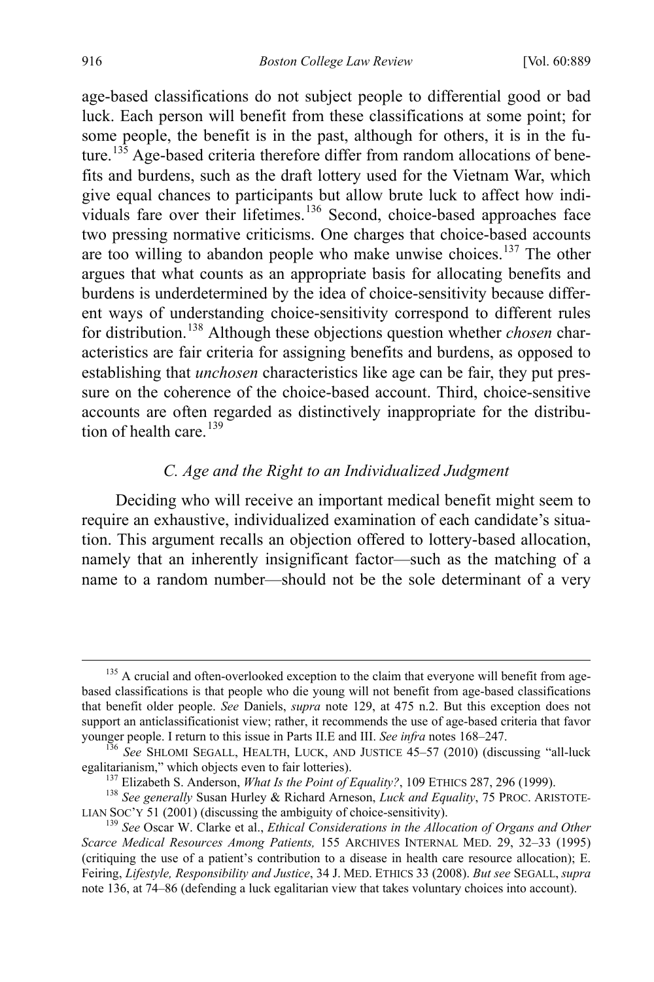<span id="page-29-0"></span>age-based classifications do not subject people to differential good or bad luck. Each person will benefit from these classifications at some point; for some people, the benefit is in the past, although for others, it is in the fu-ture.<sup>[135](#page-29-1)</sup> Age-based criteria therefore differ from random allocations of benefits and burdens, such as the draft lottery used for the Vietnam War, which give equal chances to participants but allow brute luck to affect how indi-viduals fare over their lifetimes.<sup>[136](#page-29-2)</sup> Second, choice-based approaches face two pressing normative criticisms. One charges that choice-based accounts are too willing to abandon people who make unwise choices.<sup>[137](#page-29-3)</sup> The other argues that what counts as an appropriate basis for allocating benefits and burdens is underdetermined by the idea of choice-sensitivity because different ways of understanding choice-sensitivity correspond to different rules for distribution.[138](#page-29-4) Although these objections question whether *chosen* characteristics are fair criteria for assigning benefits and burdens, as opposed to establishing that *unchosen* characteristics like age can be fair, they put pressure on the coherence of the choice-based account. Third, choice-sensitive accounts are often regarded as distinctively inappropriate for the distribu-tion of health care.<sup>[139](#page-29-5)</sup>

# <span id="page-29-7"></span><span id="page-29-6"></span>*C. Age and the Right to an Individualized Judgment*

Deciding who will receive an important medical benefit might seem to require an exhaustive, individualized examination of each candidate's situation. This argument recalls an objection offered to lottery-based allocation, namely that an inherently insignificant factor—such as the matching of a name to a random number—should not be the sole determinant of a very

<span id="page-29-1"></span><sup>&</sup>lt;sup>135</sup> A crucial and often-overlooked exception to the claim that everyone will benefit from agebased classifications is that people who die young will not benefit from age-based classifications that benefit older people. *See* Daniels, *supra* note [129,](#page-28-6) at 475 n.2. But this exception does not support an anticlassificationist view; rather, it recommends the use of age-based criteria that favor younger people. I return to this issue in Parts II.E and III. *See infra* note[s 168](#page-34-1)[–247.](#page-52-1)<br><sup>136</sup> *See* SHLOMI SEGALL, HEALTH, LUCK, AND JUSTICE 45–57 (2010) (discussing "all-luck

<span id="page-29-2"></span>egalitarianism," which objects even to fair lotteries).<br><sup>137</sup> Elizabeth S. Anderson, *What Is the Point of Equality?*, 109 ETHICS 287, 296 (1999).<br><sup>138</sup> See generally Susan Hurley & Richard Arneson, *Luck and Equality*, 75

<span id="page-29-4"></span><span id="page-29-3"></span>LIAN SOC'Y 51 (2001) (discussing the ambiguity of choice-sensitivity).<br><sup>139</sup> See Oscar W. Clarke et al., *Ethical Considerations in the Allocation of Organs and Other* 

<span id="page-29-5"></span>*Scarce Medical Resources Among Patients,* 155 ARCHIVES INTERNAL MED. 29, 32–33 (1995) (critiquing the use of a patient's contribution to a disease in health care resource allocation); E. Feiring, *Lifestyle, Responsibility and Justice*, 34 J. MED. ETHICS 33 (2008). *But see* SEGALL, *supra*  note [136,](#page-29-0) at 74–86 (defending a luck egalitarian view that takes voluntary choices into account).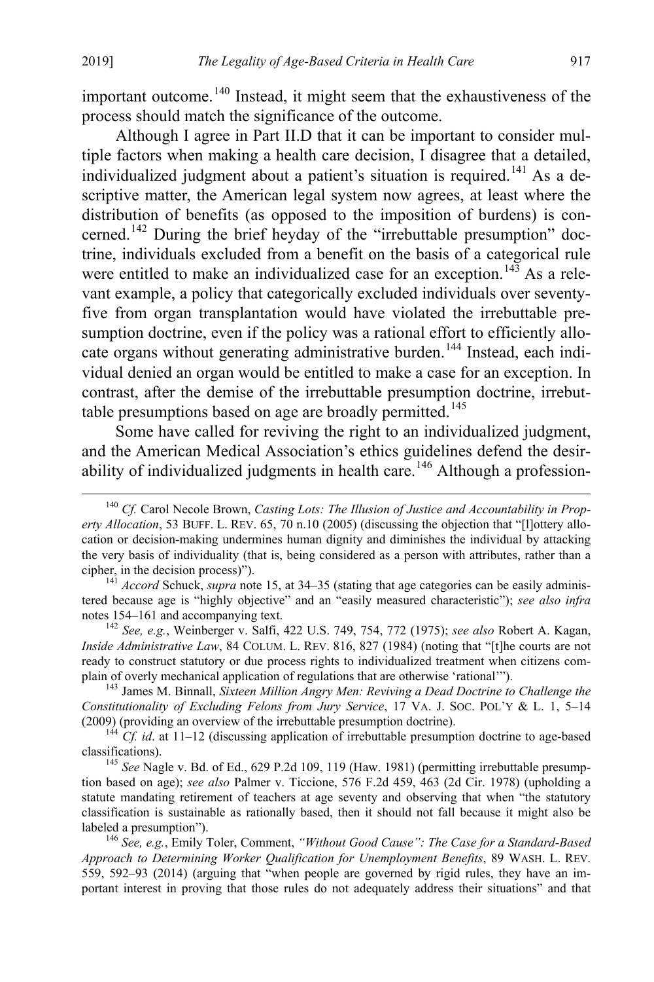<span id="page-30-0"></span>important outcome.<sup>[140](#page-30-1)</sup> Instead, it might seem that the exhaustiveness of the process should match the significance of the outcome.

Although I agree in Part II.D that it can be important to consider multiple factors when making a health care decision, I disagree that a detailed, individualized judgment about a patient's situation is required.<sup>[141](#page-30-2)</sup> As a descriptive matter, the American legal system now agrees, at least where the distribution of benefits (as opposed to the imposition of burdens) is concerned.[142](#page-30-3) During the brief heyday of the "irrebuttable presumption" doctrine, individuals excluded from a benefit on the basis of a categorical rule were entitled to make an individualized case for an exception.<sup>[143](#page-30-4)</sup> As a relevant example, a policy that categorically excluded individuals over seventyfive from organ transplantation would have violated the irrebuttable presumption doctrine, even if the policy was a rational effort to efficiently allo-cate organs without generating administrative burden.<sup>[144](#page-30-5)</sup> Instead, each individual denied an organ would be entitled to make a case for an exception. In contrast, after the demise of the irrebuttable presumption doctrine, irrebut-table presumptions based on age are broadly permitted.<sup>[145](#page-30-6)</sup>

Some have called for reviving the right to an individualized judgment, and the American Medical Association's ethics guidelines defend the desir-ability of individualized judgments in health care.<sup>[146](#page-30-7)</sup> Although a profession-

<span id="page-30-3"></span>*Inside Administrative Law*, 84 COLUM. L. REV. 816, 827 (1984) (noting that "[t]he courts are not ready to construct statutory or due process rights to individualized treatment when citizens complain of overly mechanical application of regulations that are otherwise 'rational'"). <sup>143</sup> James M. Binnall, *Sixteen Million Angry Men: Reviving a Dead Doctrine to Challenge the* 

<span id="page-30-4"></span>*Constitutionality of Excluding Felons from Jury Service*, 17 VA. J. SOC. POL'Y & L. 1, 5–14

<span id="page-30-5"></span>(2009) (providing an overview of the irrebuttable presumption doctrine).<br><sup>144</sup> *Cf. id*. at 11–12 (discussing application of irrebuttable presumption doctrine to age-based classifications).

<span id="page-30-6"></span>145 See Nagle v. Bd. of Ed., 629 P.2d 109, 119 (Haw. 1981) (permitting irrebuttable presumption based on age); *see also* Palmer v. Ticcione, 576 F.2d 459, 463 (2d Cir. 1978) (upholding a statute mandating retirement of teachers at age seventy and observing that when "the statutory classification is sustainable as rationally based, then it should not fall because it might also be labeled a presumption"). <sup>146</sup> *See, e.g.*, Emily Toler, Comment, *"Without Good Cause": The Case for a Standard-Based* 

<span id="page-30-7"></span>*Approach to Determining Worker Qualification for Unemployment Benefits*, 89 WASH. L. REV. 559, 592–93 (2014) (arguing that "when people are governed by rigid rules, they have an important interest in proving that those rules do not adequately address their situations" and that

<span id="page-30-1"></span><sup>&</sup>lt;sup>140</sup> *Cf.* Carol Necole Brown, *Casting Lots: The Illusion of Justice and Accountability in Property Allocation*, 53 BUFF. L. REV. 65, 70 n.10 (2005) (discussing the objection that "[l]ottery allocation or decision-making undermines human dignity and diminishes the individual by attacking the very basis of individuality (that is, being considered as a person with attributes, rather than a cipher, in the decision process)"). <sup>141</sup> *Accord* Schuck, *supra* not[e 15,](#page-6-5) at 34–35 (stating that age categories can be easily adminis-

<span id="page-30-2"></span>tered because age is "highly objective" and an "easily measured characteristic"); *see also infra* notes 154–161 and accompanying text. [142](#page-32-1) *See, e.g.*, Weinberger v. Salfi, 422 U.S. 749, 754, 772 (1975); *see also* Robert A. Kagan,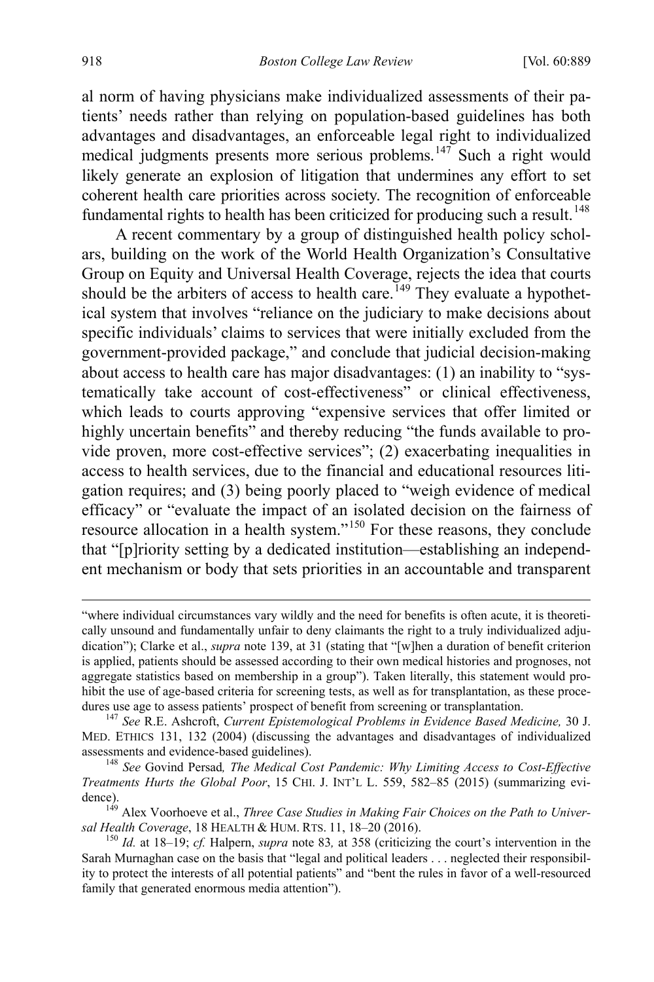al norm of having physicians make individualized assessments of their patients' needs rather than relying on population-based guidelines has both advantages and disadvantages, an enforceable legal right to individualized medical judgments presents more serious problems.<sup>[147](#page-31-0)</sup> Such a right would likely generate an explosion of litigation that undermines any effort to set coherent health care priorities across society. The recognition of enforceable fundamental rights to health has been criticized for producing such a result.<sup>[148](#page-31-1)</sup>

<span id="page-31-4"></span>A recent commentary by a group of distinguished health policy scholars, building on the work of the World Health Organization's Consultative Group on Equity and Universal Health Coverage, rejects the idea that courts should be the arbiters of access to health care.<sup>[149](#page-31-2)</sup> They evaluate a hypothetical system that involves "reliance on the judiciary to make decisions about specific individuals' claims to services that were initially excluded from the government-provided package," and conclude that judicial decision-making about access to health care has major disadvantages: (1) an inability to "systematically take account of cost-effectiveness" or clinical effectiveness, which leads to courts approving "expensive services that offer limited or highly uncertain benefits" and thereby reducing "the funds available to provide proven, more cost-effective services"; (2) exacerbating inequalities in access to health services, due to the financial and educational resources litigation requires; and (3) being poorly placed to "weigh evidence of medical efficacy" or "evaluate the impact of an isolated decision on the fairness of resource allocation in a health system."[150](#page-31-3) For these reasons, they conclude that "[p]riority setting by a dedicated institution—establishing an independent mechanism or body that sets priorities in an accountable and transparent

 $\overline{a}$ 

<sup>&</sup>quot;where individual circumstances vary wildly and the need for benefits is often acute, it is theoretically unsound and fundamentally unfair to deny claimants the right to a truly individualized adjudication"); Clarke et al., *supra* note [139,](#page-29-6) at 31 (stating that "[w]hen a duration of benefit criterion is applied, patients should be assessed according to their own medical histories and prognoses, not aggregate statistics based on membership in a group"). Taken literally, this statement would prohibit the use of age-based criteria for screening tests, as well as for transplantation, as these procedures use age to assess patients' prospect of benefit from screening or transplantation. <sup>147</sup> *See* R.E. Ashcroft, *Current Epistemological Problems in Evidence Based Medicine,* 30 J.

<span id="page-31-0"></span>MED. ETHICS 131, 132 (2004) (discussing the advantages and disadvantages of individualized assessments and evidence-based guidelines). <sup>148</sup> *See* Govind Persad*, The Medical Cost Pandemic: Why Limiting Access to Cost-Effective* 

<span id="page-31-1"></span>*Treatments Hurts the Global Poor*, 15 CHI. J. INT'L L. 559, 582–85 (2015) (summarizing evi-

<span id="page-31-2"></span>dence).<br><sup>149</sup> Alex Voorhoeve et al., *Three Case Studies in Making Fair Choices on the Path to Univer-*<br>*sal Health Coverage*, 18 HEALTH & HUM. RTS. 11, 18–20 (2016).

<span id="page-31-3"></span><sup>&</sup>lt;sup>150</sup> Id. at 18–19; *cf.* Halpern, *supra* note [83](#page-19-6), at 358 (criticizing the court's intervention in the Sarah Murnaghan case on the basis that "legal and political leaders . . . neglected their responsibility to protect the interests of all potential patients" and "bent the rules in favor of a well-resourced family that generated enormous media attention").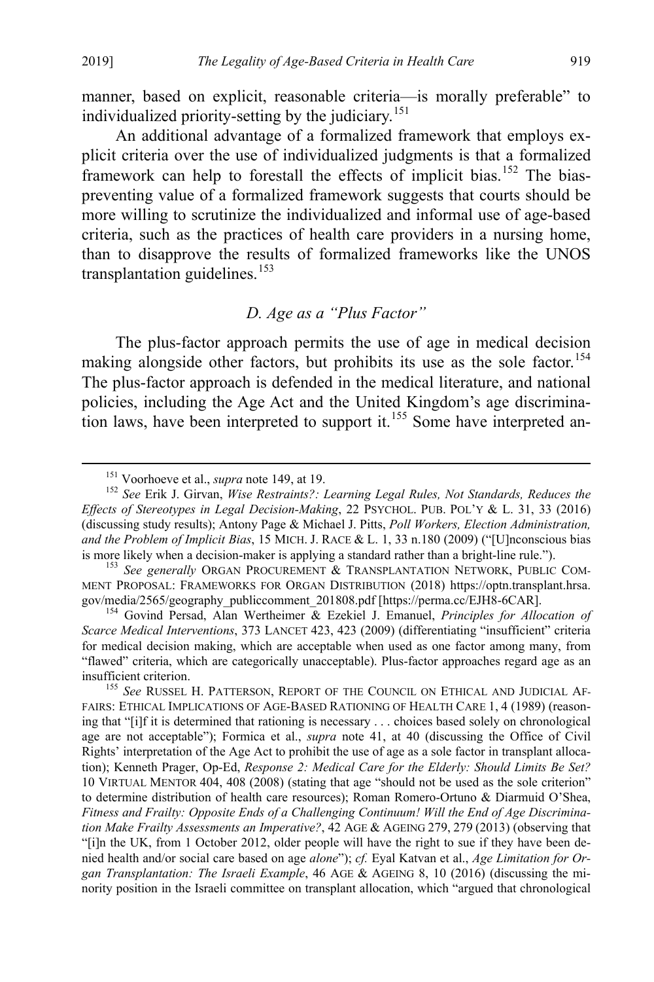manner, based on explicit, reasonable criteria—is morally preferable" to individualized priority-setting by the judiciary.<sup>[151](#page-32-2)</sup>

An additional advantage of a formalized framework that employs explicit criteria over the use of individualized judgments is that a formalized framework can help to forestall the effects of implicit bias.<sup>[152](#page-32-3)</sup> The biaspreventing value of a formalized framework suggests that courts should be more willing to scrutinize the individualized and informal use of age-based criteria, such as the practices of health care providers in a nursing home, than to disapprove the results of formalized frameworks like the UNOS transplantation guidelines.<sup>[153](#page-32-4)</sup>

# <span id="page-32-7"></span><span id="page-32-1"></span><span id="page-32-0"></span>*D. Age as a "Plus Factor"*

The plus-factor approach permits the use of age in medical decision making alongside other factors, but prohibits its use as the sole factor.<sup>[154](#page-32-5)</sup> The plus-factor approach is defended in the medical literature, and national policies, including the Age Act and the United Kingdom's age discrimina-tion laws, have been interpreted to support it.<sup>[155](#page-32-6)</sup> Some have interpreted an-

<span id="page-32-3"></span><span id="page-32-2"></span><sup>&</sup>lt;sup>151</sup> Voorhoeve et al., *supra* not[e 149,](#page-31-4) at 19.<br><sup>152</sup> See Erik J. Girvan, *Wise Restraints?: Learning Legal Rules, Not Standards, Reduces the Effects of Stereotypes in Legal Decision-Making*, 22 PSYCHOL. PUB. POL'Y & L. 31, 33 (2016) (discussing study results); Antony Page & Michael J. Pitts, *Poll Workers, Election Administration, and the Problem of Implicit Bias*, 15 MICH. J. RACE & L. 1, 33 n.180 (2009) ("[U]nconscious bias is more likely when a decision-maker is applying a standard rather than a bright-line rule."). <sup>153</sup> *See generally* ORGAN PROCUREMENT & TRANSPLANTATION NETWORK, PUBLIC COM-

<span id="page-32-4"></span>MENT PROPOSAL: FRAMEWORKS FOR ORGAN DISTRIBUTION (2018) https://optn.transplant.hrsa. gov/media/2565/geography\_publiccomment\_201808.pdf [https://perma.cc/EJH8-6CAR]. 154 Govind Persad, Alan Wertheimer & Ezekiel J. Emanuel, *Principles for Allocation of* 

<span id="page-32-5"></span>*Scarce Medical Interventions*, 373 LANCET 423, 423 (2009) (differentiating "insufficient" criteria for medical decision making, which are acceptable when used as one factor among many, from "flawed" criteria, which are categorically unacceptable). Plus-factor approaches regard age as an insufficient criterion. <sup>155</sup> *See* RUSSEL H. PATTERSON, REPORT OF THE COUNCIL ON ETHICAL AND JUDICIAL AF-

<span id="page-32-6"></span>FAIRS: ETHICAL IMPLICATIONS OF AGE-BASED RATIONING OF HEALTH CARE 1, 4 (1989) (reasoning that "[i]f it is determined that rationing is necessary . . . choices based solely on chronological age are not acceptable"); Formica et al., *supra* note [41,](#page-11-4) at 40 (discussing the Office of Civil Rights' interpretation of the Age Act to prohibit the use of age as a sole factor in transplant allocation); Kenneth Prager, Op-Ed, *Response 2: Medical Care for the Elderly: Should Limits Be Set?*  10 VIRTUAL MENTOR 404, 408 (2008) (stating that age "should not be used as the sole criterion" to determine distribution of health care resources); Roman Romero-Ortuno & Diarmuid O'Shea, *Fitness and Frailty: Opposite Ends of a Challenging Continuum! Will the End of Age Discrimination Make Frailty Assessments an Imperative?*, 42 AGE & AGEING 279, 279 (2013) (observing that "[i]n the UK, from 1 October 2012, older people will have the right to sue if they have been denied health and/or social care based on age *alone*"); *cf.* Eyal Katvan et al., *Age Limitation for Organ Transplantation: The Israeli Example*, 46 AGE & AGEING 8, 10 (2016) (discussing the minority position in the Israeli committee on transplant allocation, which "argued that chronological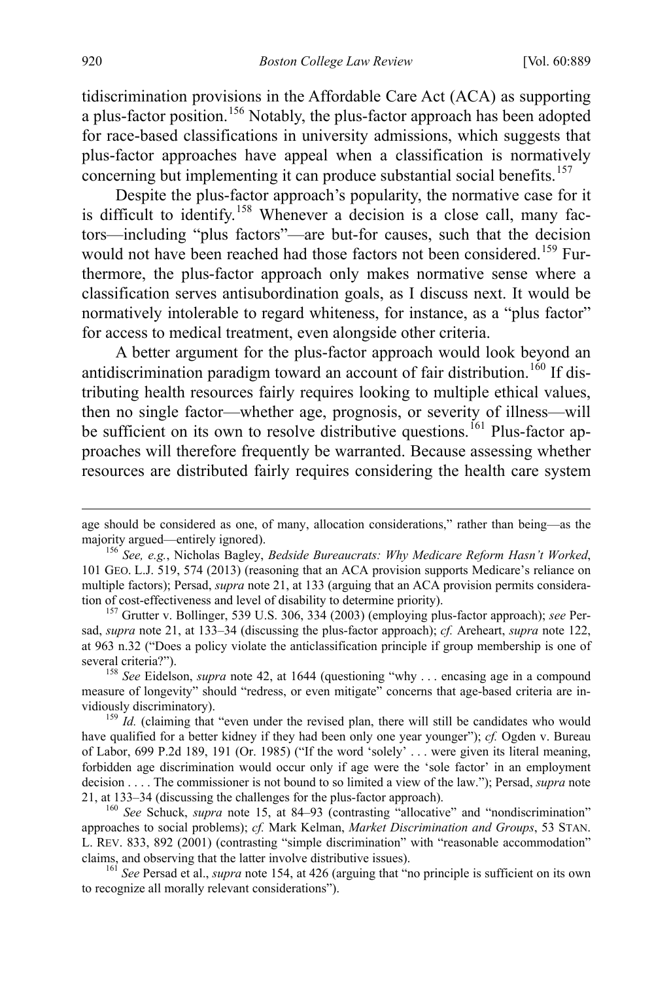tidiscrimination provisions in the Affordable Care Act (ACA) as supporting a plus-factor position.<sup>[156](#page-33-1)</sup> Notably, the plus-factor approach has been adopted for race-based classifications in university admissions, which suggests that plus-factor approaches have appeal when a classification is normatively concerning but implementing it can produce substantial social benefits.<sup>[157](#page-33-2)</sup>

Despite the plus-factor approach's popularity, the normative case for it is difficult to identify.<sup>[158](#page-33-3)</sup> Whenever a decision is a close call, many factors—including "plus factors"—are but-for causes, such that the decision would not have been reached had those factors not been considered.<sup>[159](#page-33-4)</sup> Furthermore, the plus-factor approach only makes normative sense where a classification serves antisubordination goals, as I discuss next. It would be normatively intolerable to regard whiteness, for instance, as a "plus factor" for access to medical treatment, even alongside other criteria.

A better argument for the plus-factor approach would look beyond an antidiscrimination paradigm toward an account of fair distribution.<sup>[160](#page-33-5)</sup> If distributing health resources fairly requires looking to multiple ethical values, then no single factor—whether age, prognosis, or severity of illness—will be sufficient on its own to resolve distributive questions.<sup>[161](#page-33-6)</sup> Plus-factor approaches will therefore frequently be warranted. Because assessing whether resources are distributed fairly requires considering the health care system

<span id="page-33-3"></span>several criteria?"). <sup>158</sup> *See* Eidelson, *supra* note [42,](#page-12-0) at 1644 (questioning "why . . . encasing age in a compound measure of longevity" should "redress, or even mitigate" concerns that age-based criteria are invidiously discriminatory).<br><sup>159</sup> *Id.* (claiming that "even under the revised plan, there will still be candidates who would

<span id="page-33-4"></span>have qualified for a better kidney if they had been only one year younger"); *cf.* Ogden v. Bureau of Labor, 699 P.2d 189, 191 (Or. 1985) ("If the word 'solely' . . . were given its literal meaning, forbidden age discrimination would occur only if age were the 'sole factor' in an employment decision . . . . The commissioner is not bound to so limited a view of the law."); Persad, *supra* note [21,](#page-7-6) at 133–34 (discussing the challenges for the plus-factor approach). 160 *See* Schuck, *supra* note [15,](#page-6-5) at 84–93 (contrasting "allocative" and "nondiscrimination"

<span id="page-33-5"></span>approaches to social problems); *cf.* Mark Kelman, *Market Discrimination and Groups*, 53 STAN. L. REV. 833, 892 (2001) (contrasting "simple discrimination" with "reasonable accommodation" claims, and observing that the latter involve distributive issues). <sup>161</sup> *See* Persad et al., *supra* note [154,](#page-32-1) at 426 (arguing that "no principle is sufficient on its own

<span id="page-33-6"></span>to recognize all morally relevant considerations").

<span id="page-33-0"></span> $\overline{a}$ 

age should be considered as one, of many, allocation considerations," rather than being—as the majority argued—entirely ignored). <sup>156</sup> *See, e.g.*, Nicholas Bagley, *Bedside Bureaucrats: Why Medicare Reform Hasn't Worked*,

<span id="page-33-1"></span><sup>101</sup> GEO. L.J. 519, 574 (2013) (reasoning that an ACA provision supports Medicare's reliance on multiple factors); Persad, *supra* not[e 21,](#page-7-6) at 133 (arguing that an ACA provision permits consideration of cost-effectiveness and level of disability to determine priority). <sup>157</sup> Grutter v. Bollinger, 539 U.S. 306, 334 (2003) (employing plus-factor approach); *see* Per-

<span id="page-33-2"></span>sad, *supra* note [21,](#page-7-6) at 133–34 (discussing the plus-factor approach); *cf.* Areheart, *supra* note [122,](#page-26-7) at 963 n.32 ("Does a policy violate the anticlassification principle if group membership is one of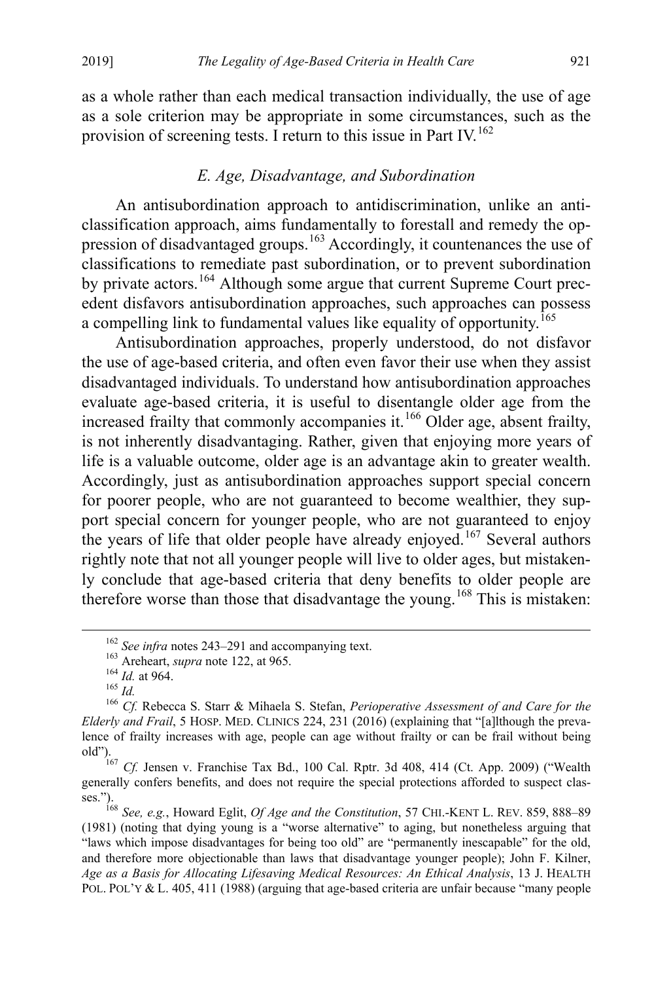as a whole rather than each medical transaction individually, the use of age as a sole criterion may be appropriate in some circumstances, such as the provision of screening tests. I return to this issue in Part IV.<sup>[162](#page-34-2)</sup>

# <span id="page-34-0"></span>*E. Age, Disadvantage, and Subordination*

An antisubordination approach to antidiscrimination, unlike an anticlassification approach, aims fundamentally to forestall and remedy the op-pression of disadvantaged groups.<sup>[163](#page-34-3)</sup> Accordingly, it countenances the use of classifications to remediate past subordination, or to prevent subordination by private actors.<sup>[164](#page-34-4)</sup> Although some argue that current Supreme Court precedent disfavors antisubordination approaches, such approaches can possess a compelling link to fundamental values like equality of opportunity.[165](#page-34-5)

Antisubordination approaches, properly understood, do not disfavor the use of age-based criteria, and often even favor their use when they assist disadvantaged individuals. To understand how antisubordination approaches evaluate age-based criteria, it is useful to disentangle older age from the increased frailty that commonly accompanies it.<sup>[166](#page-34-6)</sup> Older age, absent frailty, is not inherently disadvantaging. Rather, given that enjoying more years of life is a valuable outcome, older age is an advantage akin to greater wealth. Accordingly, just as antisubordination approaches support special concern for poorer people, who are not guaranteed to become wealthier, they support special concern for younger people, who are not guaranteed to enjoy the years of life that older people have already enjoyed.<sup>[167](#page-34-7)</sup> Several authors rightly note that not all younger people will live to older ages, but mistakenly conclude that age-based criteria that deny benefits to older people are therefore worse than those that disadvantage the young.[168](#page-34-8) This is mistaken:

<span id="page-34-1"></span>

<span id="page-34-6"></span><span id="page-34-5"></span><span id="page-34-4"></span><span id="page-34-3"></span><span id="page-34-2"></span><sup>&</sup>lt;sup>162</sup> See infra notes [243–](#page-52-0)[291](#page-61-0) and accompanying text.<br><sup>163</sup> Areheart, *supra* not[e 122,](#page-26-7) at 965.<br><sup>164</sup> Id. at 964.<br><sup>165</sup> Id.<br><sup>165</sup> Cf. Rebecca S. Starr & Mihaela S. Stefan, *Perioperative Assessment of and Care for the Elderly and Frail*, 5 HOSP. MED. CLINICS 224, 231 (2016) (explaining that "[a]lthough the prevalence of frailty increases with age, people can age without frailty or can be frail without being old").

<span id="page-34-7"></span><sup>167</sup> *Cf.* Jensen v. Franchise Tax Bd., 100 Cal. Rptr. 3d 408, 414 (Ct. App. 2009) ("Wealth generally confers benefits, and does not require the special protections afforded to suspect classes."). <sup>168</sup> *See, e.g.*, Howard Eglit, *Of Age and the Constitution*, 57 CHI.-KENT L. REV. 859, 888–89

<span id="page-34-8"></span><sup>(1981)</sup> (noting that dying young is a "worse alternative" to aging, but nonetheless arguing that "laws which impose disadvantages for being too old" are "permanently inescapable" for the old, and therefore more objectionable than laws that disadvantage younger people); John F. Kilner, *Age as a Basis for Allocating Lifesaving Medical Resources: An Ethical Analysis*, 13 J. HEALTH POL. POL'Y & L. 405, 411 (1988) (arguing that age-based criteria are unfair because "many people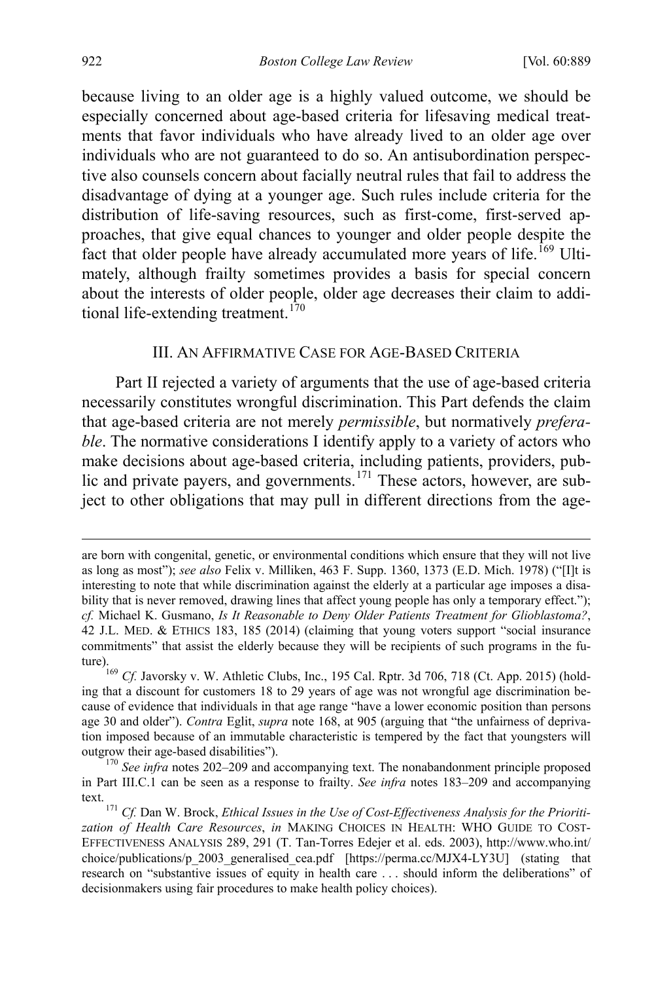because living to an older age is a highly valued outcome, we should be especially concerned about age-based criteria for lifesaving medical treatments that favor individuals who have already lived to an older age over individuals who are not guaranteed to do so. An antisubordination perspective also counsels concern about facially neutral rules that fail to address the disadvantage of dying at a younger age. Such rules include criteria for the distribution of life-saving resources, such as first-come, first-served approaches, that give equal chances to younger and older people despite the fact that older people have already accumulated more years of life.<sup>[169](#page-35-2)</sup> Ultimately, although frailty sometimes provides a basis for special concern about the interests of older people, older age decreases their claim to addi-tional life-extending treatment.<sup>[170](#page-35-3)</sup>

#### <span id="page-35-1"></span><span id="page-35-0"></span>III. AN AFFIRMATIVE CASE FOR AGE-BASED CRITERIA

Part II rejected a variety of arguments that the use of age-based criteria necessarily constitutes wrongful discrimination. This Part defends the claim that age-based criteria are not merely *permissible*, but normatively *preferable*. The normative considerations I identify apply to a variety of actors who make decisions about age-based criteria, including patients, providers, pub-lic and private payers, and governments.<sup>[171](#page-35-4)</sup> These actors, however, are subject to other obligations that may pull in different directions from the age-

 $\overline{a}$ 

are born with congenital, genetic, or environmental conditions which ensure that they will not live as long as most"); *see also* Felix v. Milliken, 463 F. Supp. 1360, 1373 (E.D. Mich. 1978) ("[I]t is interesting to note that while discrimination against the elderly at a particular age imposes a disability that is never removed, drawing lines that affect young people has only a temporary effect."); *cf.* Michael K. Gusmano, *Is It Reasonable to Deny Older Patients Treatment for Glioblastoma?*, 42 J.L. MED. & ETHICS 183, 185 (2014) (claiming that young voters support "social insurance commitments" that assist the elderly because they will be recipients of such programs in the future).169 *Cf.* Javorsky v. W. Athletic Clubs, Inc., 195 Cal. Rptr. 3d 706, 718 (Ct. App. 2015) (hold-

<span id="page-35-2"></span>ing that a discount for customers 18 to 29 years of age was not wrongful age discrimination because of evidence that individuals in that age range "have a lower economic position than persons age 30 and older"). *Contra* Eglit, *supra* note [168,](#page-34-1) at 905 (arguing that "the unfairness of deprivation imposed because of an immutable characteristic is tempered by the fact that youngsters will outgrow their age-based disabilities"). <sup>170</sup> *See infra* notes [202–](#page-43-0)[209](#page-45-0) and accompanying text. The nonabandonment principle proposed

<span id="page-35-3"></span>in Part III.C.1 can be seen as a response to frailty. *See infra* notes [183](#page-38-0)[–209](#page-45-0) and accompanying

<span id="page-35-4"></span>text. 171 *Cf.* Dan W. Brock, *Ethical Issues in the Use of Cost-Effectiveness Analysis for the Prioritization of Health Care Resources*, *in* MAKING CHOICES IN HEALTH: WHO GUIDE TO COST-EFFECTIVENESS ANALYSIS 289, 291 (T. Tan-Torres Edejer et al. eds. 2003), http://www.who.int/ choice/publications/p\_2003\_generalised\_cea.pdf [https://perma.cc/MJX4-LY3U] (stating that research on "substantive issues of equity in health care . . . should inform the deliberations" of decisionmakers using fair procedures to make health policy choices).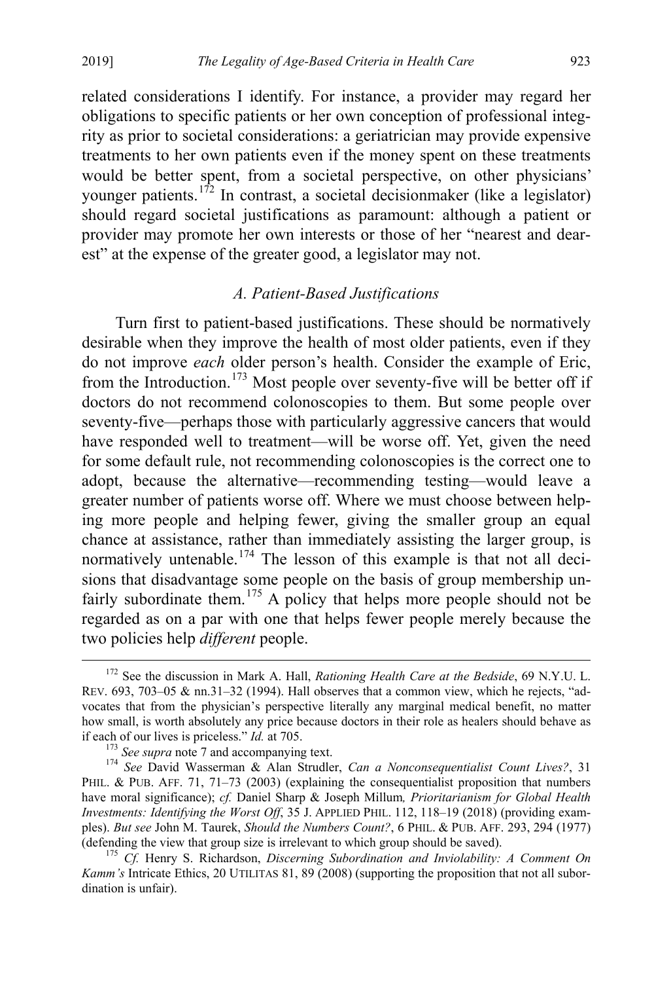related considerations I identify. For instance, a provider may regard her obligations to specific patients or her own conception of professional integrity as prior to societal considerations: a geriatrician may provide expensive treatments to her own patients even if the money spent on these treatments would be better spent, from a societal perspective, on other physicians' younger patients.<sup>[172](#page-36-0)</sup> In contrast, a societal decisionmaker (like a legislator) should regard societal justifications as paramount: although a patient or provider may promote her own interests or those of her "nearest and dearest" at the expense of the greater good, a legislator may not.

# <span id="page-36-4"></span>*A. Patient-Based Justifications*

Turn first to patient-based justifications. These should be normatively desirable when they improve the health of most older patients, even if they do not improve *each* older person's health. Consider the example of Eric, from the Introduction.[173](#page-36-1) Most people over seventy-five will be better off if doctors do not recommend colonoscopies to them. But some people over seventy-five—perhaps those with particularly aggressive cancers that would have responded well to treatment—will be worse off. Yet, given the need for some default rule, not recommending colonoscopies is the correct one to adopt, because the alternative—recommending testing—would leave a greater number of patients worse off. Where we must choose between helping more people and helping fewer, giving the smaller group an equal chance at assistance, rather than immediately assisting the larger group, is normatively untenable.<sup>[174](#page-36-2)</sup> The lesson of this example is that not all decisions that disadvantage some people on the basis of group membership un-fairly subordinate them.<sup>[175](#page-36-3)</sup> A policy that helps more people should not be regarded as on a par with one that helps fewer people merely because the two policies help *different* people.

<span id="page-36-6"></span><span id="page-36-5"></span><span id="page-36-0"></span> <sup>172</sup> See the discussion in Mark A. Hall, *Rationing Health Care at the Bedside*, 69 N.Y.U. L. REV. 693, 703–05 & nn.31–32 (1994). Hall observes that a common view, which he rejects, "advocates that from the physician's perspective literally any marginal medical benefit, no matter how small, is worth absolutely any price because doctors in their role as healers should behave as if each of our lives is priceless." *Id.* at 705. <sup>173</sup> *See supra* not[e 7](#page-4-7) and accompanying text. <sup>174</sup> *See* David Wasserman & Alan Strudler, *Can a Nonconsequentialist Count Lives?*, <sup>31</sup>

<span id="page-36-2"></span><span id="page-36-1"></span>PHIL. & PUB. AFF. 71, 71–73 (2003) (explaining the consequentialist proposition that numbers have moral significance); *cf.* Daniel Sharp & Joseph Millum*, Prioritarianism for Global Health Investments: Identifying the Worst Off*, 35 J. APPLIED PHIL. 112, 118–19 (2018) (providing examples). *But see* John M. Taurek, *Should the Numbers Count?*, 6 PHIL. & PUB. AFF. 293, 294 (1977) (defending the view that group size is irrelevant to which group should be saved). <sup>175</sup> *Cf.* Henry S. Richardson, *Discerning Subordination and Inviolability: A Comment On* 

<span id="page-36-3"></span>*Kamm's* Intricate Ethics, 20 UTILITAS 81, 89 (2008) (supporting the proposition that not all subordination is unfair).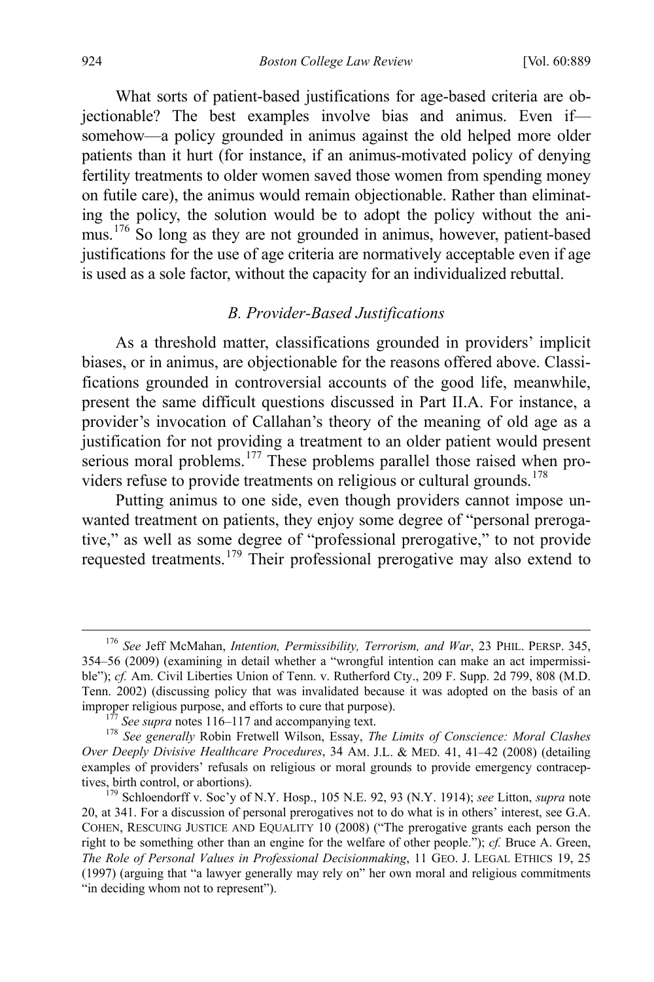What sorts of patient-based justifications for age-based criteria are objectionable? The best examples involve bias and animus. Even if somehow—a policy grounded in animus against the old helped more older patients than it hurt (for instance, if an animus-motivated policy of denying fertility treatments to older women saved those women from spending money on futile care), the animus would remain objectionable. Rather than eliminating the policy, the solution would be to adopt the policy without the ani-mus.<sup>[176](#page-37-0)</sup> So long as they are not grounded in animus, however, patient-based justifications for the use of age criteria are normatively acceptable even if age is used as a sole factor, without the capacity for an individualized rebuttal.

# *B. Provider-Based Justifications*

As a threshold matter, classifications grounded in providers' implicit biases, or in animus, are objectionable for the reasons offered above. Classifications grounded in controversial accounts of the good life, meanwhile, present the same difficult questions discussed in Part II.A. For instance, a provider's invocation of Callahan's theory of the meaning of old age as a justification for not providing a treatment to an older patient would present serious moral problems.<sup>[177](#page-37-1)</sup> These problems parallel those raised when pro-viders refuse to provide treatments on religious or cultural grounds.<sup>[178](#page-37-2)</sup>

Putting animus to one side, even though providers cannot impose unwanted treatment on patients, they enjoy some degree of "personal prerogative," as well as some degree of "professional prerogative," to not provide requested treatments.[179](#page-37-3) Their professional prerogative may also extend to

<span id="page-37-0"></span> <sup>176</sup> *See* Jeff McMahan, *Intention, Permissibility, Terrorism, and War*, 23 PHIL. PERSP. 345, 354–56 (2009) (examining in detail whether a "wrongful intention can make an act impermissible"); *cf.* Am. Civil Liberties Union of Tenn. v. Rutherford Cty., 209 F. Supp. 2d 799, 808 (M.D. Tenn. 2002) (discussing policy that was invalidated because it was adopted on the basis of an improper religious purpose, and efforts to cure that purpose).<br><sup>177</sup> See supra note[s 116](#page-26-8)[–117 a](#page-26-9)nd accompanying text.<br><sup>178</sup> See generally Robin Fretwell Wilson, Essay, *The Limits of Conscience: Moral Clashes* 

<span id="page-37-2"></span><span id="page-37-1"></span>*Over Deeply Divisive Healthcare Procedures*, 34 AM. J.L. & MED. 41, 41–42 (2008) (detailing examples of providers' refusals on religious or moral grounds to provide emergency contraceptives, birth control, or abortions). 179 Schloendorff v. Soc'y of N.Y. Hosp., 105 N.E. 92, 93 (N.Y. 1914); *see* Litton, *supra* note

<span id="page-37-3"></span>[<sup>20,</sup>](#page-7-8) at 341. For a discussion of personal prerogatives not to do what is in others' interest, see G.A. COHEN, RESCUING JUSTICE AND EQUALITY 10 (2008) ("The prerogative grants each person the right to be something other than an engine for the welfare of other people."); *cf.* Bruce A. Green, *The Role of Personal Values in Professional Decisionmaking*, 11 GEO. J. LEGAL ETHICS 19, 25 (1997) (arguing that "a lawyer generally may rely on" her own moral and religious commitments "in deciding whom not to represent").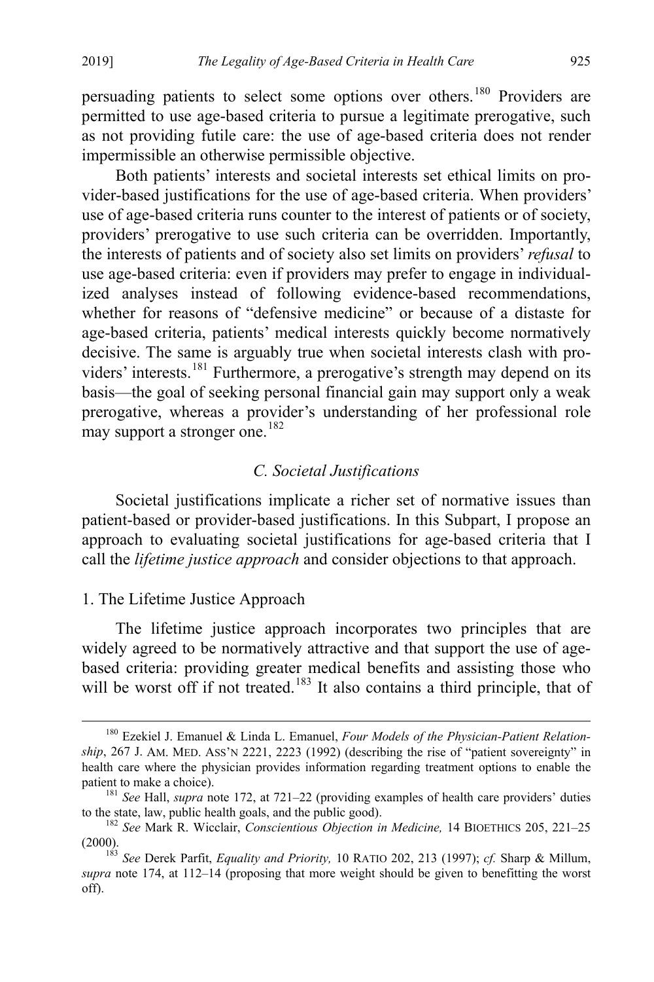persuading patients to select some options over others.<sup>[180](#page-38-1)</sup> Providers are permitted to use age-based criteria to pursue a legitimate prerogative, such as not providing futile care: the use of age-based criteria does not render impermissible an otherwise permissible objective.

Both patients' interests and societal interests set ethical limits on provider-based justifications for the use of age-based criteria. When providers' use of age-based criteria runs counter to the interest of patients or of society, providers' prerogative to use such criteria can be overridden. Importantly, the interests of patients and of society also set limits on providers' *refusal* to use age-based criteria: even if providers may prefer to engage in individualized analyses instead of following evidence-based recommendations, whether for reasons of "defensive medicine" or because of a distaste for age-based criteria, patients' medical interests quickly become normatively decisive. The same is arguably true when societal interests clash with pro-viders' interests.<sup>[181](#page-38-2)</sup> Furthermore, a prerogative's strength may depend on its basis—the goal of seeking personal financial gain may support only a weak prerogative, whereas a provider's understanding of her professional role may support a stronger one.  $182$ 

# *C. Societal Justifications*

Societal justifications implicate a richer set of normative issues than patient-based or provider-based justifications. In this Subpart, I propose an approach to evaluating societal justifications for age-based criteria that I call the *lifetime justice approach* and consider objections to that approach.

# 1. The Lifetime Justice Approach

The lifetime justice approach incorporates two principles that are widely agreed to be normatively attractive and that support the use of agebased criteria: providing greater medical benefits and assisting those who will be worst off if not treated.<sup>[183](#page-38-4)</sup> It also contains a third principle, that of

<span id="page-38-1"></span><span id="page-38-0"></span> <sup>180</sup> Ezekiel J. Emanuel & Linda L. Emanuel, *Four Models of the Physician-Patient Relationship*, 267 J. AM. MED. ASS'N 2221, 2223 (1992) (describing the rise of "patient sovereignty" in health care where the physician provides information regarding treatment options to enable the patient to make a choice). 181 *See* Hall, *supra* note [172,](#page-36-4) at 721–22 (providing examples of health care providers' duties

<span id="page-38-2"></span>to the state, law, public health goals, and the public good). <sup>182</sup> *See* Mark R. Wicclair, *Conscientious Objection in Medicine,* 14 BIOETHICS 205, 221–25

<span id="page-38-3"></span>

<span id="page-38-4"></span><sup>(2000). 183</sup> *See* Derek Parfit, *Equality and Priority,* 10 RATIO 202, 213 (1997); *cf.* Sharp & Millum, *supra* note [174,](#page-36-5) at 112–14 (proposing that more weight should be given to benefitting the worst off).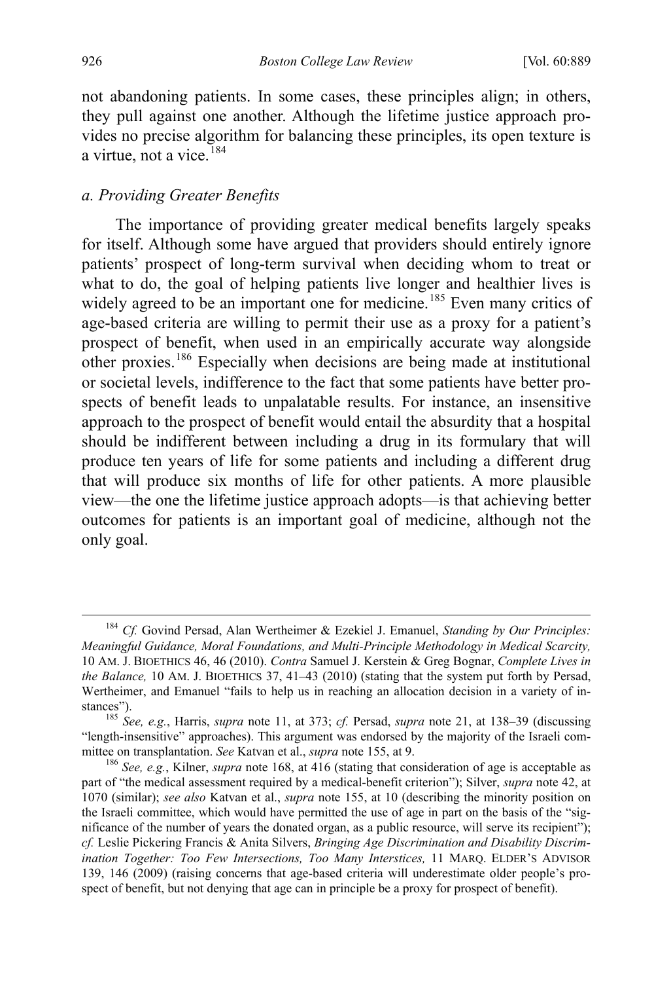not abandoning patients. In some cases, these principles align; in others, they pull against one another. Although the lifetime justice approach provides no precise algorithm for balancing these principles, its open texture is a virtue, not a vice.<sup>[184](#page-39-0)</sup>

#### <span id="page-39-3"></span>*a. Providing Greater Benefits*

<span id="page-39-4"></span>The importance of providing greater medical benefits largely speaks for itself. Although some have argued that providers should entirely ignore patients' prospect of long-term survival when deciding whom to treat or what to do, the goal of helping patients live longer and healthier lives is widely agreed to be an important one for medicine.<sup>[185](#page-39-1)</sup> Even many critics of age-based criteria are willing to permit their use as a proxy for a patient's prospect of benefit, when used in an empirically accurate way alongside other proxies.[186](#page-39-2) Especially when decisions are being made at institutional or societal levels, indifference to the fact that some patients have better prospects of benefit leads to unpalatable results. For instance, an insensitive approach to the prospect of benefit would entail the absurdity that a hospital should be indifferent between including a drug in its formulary that will produce ten years of life for some patients and including a different drug that will produce six months of life for other patients. A more plausible view—the one the lifetime justice approach adopts—is that achieving better outcomes for patients is an important goal of medicine, although not the only goal.

<span id="page-39-0"></span> <sup>184</sup> *Cf.* Govind Persad, Alan Wertheimer & Ezekiel J. Emanuel, *Standing by Our Principles: Meaningful Guidance, Moral Foundations, and Multi-Principle Methodology in Medical Scarcity,*  10 AM. J. BIOETHICS 46, 46 (2010). *Contra* Samuel J. Kerstein & Greg Bognar, *Complete Lives in the Balance,* 10 AM. J. BIOETHICS 37, 41–43 (2010) (stating that the system put forth by Persad, Wertheimer, and Emanuel "fails to help us in reaching an allocation decision in a variety of in-

<span id="page-39-1"></span>stances"). 185 *See, e.g.*, Harris, *supra* note [11,](#page-5-6) at 373; *cf.* Persad, *supra* note [21,](#page-7-6) at 138–39 (discussing "length-insensitive" approaches). This argument was endorsed by the majority of the Israeli committee on transplantation. *See* Katvan et al., *supra* not[e 155,](#page-32-7) at 9.<br><sup>186</sup> *See, e.g.*, Kilner, *supra* note [168,](#page-34-1) at 416 (stating that consideration of age is acceptable as

<span id="page-39-2"></span>part of "the medical assessment required by a medical-benefit criterion"); Silver, *supra* note [42,](#page-12-0) at 1070 (similar); *see also* Katvan et al., *supra* note [155,](#page-32-7) at 10 (describing the minority position on the Israeli committee, which would have permitted the use of age in part on the basis of the "significance of the number of years the donated organ, as a public resource, will serve its recipient"); *cf.* Leslie Pickering Francis & Anita Silvers, *Bringing Age Discrimination and Disability Discrimination Together: Too Few Intersections, Too Many Interstices,* 11 MARQ. ELDER'S ADVISOR 139, 146 (2009) (raising concerns that age-based criteria will underestimate older people's prospect of benefit, but not denying that age can in principle be a proxy for prospect of benefit).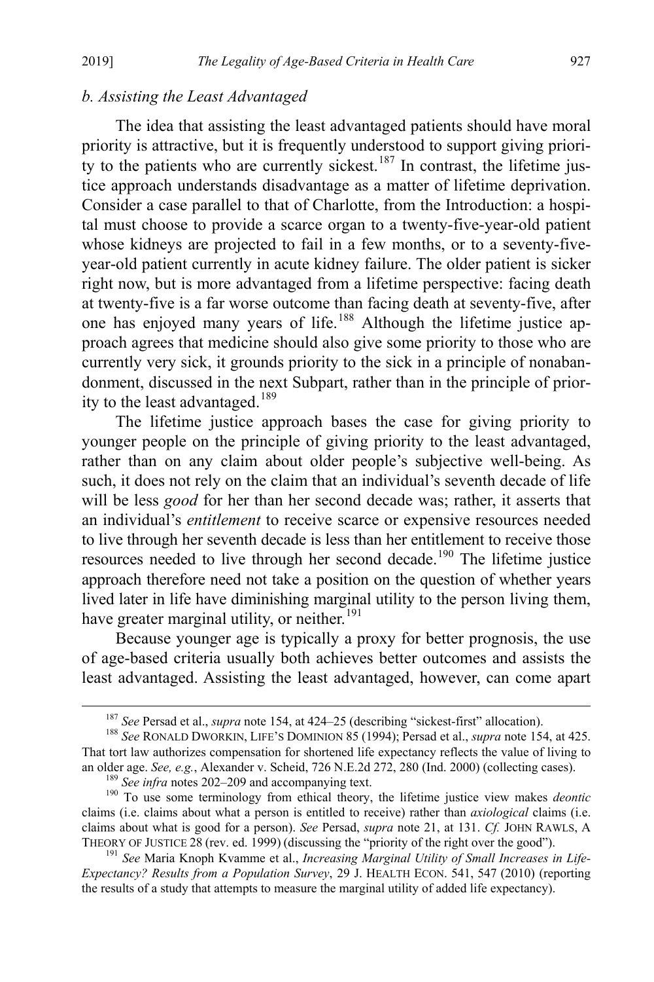# *b. Assisting the Least Advantaged*

The idea that assisting the least advantaged patients should have moral priority is attractive, but it is frequently understood to support giving priori-ty to the patients who are currently sickest.<sup>[187](#page-40-1)</sup> In contrast, the lifetime justice approach understands disadvantage as a matter of lifetime deprivation. Consider a case parallel to that of Charlotte, from the Introduction: a hospital must choose to provide a scarce organ to a twenty-five-year-old patient whose kidneys are projected to fail in a few months, or to a seventy-fiveyear-old patient currently in acute kidney failure. The older patient is sicker right now, but is more advantaged from a lifetime perspective: facing death at twenty-five is a far worse outcome than facing death at seventy-five, after one has enjoyed many years of life.[188](#page-40-2) Although the lifetime justice approach agrees that medicine should also give some priority to those who are currently very sick, it grounds priority to the sick in a principle of nonabandonment, discussed in the next Subpart, rather than in the principle of prior-ity to the least advantaged.<sup>[189](#page-40-3)</sup>

<span id="page-40-6"></span>The lifetime justice approach bases the case for giving priority to younger people on the principle of giving priority to the least advantaged, rather than on any claim about older people's subjective well-being. As such, it does not rely on the claim that an individual's seventh decade of life will be less *good* for her than her second decade was; rather, it asserts that an individual's *entitlement* to receive scarce or expensive resources needed to live through her seventh decade is less than her entitlement to receive those resources needed to live through her second decade.<sup>[190](#page-40-4)</sup> The lifetime justice approach therefore need not take a position on the question of whether years lived later in life have diminishing marginal utility to the person living them, have greater marginal utility, or neither.<sup>[191](#page-40-5)</sup>

<span id="page-40-0"></span>Because younger age is typically a proxy for better prognosis, the use of age-based criteria usually both achieves better outcomes and assists the least advantaged. Assisting the least advantaged, however, can come apart

<span id="page-40-2"></span><span id="page-40-1"></span><sup>187</sup> *See* Persad et al., *supra* note [154,](#page-32-1) at 424–25 (describing "sickest-first" allocation). 188 *See* RONALD DWORKIN, LIFE'S DOMINION 85 (1994); Persad et al., *supra* note [154,](#page-32-1) at 425. That tort law authorizes compensation for shortened life expectancy reflects the value of living to an older age. See, e.g., Alexander v. Scheid, 726 N.E.2d 272, 280 (Ind. 2000) (collecting cases).<br><sup>189</sup> See infra notes [202–](#page-43-0)[209](#page-45-0) and accompanying text.<br><sup>190</sup> To use some terminology from ethical theory, the lifetime justic

<span id="page-40-4"></span><span id="page-40-3"></span>claims (i.e. claims about what a person is entitled to receive) rather than *axiological* claims (i.e. claims about what is good for a person). *See* Persad, *supra* note [21,](#page-7-6) at 131. *Cf.* JOHN RAWLS, A THEORY OF JUSTICE 28 (rev. ed. 1999) (discussing the "priority of the right over the good").

<span id="page-40-5"></span><sup>&</sup>lt;sup>191</sup> See Maria Knoph Kvamme et al., *Increasing Marginal Utility of Small Increases in Life-Expectancy? Results from a Population Survey*, 29 J. HEALTH ECON. 541, 547 (2010) (reporting the results of a study that attempts to measure the marginal utility of added life expectancy).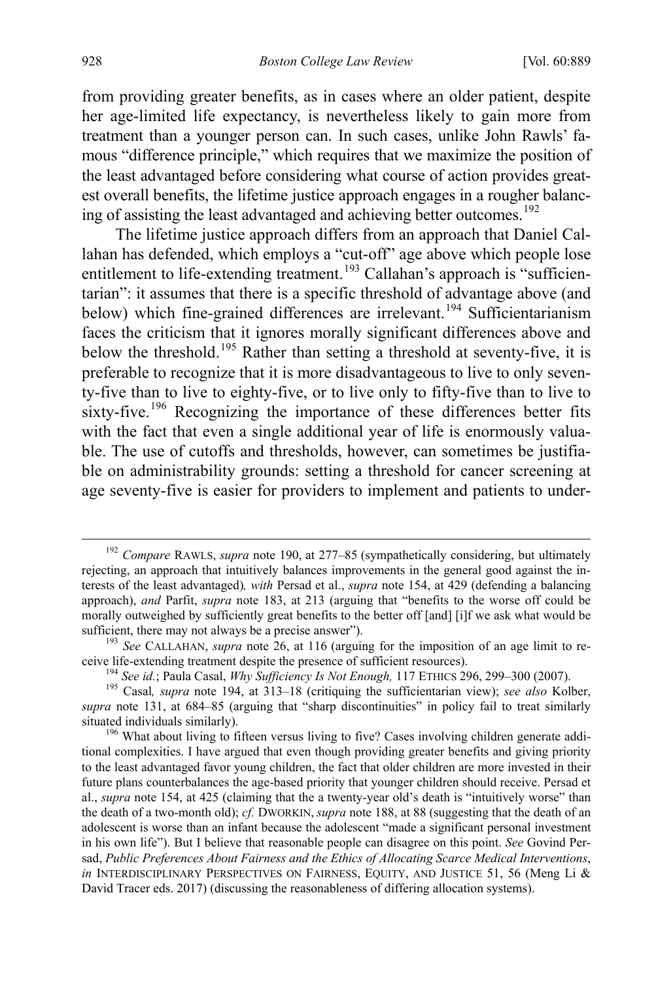from providing greater benefits, as in cases where an older patient, despite her age-limited life expectancy, is nevertheless likely to gain more from treatment than a younger person can. In such cases, unlike John Rawls' famous "difference principle," which requires that we maximize the position of the least advantaged before considering what course of action provides greatest overall benefits, the lifetime justice approach engages in a rougher balanc-ing of assisting the least advantaged and achieving better outcomes.<sup>[192](#page-41-1)</sup>

<span id="page-41-0"></span>The lifetime justice approach differs from an approach that Daniel Callahan has defended, which employs a "cut-off" age above which people lose entitlement to life-extending treatment.<sup>[193](#page-41-2)</sup> Callahan's approach is "sufficientarian": it assumes that there is a specific threshold of advantage above (and below) which fine-grained differences are irrelevant.<sup>[194](#page-41-3)</sup> Sufficientarianism faces the criticism that it ignores morally significant differences above and below the threshold.[195](#page-41-4) Rather than setting a threshold at seventy-five, it is preferable to recognize that it is more disadvantageous to live to only seventy-five than to live to eighty-five, or to live only to fifty-five than to live to sixty-five.<sup>[196](#page-41-5)</sup> Recognizing the importance of these differences better fits with the fact that even a single additional year of life is enormously valuable. The use of cutoffs and thresholds, however, can sometimes be justifiable on administrability grounds: setting a threshold for cancer screening at age seventy-five is easier for providers to implement and patients to under-

<span id="page-41-1"></span><sup>&</sup>lt;sup>192</sup> Compare RAWLS, *supra* note [190,](#page-40-0) at 277-85 (sympathetically considering, but ultimately rejecting, an approach that intuitively balances improvements in the general good against the interests of the least advantaged)*, with* Persad et al., *supra* note [154,](#page-32-1) at 429 (defending a balancing approach), *and* Parfit, *supra* note [183,](#page-38-0) at 213 (arguing that "benefits to the worse off could be morally outweighed by sufficiently great benefits to the better off [and] [i]f we ask what would be sufficient, there may not always be a precise answer").<br><sup>193</sup> *See* CALLAHAN, *supra* note [26,](#page-8-5) at 116 (arguing for the imposition of an age limit to re-

<span id="page-41-2"></span>ceive life-extending treatment despite the presence of sufficient resources).<br><sup>194</sup> See id.; Paula Casal, *Why Sufficiency Is Not Enough*, 117 ETHICS 296, 299–300 (2007).<br><sup>195</sup> Casal, *supra* note [194,](#page-41-0) at 313–18 (critiquin

<span id="page-41-4"></span><span id="page-41-3"></span>*supra* note [131,](#page-28-7) at 684–85 (arguing that "sharp discontinuities" in policy fail to treat similarly situated individuals similarly).<br><sup>196</sup> What about living to fifteen versus living to five? Cases involving children generate addi-

<span id="page-41-5"></span>tional complexities. I have argued that even though providing greater benefits and giving priority to the least advantaged favor young children, the fact that older children are more invested in their future plans counterbalances the age-based priority that younger children should receive. Persad et al., *supra* note [154,](#page-32-1) at 425 (claiming that the a twenty-year old's death is "intuitively worse" than the death of a two-month old); *cf.* DWORKIN, *supra* not[e 188,](#page-40-6) at 88 (suggesting that the death of an adolescent is worse than an infant because the adolescent "made a significant personal investment in his own life"). But I believe that reasonable people can disagree on this point. *See* Govind Persad, *Public Preferences About Fairness and the Ethics of Allocating Scarce Medical Interventions*, *in* INTERDISCIPLINARY PERSPECTIVES ON FAIRNESS, EQUITY, AND JUSTICE 51, 56 (Meng Li & David Tracer eds. 2017) (discussing the reasonableness of differing allocation systems).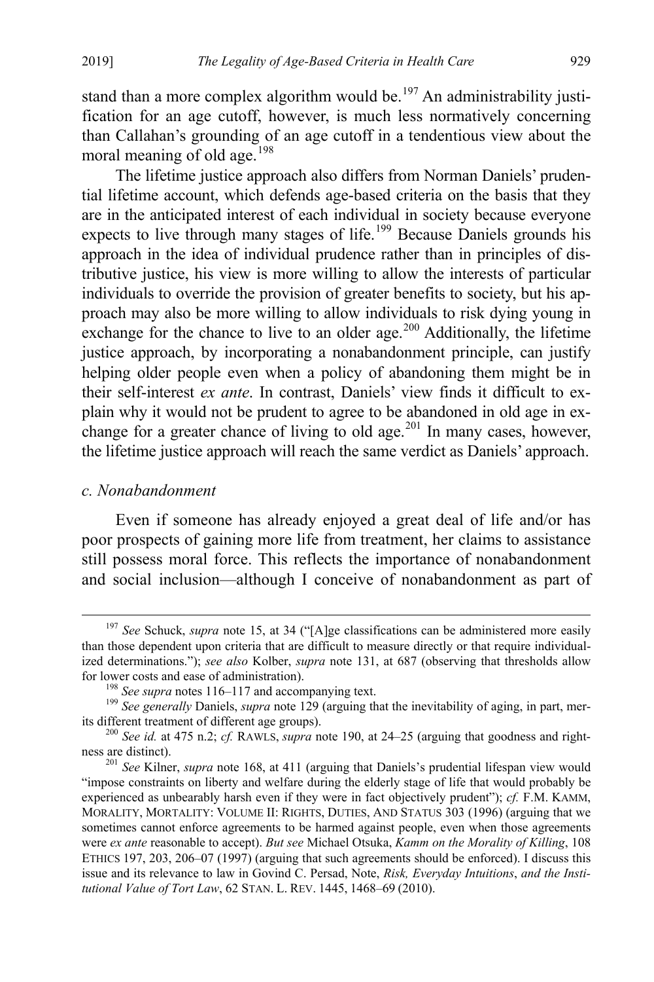stand than a more complex algorithm would be.<sup>[197](#page-42-0)</sup> An administrability justification for an age cutoff, however, is much less normatively concerning than Callahan's grounding of an age cutoff in a tendentious view about the moral meaning of old age.<sup>[198](#page-42-1)</sup>

The lifetime justice approach also differs from Norman Daniels' prudential lifetime account, which defends age-based criteria on the basis that they are in the anticipated interest of each individual in society because everyone expects to live through many stages of life.<sup>[199](#page-42-2)</sup> Because Daniels grounds his approach in the idea of individual prudence rather than in principles of distributive justice, his view is more willing to allow the interests of particular individuals to override the provision of greater benefits to society, but his approach may also be more willing to allow individuals to risk dying young in exchange for the chance to live to an older age. $200$  Additionally, the lifetime justice approach, by incorporating a nonabandonment principle, can justify helping older people even when a policy of abandoning them might be in their self-interest *ex ante*. In contrast, Daniels' view finds it difficult to explain why it would not be prudent to agree to be abandoned in old age in ex-change for a greater chance of living to old age.<sup>[201](#page-42-4)</sup> In many cases, however, the lifetime justice approach will reach the same verdict as Daniels' approach.

# *c. Nonabandonment*

Even if someone has already enjoyed a great deal of life and/or has poor prospects of gaining more life from treatment, her claims to assistance still possess moral force. This reflects the importance of nonabandonment and social inclusion—although I conceive of nonabandonment as part of

<span id="page-42-0"></span> <sup>197</sup> *See* Schuck, *supra* not[e 15,](#page-6-5) at 34 ("[A]ge classifications can be administered more easily than those dependent upon criteria that are difficult to measure directly or that require individualized determinations."); *see also* Kolber, *supra* note [131,](#page-28-7) at 687 (observing that thresholds allow for lower costs and ease of administration).<br><sup>198</sup> *See supra* note[s 116](#page-26-8)[–117 a](#page-26-9)nd accompanying text.<br><sup>199</sup> *See generally Daniels, <i>supra* note [129](#page-28-6) (arguing that the inevitability of aging, in part, mer-

<span id="page-42-2"></span><span id="page-42-1"></span>

<span id="page-42-3"></span>its different treatment of different age groups).<br><sup>200</sup> *See id.* at 475 n.2; *cf.* RAWLS, *supra* not[e 190,](#page-40-0) at 24–25 (arguing that goodness and right-<br>ness are distinct).

<span id="page-42-4"></span><sup>&</sup>lt;sup>201</sup> See Kilner, *supra* not[e 168,](#page-34-1) at 411 (arguing that Daniels's prudential lifespan view would "impose constraints on liberty and welfare during the elderly stage of life that would probably be experienced as unbearably harsh even if they were in fact objectively prudent"); *cf.* F.M. KAMM, MORALITY, MORTALITY: VOLUME II: RIGHTS, DUTIES, AND STATUS 303 (1996) (arguing that we sometimes cannot enforce agreements to be harmed against people, even when those agreements were *ex ante* reasonable to accept). *But see* Michael Otsuka, *Kamm on the Morality of Killing*, 108 ETHICS 197, 203, 206–07 (1997) (arguing that such agreements should be enforced). I discuss this issue and its relevance to law in Govind C. Persad, Note, *Risk, Everyday Intuitions*, *and the Institutional Value of Tort Law*, 62 STAN. L. REV. 1445, 1468–69 (2010).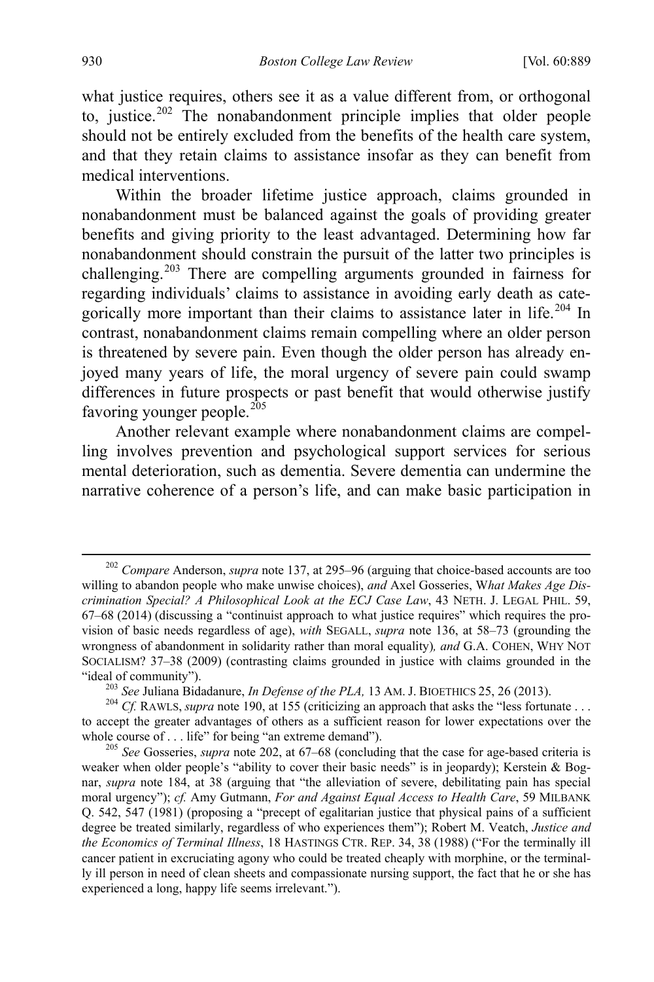<span id="page-43-0"></span>what justice requires, others see it as a value different from, or orthogonal to, justice.<sup>[202](#page-43-1)</sup> The nonabandonment principle implies that older people should not be entirely excluded from the benefits of the health care system, and that they retain claims to assistance insofar as they can benefit from medical interventions.

Within the broader lifetime justice approach, claims grounded in nonabandonment must be balanced against the goals of providing greater benefits and giving priority to the least advantaged. Determining how far nonabandonment should constrain the pursuit of the latter two principles is challenging.[203](#page-43-2) There are compelling arguments grounded in fairness for regarding individuals' claims to assistance in avoiding early death as cate-gorically more important than their claims to assistance later in life.<sup>[204](#page-43-3)</sup> In contrast, nonabandonment claims remain compelling where an older person is threatened by severe pain. Even though the older person has already enjoyed many years of life, the moral urgency of severe pain could swamp differences in future prospects or past benefit that would otherwise justify favoring younger people. $205$ 

<span id="page-43-5"></span>Another relevant example where nonabandonment claims are compelling involves prevention and psychological support services for serious mental deterioration, such as dementia. Severe dementia can undermine the narrative coherence of a person's life, and can make basic participation in

<span id="page-43-1"></span> <sup>202</sup> *Compare* Anderson, *supra* not[e 137,](#page-29-7) at 295–96 (arguing that choice-based accounts are too willing to abandon people who make unwise choices), *and* Axel Gosseries, W*hat Makes Age Discrimination Special? A Philosophical Look at the ECJ Case Law*, 43 NETH. J. LEGAL PHIL. 59, 67–68 (2014) (discussing a "continuist approach to what justice requires" which requires the provision of basic needs regardless of age), *with* SEGALL, *supra* note [136,](#page-29-0) at 58–73 (grounding the wrongness of abandonment in solidarity rather than moral equality)*, and* G.A. COHEN, WHY NOT SOCIALISM? 37–38 (2009) (contrasting claims grounded in justice with claims grounded in the "ideal of community").<br>
<sup>203</sup> See Juliana Bidadanure, *In Defense of the PLA*, 13 AM. J. BIOETHICS 25, 26 (2013).<br>
<sup>204</sup> Cf. RAWLS, *supra* not[e 190,](#page-40-0) at 155 (criticizing an approach that asks the "less fortunate...

<span id="page-43-3"></span><span id="page-43-2"></span>to accept the greater advantages of others as a sufficient reason for lower expectations over the whole course of . . . life" for being "an extreme demand").<br><sup>205</sup> See Gosseries, *supra* note [202,](#page-43-0) at 67–68 (concluding that the case for age-based criteria is

<span id="page-43-4"></span>weaker when older people's "ability to cover their basic needs" is in jeopardy); Kerstein & Bognar, *supra* note [184,](#page-39-3) at 38 (arguing that "the alleviation of severe, debilitating pain has special moral urgency"); *cf.* Amy Gutmann, *For and Against Equal Access to Health Care*, 59 MILBANK Q. 542, 547 (1981) (proposing a "precept of egalitarian justice that physical pains of a sufficient degree be treated similarly, regardless of who experiences them"); Robert M. Veatch, *Justice and the Economics of Terminal Illness*, 18 HASTINGS CTR. REP. 34, 38 (1988) ("For the terminally ill cancer patient in excruciating agony who could be treated cheaply with morphine, or the terminally ill person in need of clean sheets and compassionate nursing support, the fact that he or she has experienced a long, happy life seems irrelevant.").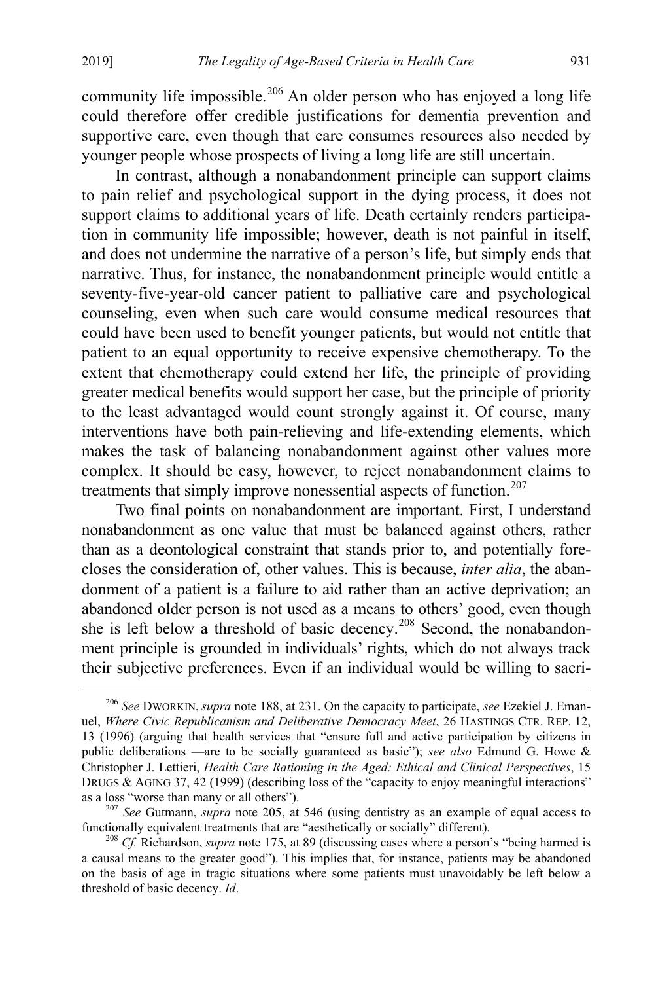<span id="page-44-3"></span>community life impossible.<sup>[206](#page-44-0)</sup> An older person who has enjoyed a long life could therefore offer credible justifications for dementia prevention and supportive care, even though that care consumes resources also needed by younger people whose prospects of living a long life are still uncertain.

In contrast, although a nonabandonment principle can support claims to pain relief and psychological support in the dying process, it does not support claims to additional years of life. Death certainly renders participation in community life impossible; however, death is not painful in itself, and does not undermine the narrative of a person's life, but simply ends that narrative. Thus, for instance, the nonabandonment principle would entitle a seventy-five-year-old cancer patient to palliative care and psychological counseling, even when such care would consume medical resources that could have been used to benefit younger patients, but would not entitle that patient to an equal opportunity to receive expensive chemotherapy. To the extent that chemotherapy could extend her life, the principle of providing greater medical benefits would support her case, but the principle of priority to the least advantaged would count strongly against it. Of course, many interventions have both pain-relieving and life-extending elements, which makes the task of balancing nonabandonment against other values more complex. It should be easy, however, to reject nonabandonment claims to treatments that simply improve nonessential aspects of function.<sup>[207](#page-44-1)</sup>

Two final points on nonabandonment are important. First, I understand nonabandonment as one value that must be balanced against others, rather than as a deontological constraint that stands prior to, and potentially forecloses the consideration of, other values. This is because, *inter alia*, the abandonment of a patient is a failure to aid rather than an active deprivation; an abandoned older person is not used as a means to others' good, even though she is left below a threshold of basic decency.<sup>[208](#page-44-2)</sup> Second, the nonabandonment principle is grounded in individuals' rights, which do not always track their subjective preferences. Even if an individual would be willing to sacri-

<span id="page-44-0"></span> <sup>206</sup> *See* DWORKIN, *supra* not[e 188,](#page-40-6) at 231. On the capacity to participate, *see* Ezekiel J. Emanuel, *Where Civic Republicanism and Deliberative Democracy Meet*, 26 HASTINGS CTR. REP. 12, 13 (1996) (arguing that health services that "ensure full and active participation by citizens in public deliberations —are to be socially guaranteed as basic"); *see also* Edmund G. Howe & Christopher J. Lettieri, *Health Care Rationing in the Aged: Ethical and Clinical Perspectives*, 15 DRUGS & AGING 37, 42 (1999) (describing loss of the "capacity to enjoy meaningful interactions"

<span id="page-44-1"></span>as a loss "worse than many or all others").<br><sup>207</sup> *See* Gutmann, *supra* note [205,](#page-43-5) at 546 (using dentistry as an example of equal access to functionally equivalent treatments that are "aesthetically or socially" different)

<span id="page-44-2"></span><sup>&</sup>lt;sup>208</sup> *Cf.* Richardson, *supra* not[e 175,](#page-36-6) at 89 (discussing cases where a person's "being harmed is a causal means to the greater good"). This implies that, for instance, patients may be abandoned on the basis of age in tragic situations where some patients must unavoidably be left below a threshold of basic decency. *Id*.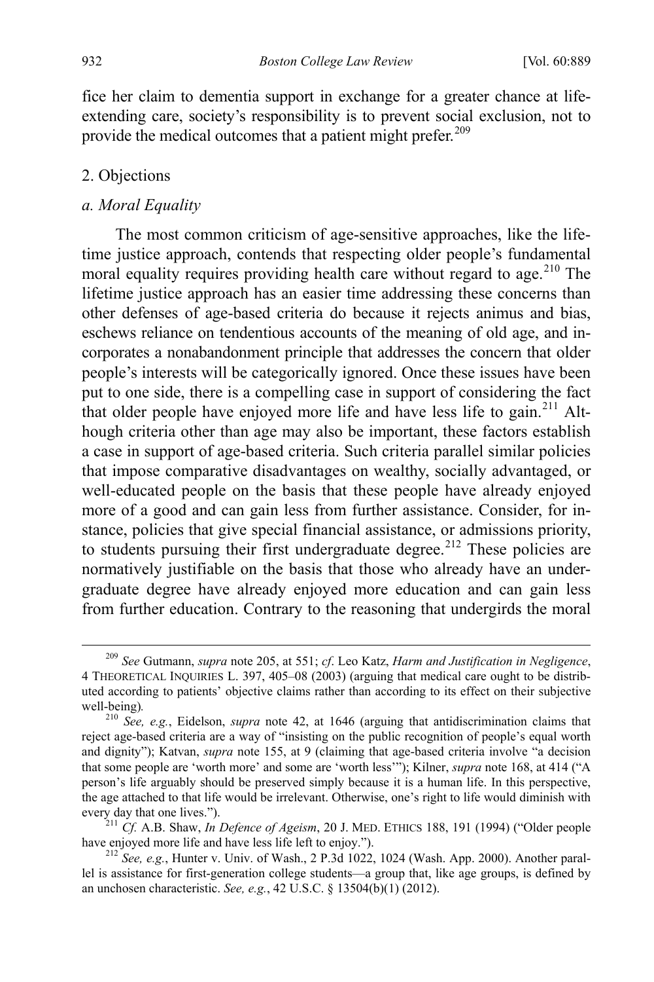<span id="page-45-0"></span>fice her claim to dementia support in exchange for a greater chance at lifeextending care, society's responsibility is to prevent social exclusion, not to provide the medical outcomes that a patient might prefer.<sup>[209](#page-45-2)</sup>

### 2. Objections

## *a. Moral Equality*

<span id="page-45-1"></span>The most common criticism of age-sensitive approaches, like the lifetime justice approach, contends that respecting older people's fundamental moral equality requires providing health care without regard to age.<sup>[210](#page-45-3)</sup> The lifetime justice approach has an easier time addressing these concerns than other defenses of age-based criteria do because it rejects animus and bias, eschews reliance on tendentious accounts of the meaning of old age, and incorporates a nonabandonment principle that addresses the concern that older people's interests will be categorically ignored. Once these issues have been put to one side, there is a compelling case in support of considering the fact that older people have enjoyed more life and have less life to gain.<sup>[211](#page-45-4)</sup> Although criteria other than age may also be important, these factors establish a case in support of age-based criteria. Such criteria parallel similar policies that impose comparative disadvantages on wealthy, socially advantaged, or well-educated people on the basis that these people have already enjoyed more of a good and can gain less from further assistance. Consider, for instance, policies that give special financial assistance, or admissions priority, to students pursuing their first undergraduate degree.<sup>[212](#page-45-5)</sup> These policies are normatively justifiable on the basis that those who already have an undergraduate degree have already enjoyed more education and can gain less from further education. Contrary to the reasoning that undergirds the moral

<span id="page-45-2"></span> <sup>209</sup> *See* Gutmann, *supra* not[e 205,](#page-43-5) at 551; *cf*. Leo Katz, *Harm and Justification in Negligence*, 4 THEORETICAL INQUIRIES L. 397, 405–08 (2003) (arguing that medical care ought to be distributed according to patients' objective claims rather than according to its effect on their subjective

<span id="page-45-3"></span>well-being)*.* <sup>210</sup> *See, e.g.*, Eidelson, *supra* note [42,](#page-12-0) at 1646 (arguing that antidiscrimination claims that reject age-based criteria are a way of "insisting on the public recognition of people's equal worth and dignity"); Katvan, *supra* note [155,](#page-32-7) at 9 (claiming that age-based criteria involve "a decision that some people are 'worth more' and some are 'worth less'"); Kilner, *supra* note [168,](#page-34-1) at 414 ("A person's life arguably should be preserved simply because it is a human life. In this perspective, the age attached to that life would be irrelevant. Otherwise, one's right to life would diminish with

<span id="page-45-4"></span>every day that one lives.").<br><sup>211</sup> *Cf.* A.B. Shaw, *In Defence of Ageism*, 20 J. MED. ETHICS 188, 191 (1994) ("Older people have enjoyed more life and have less life left to enjoy.").

<span id="page-45-5"></span><sup>&</sup>lt;sup>212</sup> See, e.g., Hunter v. Univ. of Wash., 2 P.3d 1022, 1024 (Wash. App. 2000). Another parallel is assistance for first-generation college students—a group that, like age groups, is defined by an unchosen characteristic. *See, e.g.*, 42 U.S.C. § 13504(b)(1) (2012).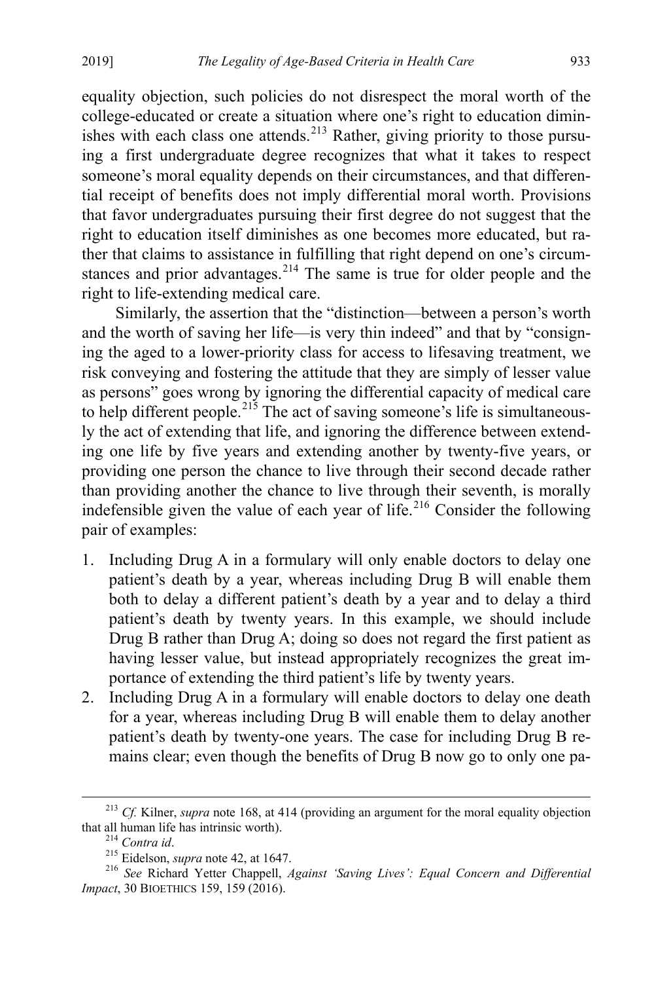equality objection, such policies do not disrespect the moral worth of the college-educated or create a situation where one's right to education dimin-ishes with each class one attends.<sup>[213](#page-46-0)</sup> Rather, giving priority to those pursuing a first undergraduate degree recognizes that what it takes to respect someone's moral equality depends on their circumstances, and that differential receipt of benefits does not imply differential moral worth. Provisions that favor undergraduates pursuing their first degree do not suggest that the right to education itself diminishes as one becomes more educated, but rather that claims to assistance in fulfilling that right depend on one's circum-stances and prior advantages.<sup>[214](#page-46-1)</sup> The same is true for older people and the right to life-extending medical care.

Similarly, the assertion that the "distinction—between a person's worth and the worth of saving her life—is very thin indeed" and that by "consigning the aged to a lower-priority class for access to lifesaving treatment, we risk conveying and fostering the attitude that they are simply of lesser value as persons" goes wrong by ignoring the differential capacity of medical care to help different people.<sup>[215](#page-46-2)</sup> The act of saving someone's life is simultaneously the act of extending that life, and ignoring the difference between extending one life by five years and extending another by twenty-five years, or providing one person the chance to live through their second decade rather than providing another the chance to live through their seventh, is morally indefensible given the value of each year of life.<sup>[216](#page-46-3)</sup> Consider the following pair of examples:

- 1. Including Drug A in a formulary will only enable doctors to delay one patient's death by a year, whereas including Drug B will enable them both to delay a different patient's death by a year and to delay a third patient's death by twenty years. In this example, we should include Drug B rather than Drug A; doing so does not regard the first patient as having lesser value, but instead appropriately recognizes the great importance of extending the third patient's life by twenty years.
- 2. Including Drug A in a formulary will enable doctors to delay one death for a year, whereas including Drug B will enable them to delay another patient's death by twenty-one years. The case for including Drug B remains clear; even though the benefits of Drug B now go to only one pa-

<span id="page-46-0"></span><sup>&</sup>lt;sup>213</sup> *Cf.* Kilner, *supra* note [168,](#page-34-1) at 414 (providing an argument for the moral equality objection that all human life has intrinsic worth).

<span id="page-46-3"></span><span id="page-46-2"></span><span id="page-46-1"></span><sup>&</sup>lt;sup>214</sup> Contra id.<br><sup>215</sup> Eidelson, *supra* not[e 42,](#page-12-0) at 1647.<br><sup>216</sup> *See* Richard Yetter Chappell, *Against 'Saving Lives': Equal Concern and Differential Impact*, 30 BIOETHICS 159, 159 (2016).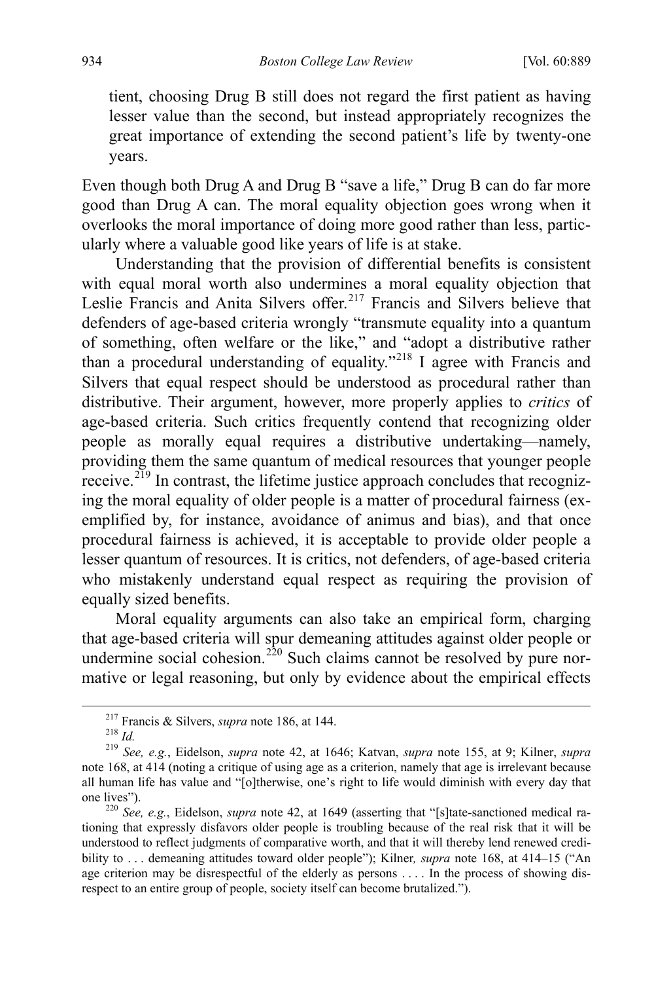tient, choosing Drug B still does not regard the first patient as having lesser value than the second, but instead appropriately recognizes the great importance of extending the second patient's life by twenty-one years.

Even though both Drug A and Drug B "save a life," Drug B can do far more good than Drug A can. The moral equality objection goes wrong when it overlooks the moral importance of doing more good rather than less, particularly where a valuable good like years of life is at stake.

Understanding that the provision of differential benefits is consistent with equal moral worth also undermines a moral equality objection that Leslie Francis and Anita Silvers offer.<sup>[217](#page-47-0)</sup> Francis and Silvers believe that defenders of age-based criteria wrongly "transmute equality into a quantum of something, often welfare or the like," and "adopt a distributive rather than a procedural understanding of equality."<sup>[218](#page-47-1)</sup> I agree with Francis and Silvers that equal respect should be understood as procedural rather than distributive. Their argument, however, more properly applies to *critics* of age-based criteria. Such critics frequently contend that recognizing older people as morally equal requires a distributive undertaking—namely, providing them the same quantum of medical resources that younger people receive.<sup> $2\bar{19}$ </sup> In contrast, the lifetime justice approach concludes that recognizing the moral equality of older people is a matter of procedural fairness (exemplified by, for instance, avoidance of animus and bias), and that once procedural fairness is achieved, it is acceptable to provide older people a lesser quantum of resources. It is critics, not defenders, of age-based criteria who mistakenly understand equal respect as requiring the provision of equally sized benefits.

Moral equality arguments can also take an empirical form, charging that age-based criteria will spur demeaning attitudes against older people or undermine social cohesion.<sup>[220](#page-47-3)</sup> Such claims cannot be resolved by pure normative or legal reasoning, but only by evidence about the empirical effects

<span id="page-47-2"></span><span id="page-47-1"></span><span id="page-47-0"></span><sup>217</sup> Francis & Silvers, *supra* not[e 186,](#page-39-4) at 144. 218 *Id.* <sup>219</sup> *See, e.g.*, Eidelson, *supra* note [42,](#page-12-0) at 1646; Katvan, *supra* note [155,](#page-32-7) at 9; Kilner, *supra* note [168,](#page-34-1) at 414 (noting a critique of using age as a criterion, namely that age is irrelevant because all human life has value and "[o]therwise, one's right to life would diminish with every day that

<span id="page-47-3"></span>one lives"). <sup>220</sup> *See, e.g.*, Eidelson, *supra* note [42,](#page-12-0) at 1649 (asserting that "[s]tate-sanctioned medical rationing that expressly disfavors older people is troubling because of the real risk that it will be understood to reflect judgments of comparative worth, and that it will thereby lend renewed credibility to . . . demeaning attitudes toward older people"); Kilner*, supra* note [168,](#page-34-1) at 414–15 ("An age criterion may be disrespectful of the elderly as persons .... In the process of showing disrespect to an entire group of people, society itself can become brutalized.").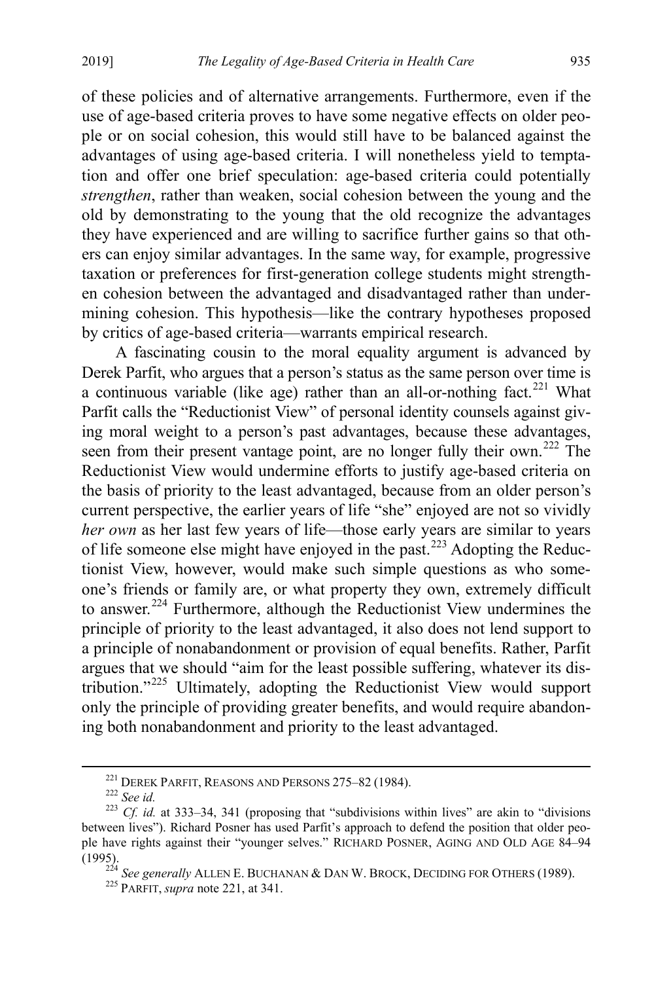of these policies and of alternative arrangements. Furthermore, even if the use of age-based criteria proves to have some negative effects on older people or on social cohesion, this would still have to be balanced against the advantages of using age-based criteria. I will nonetheless yield to temptation and offer one brief speculation: age-based criteria could potentially *strengthen*, rather than weaken, social cohesion between the young and the old by demonstrating to the young that the old recognize the advantages they have experienced and are willing to sacrifice further gains so that others can enjoy similar advantages. In the same way, for example, progressive taxation or preferences for first-generation college students might strengthen cohesion between the advantaged and disadvantaged rather than undermining cohesion. This hypothesis—like the contrary hypotheses proposed by critics of age-based criteria—warrants empirical research.

<span id="page-48-0"></span>A fascinating cousin to the moral equality argument is advanced by Derek Parfit, who argues that a person's status as the same person over time is a continuous variable (like age) rather than an all-or-nothing fact.<sup>[221](#page-48-1)</sup> What Parfit calls the "Reductionist View" of personal identity counsels against giving moral weight to a person's past advantages, because these advantages, seen from their present vantage point, are no longer fully their own.<sup>[222](#page-48-2)</sup> The Reductionist View would undermine efforts to justify age-based criteria on the basis of priority to the least advantaged, because from an older person's current perspective, the earlier years of life "she" enjoyed are not so vividly *her own* as her last few years of life—those early years are similar to years of life someone else might have enjoyed in the past.<sup>[223](#page-48-3)</sup> Adopting the Reductionist View, however, would make such simple questions as who someone's friends or family are, or what property they own, extremely difficult to answer.<sup>224</sup> Furthermore, although the Reductionist View undermines the principle of priority to the least advantaged, it also does not lend support to a principle of nonabandonment or provision of equal benefits. Rather, Parfit argues that we should "aim for the least possible suffering, whatever its distribution."[225](#page-48-5) Ultimately, adopting the Reductionist View would support only the principle of providing greater benefits, and would require abandoning both nonabandonment and priority to the least advantaged.

<span id="page-48-3"></span><span id="page-48-2"></span><span id="page-48-1"></span><sup>&</sup>lt;sup>221</sup> DEREK PARFIT, REASONS AND PERSONS 275–82 (1984).<br><sup>222</sup> *See id.* 223 *Cf. id.* at 333–34, 341 (proposing that "subdivisions within lives" are akin to "divisions" between lives"). Richard Posner has used Parfit's approach to defend the position that older people have rights against their "younger selves." RICHARD POSNER, AGING AND OLD AGE 84–94

<span id="page-48-5"></span><span id="page-48-4"></span><sup>(1995). 224</sup> *See generally* ALLEN E. BUCHANAN & DAN W. BROCK, DECIDING FOR OTHERS (1989). 225 PARFIT, *supra* note [221,](#page-48-0) at 341.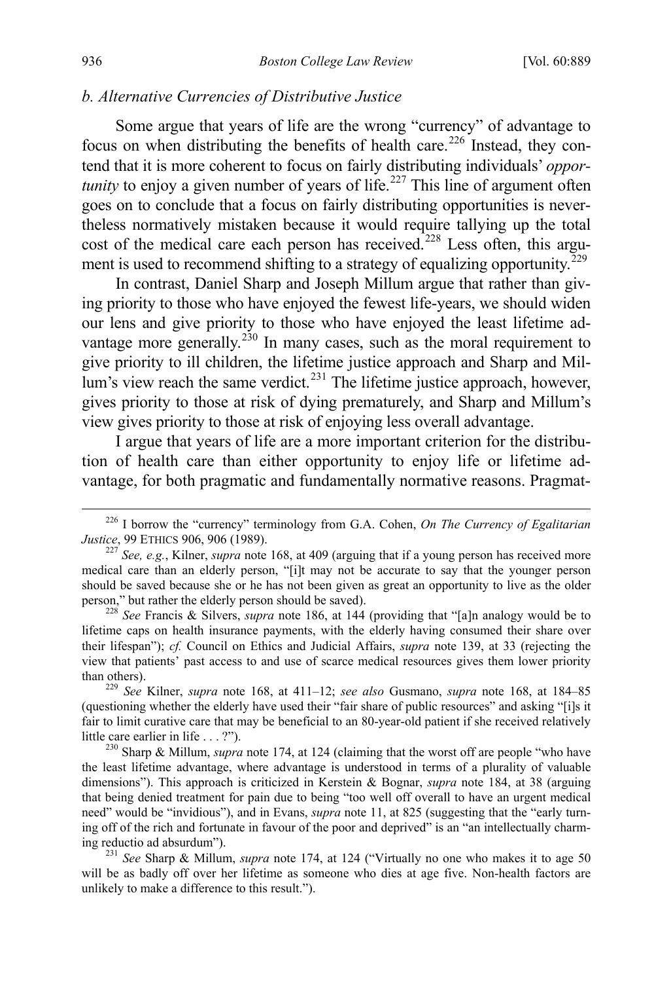### *b. Alternative Currencies of Distributive Justice*

Some argue that years of life are the wrong "currency" of advantage to focus on when distributing the benefits of health care.<sup>[226](#page-49-0)</sup> Instead, they contend that it is more coherent to focus on fairly distributing individuals' *opportunity* to enjoy a given number of years of life.<sup>[227](#page-49-1)</sup> This line of argument often goes on to conclude that a focus on fairly distributing opportunities is nevertheless normatively mistaken because it would require tallying up the total cost of the medical care each person has received.<sup>[228](#page-49-2)</sup> Less often, this argument is used to recommend shifting to a strategy of equalizing opportunity.<sup> $229$ </sup>

In contrast, Daniel Sharp and Joseph Millum argue that rather than giving priority to those who have enjoyed the fewest life-years, we should widen our lens and give priority to those who have enjoyed the least lifetime ad-vantage more generally.<sup>[230](#page-49-4)</sup> In many cases, such as the moral requirement to give priority to ill children, the lifetime justice approach and Sharp and Mil- $\lim$ 's view reach the same verdict.<sup>231</sup> The lifetime justice approach, however, gives priority to those at risk of dying prematurely, and Sharp and Millum's view gives priority to those at risk of enjoying less overall advantage.

I argue that years of life are a more important criterion for the distribution of health care than either opportunity to enjoy life or lifetime advantage, for both pragmatic and fundamentally normative reasons. Pragmat-

<span id="page-49-0"></span> <sup>226</sup> I borrow the "currency" terminology from G.A. Cohen, *On The Currency of Egalitarian* 

<span id="page-49-1"></span> $\frac{227}{227}$  *See, e.g.*, Kilner, *supra* not[e 168,](#page-34-1) at 409 (arguing that if a young person has received more medical care than an elderly person, "[i]t may not be accurate to say that the younger person should be saved because she or he has not been given as great an opportunity to live as the older person," but rather the elderly person should be saved). <sup>228</sup> *See* Francis & Silvers, *supra* note [186,](#page-39-4) at 144 (providing that "[a]n analogy would be to

<span id="page-49-2"></span>lifetime caps on health insurance payments, with the elderly having consumed their share over their lifespan"); *cf.* Council on Ethics and Judicial Affairs, *supra* note [139,](#page-29-6) at 33 (rejecting the view that patients' past access to and use of scarce medical resources gives them lower priority

<span id="page-49-3"></span>than others). <sup>229</sup> *See* Kilner, *supra* note [168,](#page-34-1) at 411–12; *see also* Gusmano, *supra* note [168,](#page-34-1) at 184–85 (questioning whether the elderly have used their "fair share of public resources" and asking "[i]s it fair to limit curative care that may be beneficial to an 80-year-old patient if she received relatively little care earlier in life . . . ?"). 230 Sharp & Millum, *supra* not[e 174,](#page-36-5) at 124 (claiming that the worst off are people "who have

<span id="page-49-4"></span>the least lifetime advantage, where advantage is understood in terms of a plurality of valuable dimensions"). This approach is criticized in Kerstein & Bognar, *supra* note [184,](#page-39-3) at 38 (arguing that being denied treatment for pain due to being "too well off overall to have an urgent medical need" would be "invidious"), and in Evans, *supra* note [11,](#page-5-6) at 825 (suggesting that the "early turning off of the rich and fortunate in favour of the poor and deprived" is an "an intellectually charm-<br>ing reductio ad absurdum").

<span id="page-49-5"></span><sup>&</sup>lt;sup>231</sup> See Sharp & Millum, *supra* note [174,](#page-36-5) at 124 ("Virtually no one who makes it to age 50 will be as badly off over her lifetime as someone who dies at age five. Non-health factors are unlikely to make a difference to this result.").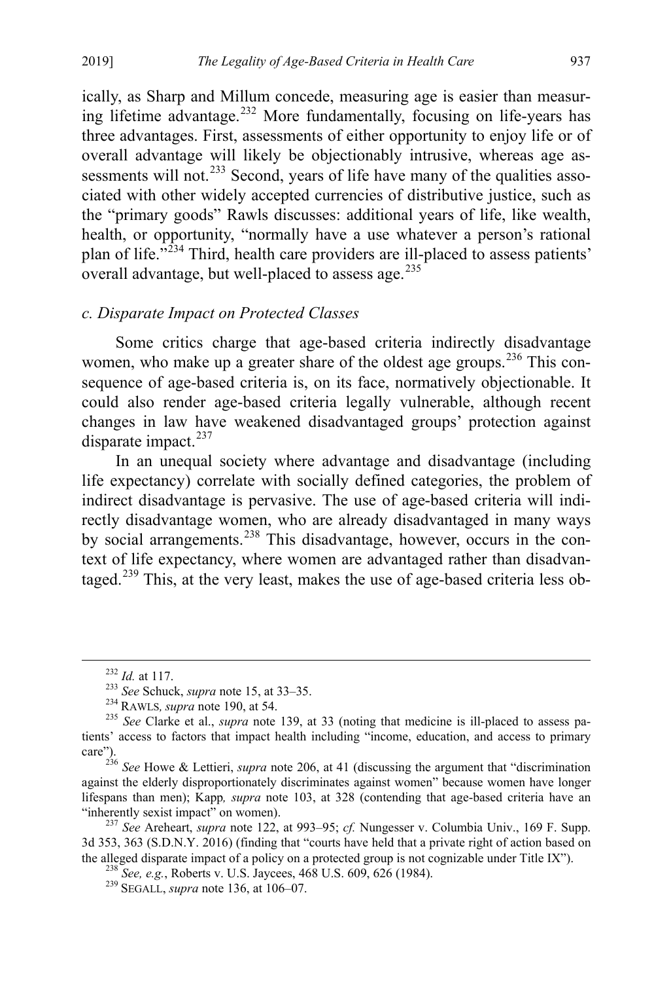ically, as Sharp and Millum concede, measuring age is easier than measuring lifetime advantage.[232](#page-50-0) More fundamentally, focusing on life-years has three advantages. First, assessments of either opportunity to enjoy life or of overall advantage will likely be objectionably intrusive, whereas age as-sessments will not.<sup>[233](#page-50-1)</sup> Second, years of life have many of the qualities associated with other widely accepted currencies of distributive justice, such as the "primary goods" Rawls discusses: additional years of life, like wealth, health, or opportunity, "normally have a use whatever a person's rational plan of life. $\frac{1}{234}$  $\frac{1}{234}$  $\frac{1}{234}$  Third, health care providers are ill-placed to assess patients' overall advantage, but well-placed to assess age. $^{235}$  $^{235}$  $^{235}$ 

# *c. Disparate Impact on Protected Classes*

Some critics charge that age-based criteria indirectly disadvantage women, who make up a greater share of the oldest age groups.<sup>[236](#page-50-4)</sup> This consequence of age-based criteria is, on its face, normatively objectionable. It could also render age-based criteria legally vulnerable, although recent changes in law have weakened disadvantaged groups' protection against disparate impact.<sup>[237](#page-50-5)</sup>

In an unequal society where advantage and disadvantage (including life expectancy) correlate with socially defined categories, the problem of indirect disadvantage is pervasive. The use of age-based criteria will indirectly disadvantage women, who are already disadvantaged in many ways by social arrangements.<sup>[238](#page-50-6)</sup> This disadvantage, however, occurs in the context of life expectancy, where women are advantaged rather than disadvantaged.[239](#page-50-7) This, at the very least, makes the use of age-based criteria less ob-

<span id="page-50-2"></span><span id="page-50-1"></span><span id="page-50-0"></span><sup>&</sup>lt;sup>232</sup> *Id.* at 117.<br><sup>233</sup> *See* Schuck, *supra* not[e 15,](#page-6-5) at 33–35.<br><sup>234</sup> RAWLS, *supra* not[e 190,](#page-40-0) at 54.<br><sup>235</sup> *See* Clarke et al., *supra* note [139,](#page-29-6) at 33 (noting that medicine is ill-placed to assess patients' access to factors that impact health including "income, education, and access to primary care").

<span id="page-50-4"></span><span id="page-50-3"></span><sup>236</sup> *See* Howe & Lettieri, *supra* note [206,](#page-44-3) at 41 (discussing the argument that "discrimination against the elderly disproportionately discriminates against women" because women have longer lifespans than men); Kapp*, supra* note [103,](#page-24-8) at 328 (contending that age-based criteria have an "inherently sexist impact" on women). <sup>237</sup> *See* Areheart, *supra* note [122,](#page-26-7) at 993–95; *cf.* Nungesser v. Columbia Univ., 169 F. Supp.

<span id="page-50-7"></span><span id="page-50-6"></span><span id="page-50-5"></span><sup>3</sup>d 353, 363 (S.D.N.Y. 2016) (finding that "courts have held that a private right of action based on the alleged disparate impact of a policy on a protected group is not cognizable under Title IX"). <sup>238</sup> *See, e.g.*, Roberts v. U.S. Jaycees, 468 U.S. 609, 626 (1984). <sup>239</sup> SEGALL, *supra* note [136,](#page-29-0) at 106–07.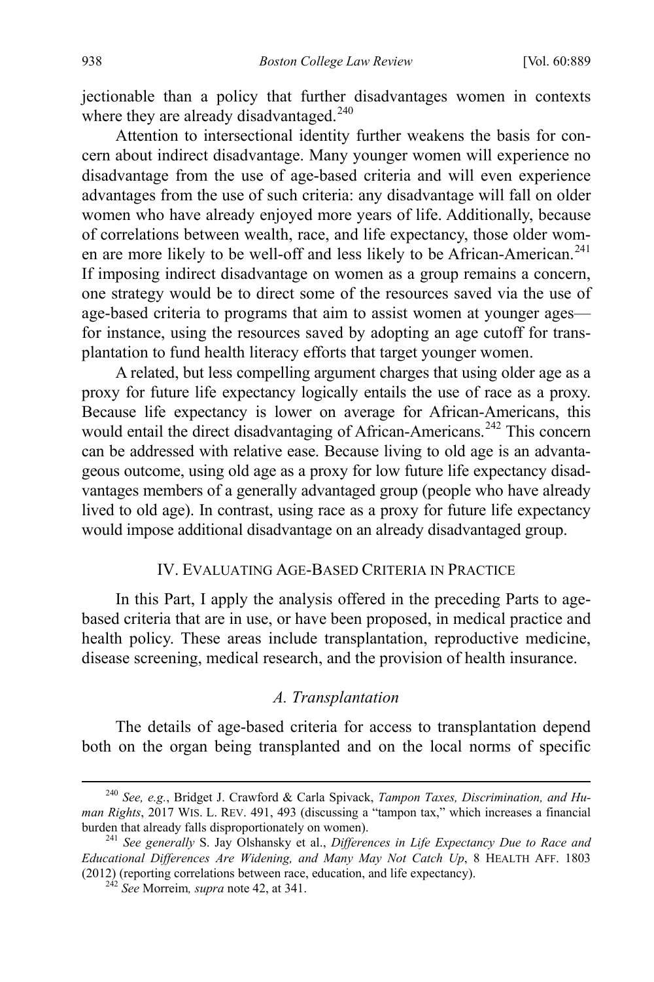jectionable than a policy that further disadvantages women in contexts where they are already disadvantaged.<sup>[240](#page-51-1)</sup>

<span id="page-51-4"></span>Attention to intersectional identity further weakens the basis for concern about indirect disadvantage. Many younger women will experience no disadvantage from the use of age-based criteria and will even experience advantages from the use of such criteria: any disadvantage will fall on older women who have already enjoyed more years of life. Additionally, because of correlations between wealth, race, and life expectancy, those older wom-en are more likely to be well-off and less likely to be African-American.<sup>[241](#page-51-2)</sup> If imposing indirect disadvantage on women as a group remains a concern, one strategy would be to direct some of the resources saved via the use of age-based criteria to programs that aim to assist women at younger ages for instance, using the resources saved by adopting an age cutoff for transplantation to fund health literacy efforts that target younger women.

A related, but less compelling argument charges that using older age as a proxy for future life expectancy logically entails the use of race as a proxy. Because life expectancy is lower on average for African-Americans, this would entail the direct disadvantaging of African-Americans.<sup>[242](#page-51-3)</sup> This concern can be addressed with relative ease. Because living to old age is an advantageous outcome, using old age as a proxy for low future life expectancy disadvantages members of a generally advantaged group (people who have already lived to old age). In contrast, using race as a proxy for future life expectancy would impose additional disadvantage on an already disadvantaged group.

# IV. EVALUATING AGE-BASED CRITERIA IN PRACTICE

In this Part, I apply the analysis offered in the preceding Parts to agebased criteria that are in use, or have been proposed, in medical practice and health policy. These areas include transplantation, reproductive medicine, disease screening, medical research, and the provision of health insurance.

# <span id="page-51-0"></span>*A. Transplantation*

The details of age-based criteria for access to transplantation depend both on the organ being transplanted and on the local norms of specific

<span id="page-51-1"></span> <sup>240</sup> *See, e.g.*, Bridget J. Crawford & Carla Spivack, *Tampon Taxes, Discrimination, and Human Rights*, 2017 WIS. L. REV. 491, 493 (discussing a "tampon tax," which increases a financial burden that already falls disproportionately on women).

<span id="page-51-3"></span><span id="page-51-2"></span><sup>&</sup>lt;sup>241</sup> See generally S. Jay Olshansky et al., *Differences in Life Expectancy Due to Race and Educational Differences Are Widening, and Many May Not Catch Up*, 8 HEALTH AFF. 1803 (2012) (reporting correlations between race, education, and life expectancy). 242 *See* Morreim*, supra* note [42,](#page-12-0) at 341.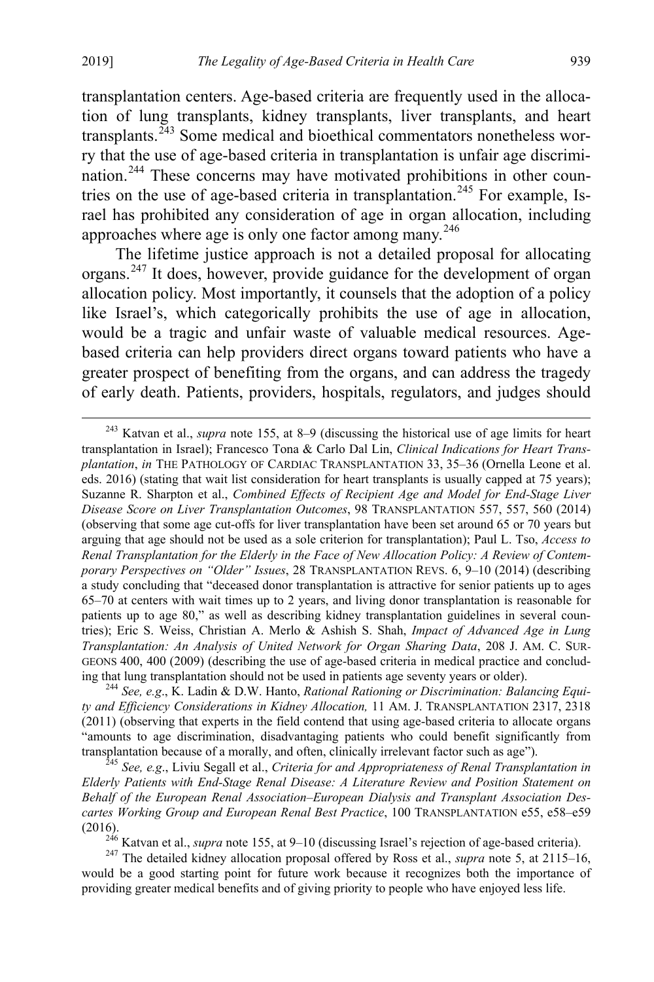<span id="page-52-0"></span>transplantation centers. Age-based criteria are frequently used in the allocation of lung transplants, kidney transplants, liver transplants, and heart transplants.<sup>[243](#page-52-2)</sup> Some medical and bioethical commentators nonetheless worry that the use of age-based criteria in transplantation is unfair age discrimi-nation.<sup>[244](#page-52-3)</sup> These concerns may have motivated prohibitions in other coun-tries on the use of age-based criteria in transplantation.<sup>[245](#page-52-4)</sup> For example, Israel has prohibited any consideration of age in organ allocation, including approaches where age is only one factor among many. $246$ 

<span id="page-52-1"></span>The lifetime justice approach is not a detailed proposal for allocating organs.[247](#page-52-6) It does, however, provide guidance for the development of organ allocation policy. Most importantly, it counsels that the adoption of a policy like Israel's, which categorically prohibits the use of age in allocation, would be a tragic and unfair waste of valuable medical resources. Agebased criteria can help providers direct organs toward patients who have a greater prospect of benefiting from the organs, and can address the tragedy of early death. Patients, providers, hospitals, regulators, and judges should

<span id="page-52-3"></span>*ty and Efficiency Considerations in Kidney Allocation,* 11 AM. J. TRANSPLANTATION 2317, 2318 (2011) (observing that experts in the field contend that using age-based criteria to allocate organs "amounts to age discrimination, disadvantaging patients who could benefit significantly from transplantation because of a morally, and often, clinically irrelevant factor such as age").

<span id="page-52-4"></span>plantation because of a moral levant factor and *Appropriateness of Renal Transplantation in*  $\frac{245 \text{ } \text{[Fe]} }{245 \text{ } \text{[Fe]} }$  *See, e.g.*, Liviu Segall et al., *Criteria for and Appropriateness of Renal Transplantation Elderly Patients with End-Stage Renal Disease: A Literature Review and Position Statement on Behalf of the European Renal Association–European Dialysis and Transplant Association Descartes Working Group and European Renal Best Practice*, 100 TRANSPLANTATION e55, e58–e59 (2016). 246 Katvan et al., *supra* note [155,](#page-32-7) at 9–10 (discussing Israel's rejection of age-based criteria). <sup>247</sup> The detailed kidney allocation proposal offered by Ross et al., *supra* note [5,](#page-4-6) at 2115–16,

<span id="page-52-6"></span><span id="page-52-5"></span>would be a good starting point for future work because it recognizes both the importance of providing greater medical benefits and of giving priority to people who have enjoyed less life.

<span id="page-52-2"></span> <sup>243</sup> Katvan et al., *supra* note [155,](#page-32-7) at 8–9 (discussing the historical use of age limits for heart transplantation in Israel); Francesco Tona & Carlo Dal Lin, *Clinical Indications for Heart Transplantation*, *in* THE PATHOLOGY OF CARDIAC TRANSPLANTATION 33, 35–36 (Ornella Leone et al. eds. 2016) (stating that wait list consideration for heart transplants is usually capped at 75 years); Suzanne R. Sharpton et al., *Combined Effects of Recipient Age and Model for End-Stage Liver Disease Score on Liver Transplantation Outcomes*, 98 TRANSPLANTATION 557, 557, 560 (2014) (observing that some age cut-offs for liver transplantation have been set around 65 or 70 years but arguing that age should not be used as a sole criterion for transplantation); Paul L. Tso, *Access to Renal Transplantation for the Elderly in the Face of New Allocation Policy: A Review of Contemporary Perspectives on "Older" Issues*, 28 TRANSPLANTATION REVS. 6, 9–10 (2014) (describing a study concluding that "deceased donor transplantation is attractive for senior patients up to ages 65–70 at centers with wait times up to 2 years, and living donor transplantation is reasonable for patients up to age 80," as well as describing kidney transplantation guidelines in several countries); Eric S. Weiss, Christian A. Merlo & Ashish S. Shah, *Impact of Advanced Age in Lung Transplantation: An Analysis of United Network for Organ Sharing Data*, 208 J. AM. C. SUR-GEONS 400, 400 (2009) (describing the use of age-based criteria in medical practice and concluding that lung transplantation should not be used in patients age seventy years or older). 244 *See, e.g*., K. Ladin & D.W. Hanto, *Rational Rationing or Discrimination: Balancing Equi-*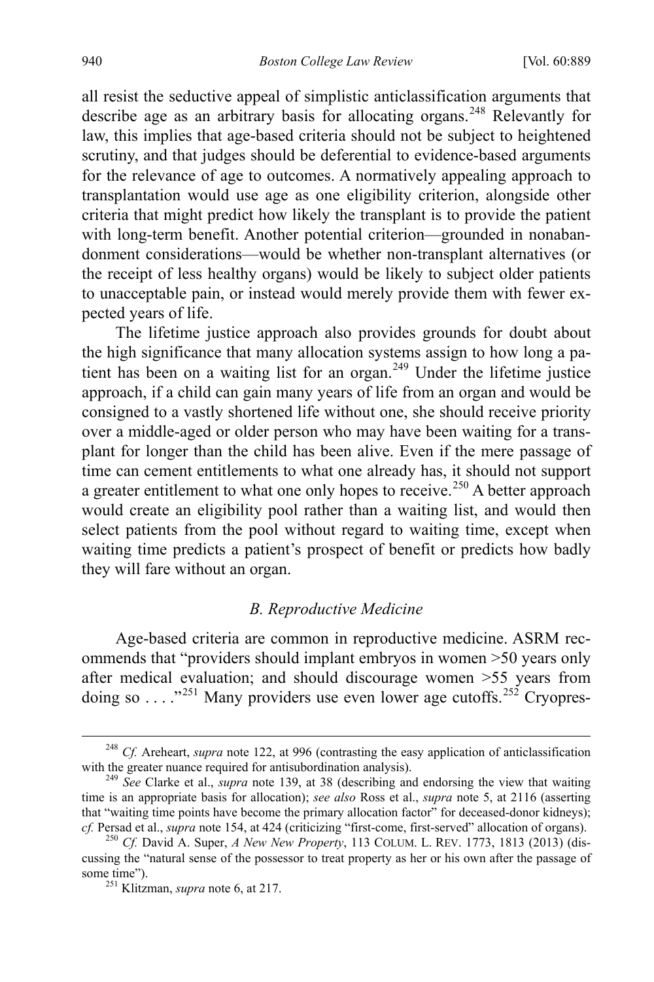all resist the seductive appeal of simplistic anticlassification arguments that describe age as an arbitrary basis for allocating organs.<sup>[248](#page-53-0)</sup> Relevantly for law, this implies that age-based criteria should not be subject to heightened scrutiny, and that judges should be deferential to evidence-based arguments for the relevance of age to outcomes. A normatively appealing approach to transplantation would use age as one eligibility criterion, alongside other criteria that might predict how likely the transplant is to provide the patient with long-term benefit. Another potential criterion—grounded in nonabandonment considerations—would be whether non-transplant alternatives (or the receipt of less healthy organs) would be likely to subject older patients to unacceptable pain, or instead would merely provide them with fewer expected years of life.

The lifetime justice approach also provides grounds for doubt about the high significance that many allocation systems assign to how long a pa-tient has been on a waiting list for an organ.<sup>[249](#page-53-1)</sup> Under the lifetime justice approach, if a child can gain many years of life from an organ and would be consigned to a vastly shortened life without one, she should receive priority over a middle-aged or older person who may have been waiting for a transplant for longer than the child has been alive. Even if the mere passage of time can cement entitlements to what one already has, it should not support a greater entitlement to what one only hopes to receive.<sup>[250](#page-53-2)</sup> A better approach would create an eligibility pool rather than a waiting list, and would then select patients from the pool without regard to waiting time, except when waiting time predicts a patient's prospect of benefit or predicts how badly they will fare without an organ.

# *B. Reproductive Medicine*

<span id="page-53-4"></span>Age-based criteria are common in reproductive medicine. ASRM recommends that "providers should implant embryos in women >50 years only after medical evaluation; and should discourage women >55 years from doing so . . . ."[251](#page-53-3) Many providers use even lower age cutoffs.[252](#page-53-4) Cryopres-

<span id="page-53-0"></span> <sup>248</sup> *Cf.* Areheart, *supra* note [122,](#page-26-7) at 996 (contrasting the easy application of anticlassification with the greater nuance required for antisubordination analysis). <sup>249</sup> *See* Clarke et al., *supra* note [139,](#page-29-6) at 38 (describing and endorsing the view that waiting

<span id="page-53-1"></span>time is an appropriate basis for allocation); *see also* Ross et al., *supra* note [5,](#page-4-6) at 2116 (asserting that "waiting time points have become the primary allocation factor" for deceased-donor kidneys); *cf.* Persad et al., *supra* not[e 154,](#page-32-1) at 424 (criticizing "first-come, first-served" allocation of organs). <sup>250</sup> *Cf.* David A. Super, *A New New Property*, 113 COLUM. L. REV. 1773, 1813 (2013) (dis-

<span id="page-53-3"></span><span id="page-53-2"></span>cussing the "natural sense of the possessor to treat property as her or his own after the passage of some time"). <sup>251</sup> Klitzman, *supra* not[e 6,](#page-4-8) at 217.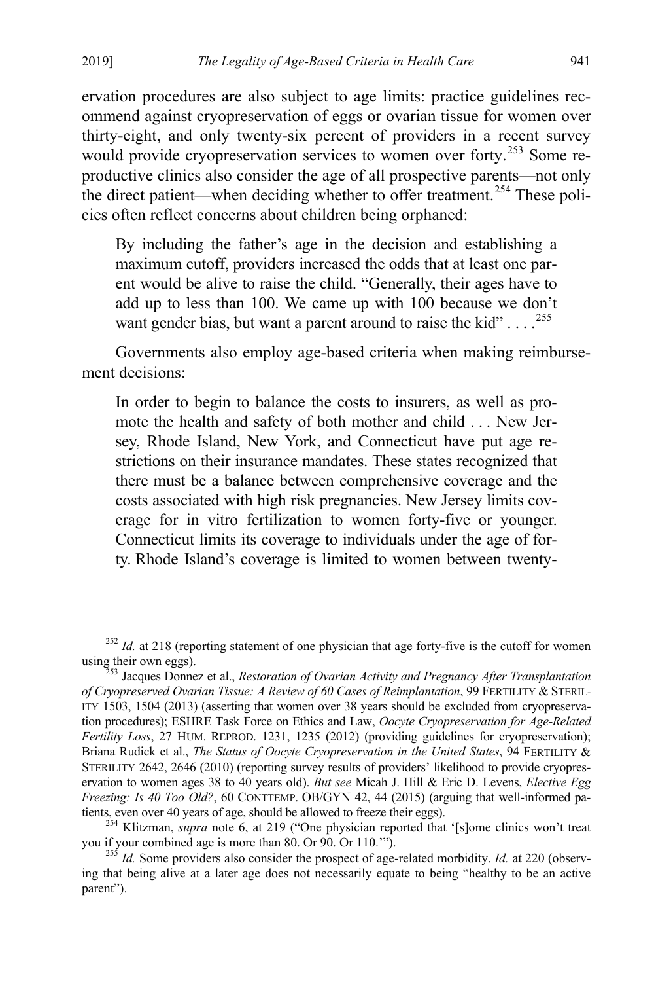ervation procedures are also subject to age limits: practice guidelines recommend against cryopreservation of eggs or ovarian tissue for women over thirty-eight, and only twenty-six percent of providers in a recent survey would provide cryopreservation services to women over forty.<sup>[253](#page-54-0)</sup> Some reproductive clinics also consider the age of all prospective parents—not only the direct patient—when deciding whether to offer treatment.<sup>[254](#page-54-1)</sup> These policies often reflect concerns about children being orphaned:

<span id="page-54-3"></span>By including the father's age in the decision and establishing a maximum cutoff, providers increased the odds that at least one parent would be alive to raise the child. "Generally, their ages have to add up to less than 100. We came up with 100 because we don't want gender bias, but want a parent around to raise the kid"  $\dots$ .  $^{255}$  $^{255}$  $^{255}$ 

Governments also employ age-based criteria when making reimbursement decisions:

In order to begin to balance the costs to insurers, as well as promote the health and safety of both mother and child . . . New Jersey, Rhode Island, New York, and Connecticut have put age restrictions on their insurance mandates. These states recognized that there must be a balance between comprehensive coverage and the costs associated with high risk pregnancies. New Jersey limits coverage for in vitro fertilization to women forty-five or younger. Connecticut limits its coverage to individuals under the age of forty. Rhode Island's coverage is limited to women between twenty-

<sup>&</sup>lt;sup>252</sup> *Id.* at 218 (reporting statement of one physician that age forty-five is the cutoff for women using their own eggs).<br><sup>253</sup> Jacques Donnez et al., *Restoration of Ovarian Activity and Pregnancy After Transplantation* 

<span id="page-54-0"></span>*of Cryopreserved Ovarian Tissue: A Review of 60 Cases of Reimplantation*, 99 FERTILITY & STERIL-ITY 1503, 1504 (2013) (asserting that women over 38 years should be excluded from cryopreservation procedures); ESHRE Task Force on Ethics and Law, *Oocyte Cryopreservation for Age-Related Fertility Loss*, 27 HUM. REPROD. 1231, 1235 (2012) (providing guidelines for cryopreservation); Briana Rudick et al., *The Status of Oocyte Cryopreservation in the United States*, 94 FERTILITY & STERILITY 2642, 2646 (2010) (reporting survey results of providers' likelihood to provide cryopreservation to women ages 38 to 40 years old). *But see* Micah J. Hill & Eric D. Levens, *Elective Egg Freezing: Is 40 Too Old?*, 60 CONTTEMP. OB/GYN 42, 44 (2015) (arguing that well-informed pa-

<span id="page-54-1"></span>tients, even over 40 years of age, should be allowed to freeze their eggs).<br><sup>254</sup> Klitzman, *supra* note [6,](#page-4-8) at 219 ("One physician reported that '[s]ome clinics won't treat<br>you if your combined age is more than 80. Or 90.

<span id="page-54-2"></span><sup>&</sup>lt;sup>255</sup> *Id.* Some providers also consider the prospect of age-related morbidity. *Id.* at 220 (observing that being alive at a later age does not necessarily equate to being "healthy to be an active parent").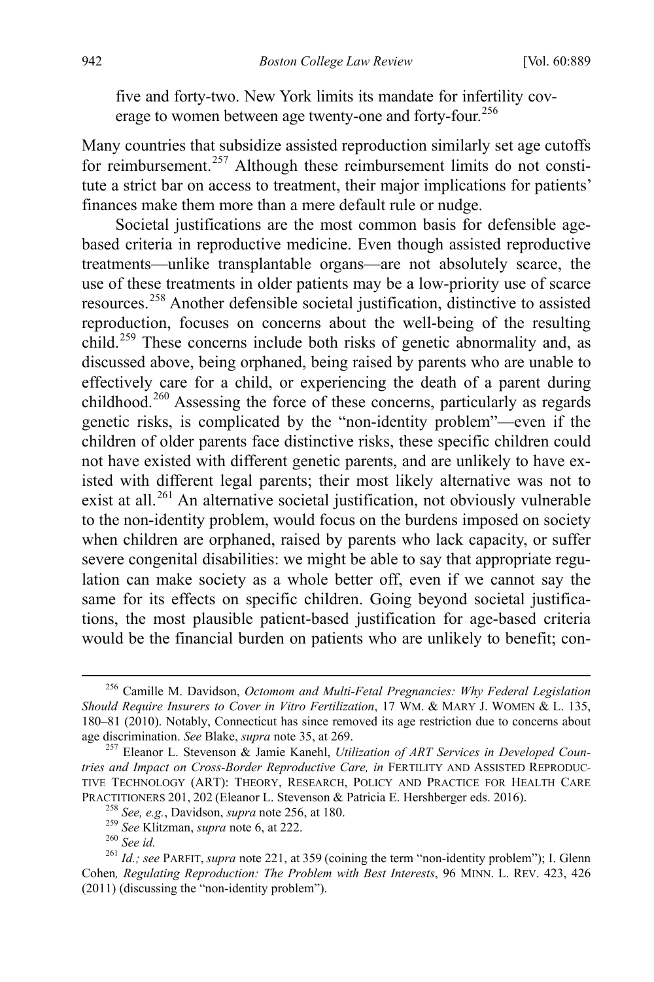<span id="page-55-0"></span>five and forty-two. New York limits its mandate for infertility cov-erage to women between age twenty-one and forty-four.<sup>[256](#page-55-1)</sup>

Many countries that subsidize assisted reproduction similarly set age cutoffs for reimbursement.<sup>[257](#page-55-2)</sup> Although these reimbursement limits do not constitute a strict bar on access to treatment, their major implications for patients' finances make them more than a mere default rule or nudge.

Societal justifications are the most common basis for defensible agebased criteria in reproductive medicine. Even though assisted reproductive treatments—unlike transplantable organs—are not absolutely scarce, the use of these treatments in older patients may be a low-priority use of scarce resources.[258](#page-55-3) Another defensible societal justification, distinctive to assisted reproduction, focuses on concerns about the well-being of the resulting child.<sup>[259](#page-55-4)</sup> These concerns include both risks of genetic abnormality and, as discussed above, being orphaned, being raised by parents who are unable to effectively care for a child, or experiencing the death of a parent during childhood.<sup>[260](#page-55-5)</sup> Assessing the force of these concerns, particularly as regards genetic risks, is complicated by the "non-identity problem"—even if the children of older parents face distinctive risks, these specific children could not have existed with different genetic parents, and are unlikely to have existed with different legal parents; their most likely alternative was not to exist at all.<sup>[261](#page-55-6)</sup> An alternative societal justification, not obviously vulnerable to the non-identity problem, would focus on the burdens imposed on society when children are orphaned, raised by parents who lack capacity, or suffer severe congenital disabilities: we might be able to say that appropriate regulation can make society as a whole better off, even if we cannot say the same for its effects on specific children. Going beyond societal justifications, the most plausible patient-based justification for age-based criteria would be the financial burden on patients who are unlikely to benefit; con-

<span id="page-55-7"></span><span id="page-55-1"></span> <sup>256</sup> Camille M. Davidson, *Octomom and Multi-Fetal Pregnancies: Why Federal Legislation Should Require Insurers to Cover in Vitro Fertilization*, 17 WM. & MARY J. WOMEN & L. 135, 180–81 (2010). Notably, Connecticut has since removed its age restriction due to concerns about age discrimination. See Blake, *supra* note 35, at 269.

<span id="page-55-2"></span><sup>&</sup>lt;sup>257</sup> Eleanor L. Stevenson & Jamie Kanehl, *Utilization of ART Services in Developed Countries and Impact on Cross-Border Reproductive Care, in* FERTILITY AND ASSISTED REPRODUC-TIVE TECHNOLOGY (ART): THEORY, RESEARCH, POLICY AND PRACTICE FOR HEALTH CARE PRACTITIONERS 201, 202 (Eleanor L. Stevenson & Patricia E. Hershberger eds. 2016).<br>
<sup>258</sup> *See*, *e.g.*, Davidson, *supra* note [256,](#page-55-0) at 180.<br>
<sup>259</sup> *See* Klitzman, *supra* not[e 6,](#page-4-8) at 222.<br>
<sup>260</sup> *See id.*<br>
<sup>261</sup> *Id.; see* 

<span id="page-55-6"></span><span id="page-55-5"></span><span id="page-55-4"></span><span id="page-55-3"></span>Cohen*, Regulating Reproduction: The Problem with Best Interests*, 96 MINN. L. REV. 423, 426 (2011) (discussing the "non-identity problem").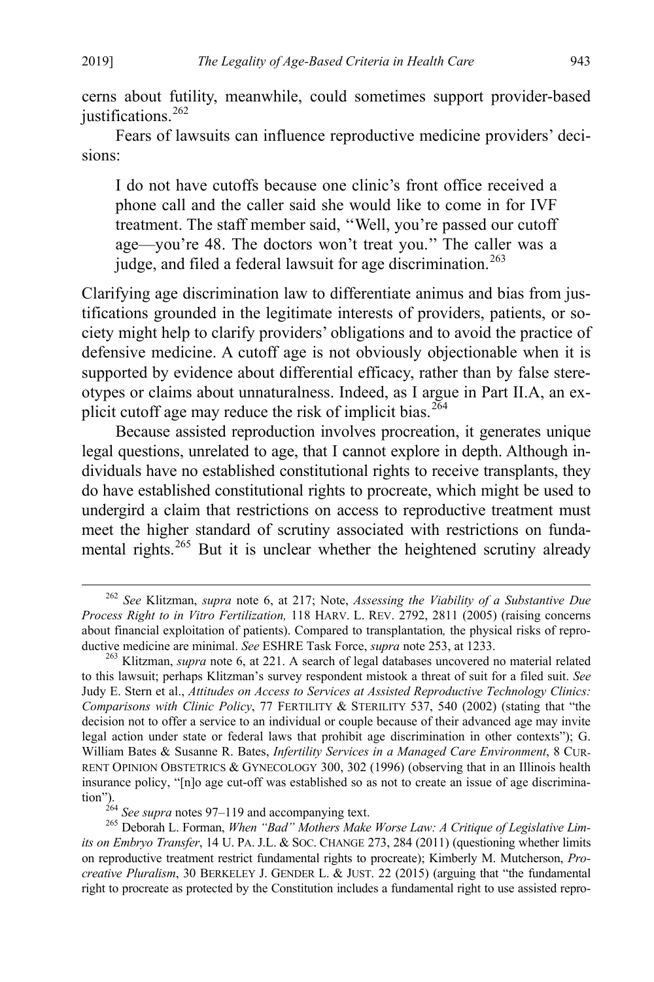cerns about futility, meanwhile, could sometimes support provider-based justifications.<sup>[262](#page-56-0)</sup>

Fears of lawsuits can influence reproductive medicine providers' decisions:

I do not have cutoffs because one clinic's front office received a phone call and the caller said she would like to come in for IVF treatment. The staff member said, ''Well, you're passed our cutoff age—you're 48. The doctors won't treat you.'' The caller was a judge, and filed a federal lawsuit for age discrimination.<sup>[263](#page-56-1)</sup>

Clarifying age discrimination law to differentiate animus and bias from justifications grounded in the legitimate interests of providers, patients, or society might help to clarify providers' obligations and to avoid the practice of defensive medicine. A cutoff age is not obviously objectionable when it is supported by evidence about differential efficacy, rather than by false stereotypes or claims about unnaturalness. Indeed, as I argue in Part II.A, an ex-plicit cutoff age may reduce the risk of implicit bias.<sup>[264](#page-56-2)</sup>

Because assisted reproduction involves procreation, it generates unique legal questions, unrelated to age, that I cannot explore in depth. Although individuals have no established constitutional rights to receive transplants, they do have established constitutional rights to procreate, which might be used to undergird a claim that restrictions on access to reproductive treatment must meet the higher standard of scrutiny associated with restrictions on funda-mental rights.<sup>[265](#page-56-3)</sup> But it is unclear whether the heightened scrutiny already

<span id="page-56-0"></span> <sup>262</sup> *See* Klitzman, *supra* note [6,](#page-4-8) at 217; Note, *Assessing the Viability of a Substantive Due Process Right to in Vitro Fertilization,* 118 HARV. L. REV. 2792, 2811 (2005) (raising concerns about financial exploitation of patients). Compared to transplantation*,* the physical risks of reproductive medicine are minimal. *See* ESHRE Task Force, *supra* note [253,](#page-54-3) at 1233. <sup>263</sup> Klitzman, *supra* note [6,](#page-4-8) at 221. A search of legal databases uncovered no material related

<span id="page-56-1"></span>to this lawsuit; perhaps Klitzman's survey respondent mistook a threat of suit for a filed suit. *See*  Judy E. Stern et al., *Attitudes on Access to Services at Assisted Reproductive Technology Clinics: Comparisons with Clinic Policy*, 77 FERTILITY & STERILITY 537, 540 (2002) (stating that "the decision not to offer a service to an individual or couple because of their advanced age may invite legal action under state or federal laws that prohibit age discrimination in other contexts"); G. William Bates & Susanne R. Bates, *Infertility Services in a Managed Care Environment*, 8 CUR-RENT OPINION OBSTETRICS & GYNECOLOGY 300, 302 (1996) (observing that in an Illinois health insurance policy, "[n]o age cut-off was established so as not to create an issue of age discrimination").<br>
<sup>264</sup> See supra notes 97–119 and accompanying text.

<span id="page-56-3"></span><span id="page-56-2"></span><sup>&</sup>lt;sup>265</sup> Deborah L. Forman, *When "Bad" Mothers Make Worse Law: A Critique of Legislative Limits on Embryo Transfer*, 14 U. PA. J.L. & SOC. CHANGE 273, 284 (2011) (questioning whether limits on reproductive treatment restrict fundamental rights to procreate); Kimberly M. Mutcherson, *Procreative Pluralism*, 30 BERKELEY J. GENDER L. & JUST. 22 (2015) (arguing that "the fundamental right to procreate as protected by the Constitution includes a fundamental right to use assisted repro-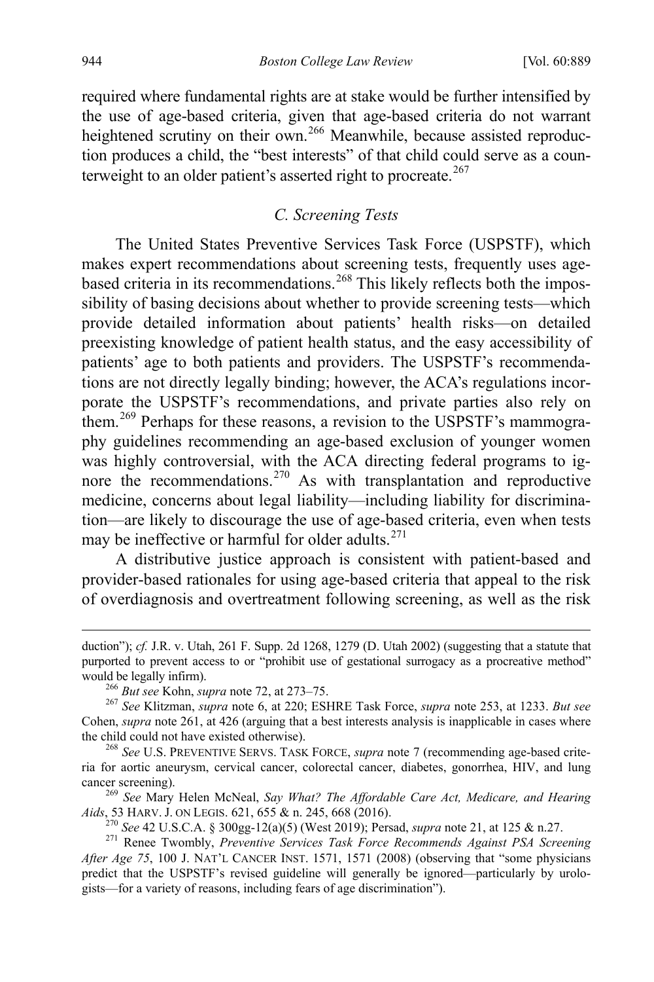required where fundamental rights are at stake would be further intensified by the use of age-based criteria, given that age-based criteria do not warrant heightened scrutiny on their own.<sup>[266](#page-57-0)</sup> Meanwhile, because assisted reproduction produces a child, the "best interests" of that child could serve as a coun-terweight to an older patient's asserted right to procreate.<sup>[267](#page-57-1)</sup>

# *C. Screening Tests*

The United States Preventive Services Task Force (USPSTF), which makes expert recommendations about screening tests, frequently uses age-based criteria in its recommendations.<sup>[268](#page-57-2)</sup> This likely reflects both the impossibility of basing decisions about whether to provide screening tests—which provide detailed information about patients' health risks—on detailed preexisting knowledge of patient health status, and the easy accessibility of patients' age to both patients and providers. The USPSTF's recommendations are not directly legally binding; however, the ACA's regulations incorporate the USPSTF's recommendations, and private parties also rely on them.<sup>[269](#page-57-3)</sup> Perhaps for these reasons, a revision to the USPSTF's mammography guidelines recommending an age-based exclusion of younger women was highly controversial, with the ACA directing federal programs to ig-nore the recommendations.<sup>[270](#page-57-4)</sup> As with transplantation and reproductive medicine, concerns about legal liability—including liability for discrimination—are likely to discourage the use of age-based criteria, even when tests may be ineffective or harmful for older adults. $271$ 

A distributive justice approach is consistent with patient-based and provider-based rationales for using age-based criteria that appeal to the risk of overdiagnosis and overtreatment following screening, as well as the risk

<span id="page-57-3"></span>Aids, 53 HARV. J. ON LEGIS. 6[21,](#page-7-6) 655 & n. 245, 668 (2016).<br>
<sup>270</sup> See 42 U.S.C.A. § 300gg-12(a)(5) (West 2019); Persad, *supra* note 21, at 125 & n.27.<br>
<sup>271</sup> Renee Twombly, *Preventive Services Task Force Recommends Agai* 

 $\overline{a}$ 

duction"); *cf.* J.R. v. Utah, 261 F. Supp. 2d 1268, 1279 (D. Utah 2002) (suggesting that a statute that purported to prevent access to or "prohibit use of gestational surrogacy as a procreative method" would be legally infirm). <sup>266</sup> *But see* Kohn, *supra* not[e 72,](#page-17-0) at 273–75. 267 *See* Klitzman, *supra* note [6,](#page-4-8) at 220; ESHRE Task Force, *supra* note [253,](#page-54-3) at 1233. *But see* 

<span id="page-57-1"></span><span id="page-57-0"></span>Cohen, *supra* note [261,](#page-55-7) at 426 (arguing that a best interests analysis is inapplicable in cases where the child could not have existed otherwise). <sup>268</sup> *See* U.S. PREVENTIVE SERVS. TASK FORCE, *supra* note [7](#page-4-7) (recommending age-based crite-

<span id="page-57-2"></span>ria for aortic aneurysm, cervical cancer, colorectal cancer, diabetes, gonorrhea, HIV, and lung cancer screening). <sup>269</sup> *See* Mary Helen McNeal, *Say What? The Affordable Care Act, Medicare, and Hearing* 

<span id="page-57-5"></span><span id="page-57-4"></span>*After Age 75*, 100 J. NAT'L CANCER INST. 1571, 1571 (2008) (observing that "some physicians predict that the USPSTF's revised guideline will generally be ignored—particularly by urologists—for a variety of reasons, including fears of age discrimination").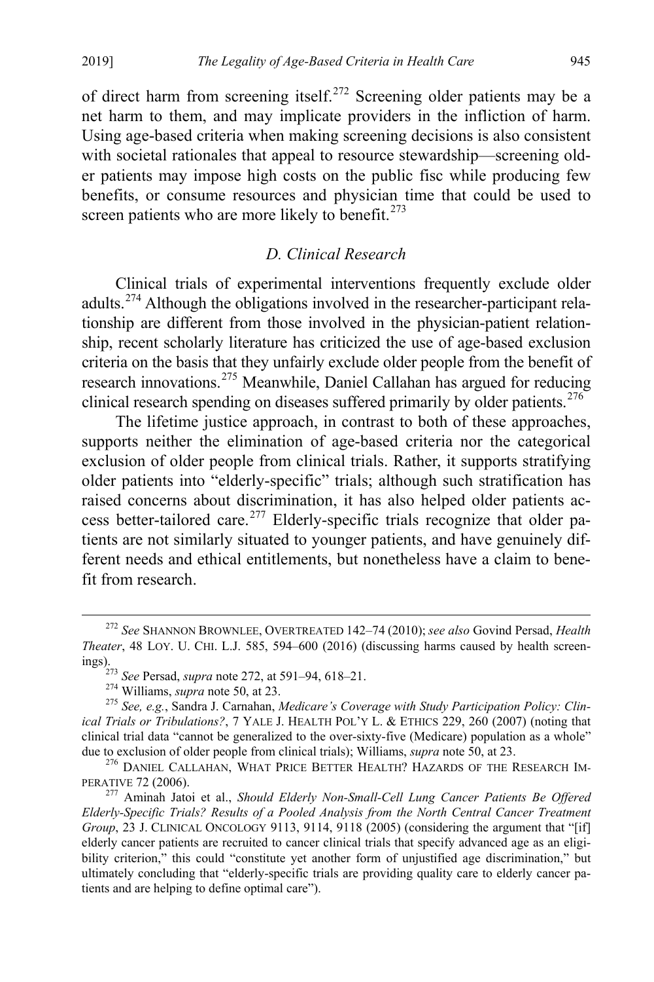of direct harm from screening itself.<sup>[272](#page-58-1)</sup> Screening older patients may be a net harm to them, and may implicate providers in the infliction of harm. Using age-based criteria when making screening decisions is also consistent with societal rationales that appeal to resource stewardship—screening older patients may impose high costs on the public fisc while producing few benefits, or consume resources and physician time that could be used to screen patients who are more likely to benefit. $273$ 

# <span id="page-58-0"></span>*D. Clinical Research*

Clinical trials of experimental interventions frequently exclude older adults.[274](#page-58-3) Although the obligations involved in the researcher-participant relationship are different from those involved in the physician-patient relationship, recent scholarly literature has criticized the use of age-based exclusion criteria on the basis that they unfairly exclude older people from the benefit of research innovations.[275](#page-58-4) Meanwhile, Daniel Callahan has argued for reducing clinical research spending on diseases suffered primarily by older patients.<sup>[276](#page-58-5)</sup>

The lifetime justice approach, in contrast to both of these approaches, supports neither the elimination of age-based criteria nor the categorical exclusion of older people from clinical trials. Rather, it supports stratifying older patients into "elderly-specific" trials; although such stratification has raised concerns about discrimination, it has also helped older patients ac-cess better-tailored care.<sup>[277](#page-58-6)</sup> Elderly-specific trials recognize that older patients are not similarly situated to younger patients, and have genuinely different needs and ethical entitlements, but nonetheless have a claim to benefit from research.

<span id="page-58-1"></span> <sup>272</sup> *See* SHANNON BROWNLEE, OVERTREATED 142–74 (2010); *see also* Govind Persad, *Health Theater*, 48 LOY. U. CHI. L.J. 585, 594–600 (2016) (discussing harms caused by health screenings).<br><sup>273</sup> See Persad, *supra* not[e 272,](#page-58-0) at 591–94, 618–21.<br><sup>274</sup> Williams, *supra* note [50,](#page-13-5) at 23.<br><sup>275</sup> See, e.g., Sandra J. Carnahan, *Medicare's Coverage with Study Participation Policy: Clin-*

<span id="page-58-4"></span><span id="page-58-3"></span><span id="page-58-2"></span>*ical Trials or Tribulations?*, 7 YALE J. HEALTH POL'Y L. & ETHICS 229, 260 (2007) (noting that clinical trial data "cannot be generalized to the over-sixty-five (Medicare) population as a whole" due to exclusion of older people from clinical trials); Williams, *supra* note 50, at 23.

<span id="page-58-5"></span><sup>&</sup>lt;sup>276</sup> DANIEL CALLAHAN, WHAT PRICE BETTER HEALTH? HAZARDS OF THE RESEARCH IMPERATIVE 72 (2006).

<span id="page-58-6"></span><sup>&</sup>lt;sup>277</sup> Aminah Jatoi et al., *Should Elderly Non-Small-Cell Lung Cancer Patients Be Offered Elderly-Specific Trials? Results of a Pooled Analysis from the North Central Cancer Treatment Group*, 23 J. CLINICAL ONCOLOGY 9113, 9114, 9118 (2005) (considering the argument that "[if] elderly cancer patients are recruited to cancer clinical trials that specify advanced age as an eligibility criterion," this could "constitute yet another form of unjustified age discrimination," but ultimately concluding that "elderly-specific trials are providing quality care to elderly cancer patients and are helping to define optimal care").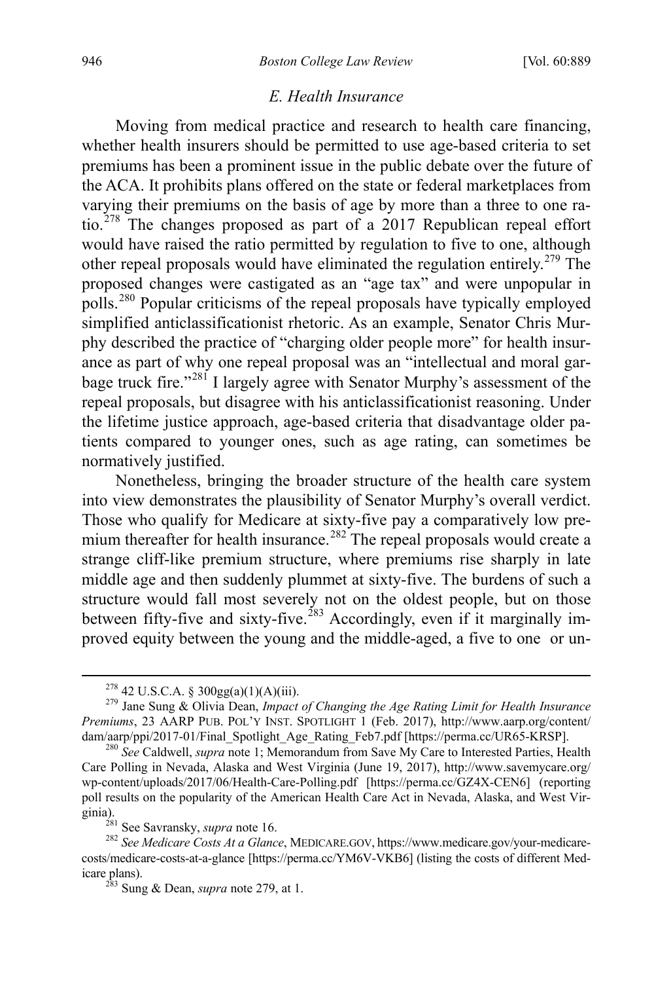# <span id="page-59-0"></span>*E. Health Insurance*

Moving from medical practice and research to health care financing, whether health insurers should be permitted to use age-based criteria to set premiums has been a prominent issue in the public debate over the future of the ACA. It prohibits plans offered on the state or federal marketplaces from varying their premiums on the basis of age by more than a three to one ratio.[278](#page-59-1) The changes proposed as part of a 2017 Republican repeal effort would have raised the ratio permitted by regulation to five to one, although other repeal proposals would have eliminated the regulation entirely.<sup>[279](#page-59-2)</sup> The proposed changes were castigated as an "age tax" and were unpopular in polls.[280](#page-59-3) Popular criticisms of the repeal proposals have typically employed simplified anticlassificationist rhetoric. As an example, Senator Chris Murphy described the practice of "charging older people more" for health insurance as part of why one repeal proposal was an "intellectual and moral gar-bage truck fire."<sup>[281](#page-59-4)</sup> I largely agree with Senator Murphy's assessment of the repeal proposals, but disagree with his anticlassificationist reasoning. Under the lifetime justice approach, age-based criteria that disadvantage older patients compared to younger ones, such as age rating, can sometimes be normatively justified.

Nonetheless, bringing the broader structure of the health care system into view demonstrates the plausibility of Senator Murphy's overall verdict. Those who qualify for Medicare at sixty-five pay a comparatively low pre-mium thereafter for health insurance.<sup>[282](#page-59-5)</sup> The repeal proposals would create a strange cliff-like premium structure, where premiums rise sharply in late middle age and then suddenly plummet at sixty-five. The burdens of such a structure would fall most severely not on the oldest people, but on those between fifty-five and sixty-five.<sup>[283](#page-59-6)</sup> Accordingly, even if it marginally improved equity between the young and the middle-aged, a five to one or un-

<span id="page-59-2"></span><span id="page-59-1"></span><sup>278</sup> 42 U.S.C.A. § 300gg(a)(1)(A)(iii). <sup>279</sup> Jane Sung & Olivia Dean, *Impact of Changing the Age Rating Limit for Health Insurance Premiums*, 23 AARP PUB. POL'Y INST. SPOTLIGHT 1 (Feb. 2017), http://www.aarp.org/content/ dam/aarp/ppi/2017-01/Final\_Spotlight\_Age\_Rating\_Feb7.pdf [https://perma.cc/UR65-KRSP]. <sup>280</sup> *See* Caldwell, *supra* not[e 1;](#page-3-2) Memorandum from Save My Care to Interested Parties, Health

<span id="page-59-3"></span>Care Polling in Nevada, Alaska and West Virginia (June 19, 2017), http://www.savemycare.org/ wp-content/uploads/2017/06/Health-Care-Polling.pdf [https://perma.cc/GZ4X-CEN6] (reporting poll results on the popularity of the American Health Care Act in Nevada, Alaska, and West Vir-<br>ginia).<br><sup>281</sup> See Savransky, *supra* note 16.

<span id="page-59-6"></span><span id="page-59-5"></span><span id="page-59-4"></span><sup>282</sup> See Medicare Costs At a Glance, MEDICARE.GOV, https://www.medicare.gov/your-medicarecosts/medicare-costs-at-a-glance [https://perma.cc/YM6V-VKB6] (listing the costs of different Medicare plans). <sup>283</sup> Sung & Dean, *supra* note [279,](#page-59-0) at 1.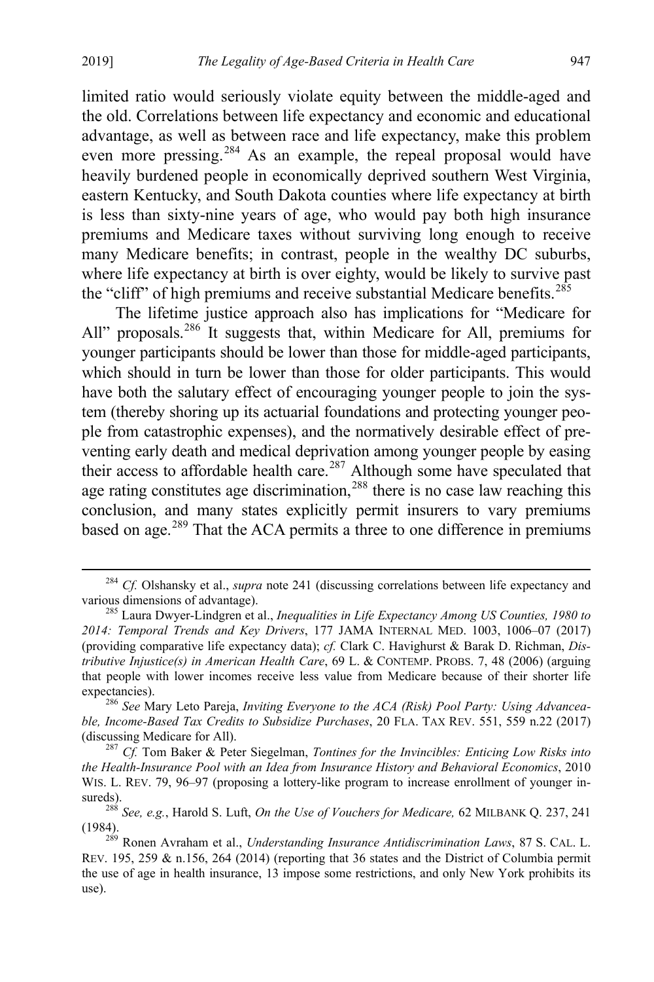limited ratio would seriously violate equity between the middle-aged and the old. Correlations between life expectancy and economic and educational advantage, as well as between race and life expectancy, make this problem even more pressing.<sup>[284](#page-60-0)</sup> As an example, the repeal proposal would have heavily burdened people in economically deprived southern West Virginia, eastern Kentucky, and South Dakota counties where life expectancy at birth is less than sixty-nine years of age, who would pay both high insurance premiums and Medicare taxes without surviving long enough to receive many Medicare benefits; in contrast, people in the wealthy DC suburbs, where life expectancy at birth is over eighty, would be likely to survive past the "cliff" of high premiums and receive substantial Medicare benefits.<sup>[285](#page-60-1)</sup>

<span id="page-60-6"></span>The lifetime justice approach also has implications for "Medicare for All" proposals.<sup>[286](#page-60-2)</sup> It suggests that, within Medicare for All, premiums for younger participants should be lower than those for middle-aged participants, which should in turn be lower than those for older participants. This would have both the salutary effect of encouraging younger people to join the system (thereby shoring up its actuarial foundations and protecting younger people from catastrophic expenses), and the normatively desirable effect of preventing early death and medical deprivation among younger people by easing their access to affordable health care.<sup>[287](#page-60-3)</sup> Although some have speculated that age rating constitutes age discrimination,  $288$  there is no case law reaching this conclusion, and many states explicitly permit insurers to vary premiums based on age.<sup>[289](#page-60-5)</sup> That the ACA permits a three to one difference in premiums

<span id="page-60-0"></span><sup>&</sup>lt;sup>284</sup> *Cf.* Olshansky et al., *supra* note [241](#page-51-4) (discussing correlations between life expectancy and various dimensions of advantage).

<span id="page-60-1"></span><sup>&</sup>lt;sup>285</sup> Laura Dwyer-Lindgren et al., *Inequalities in Life Expectancy Among US Counties, 1980 to 2014: Temporal Trends and Key Drivers*, 177 JAMA INTERNAL MED. 1003, 1006–07 (2017) (providing comparative life expectancy data); *cf.* Clark C. Havighurst & Barak D. Richman, *Distributive Injustice(s) in American Health Care*, 69 L. & CONTEMP. PROBS. 7, 48 (2006) (arguing that people with lower incomes receive less value from Medicare because of their shorter life

<span id="page-60-2"></span>expectancies).<br><sup>286</sup> See Mary Leto Pareja, *Inviting Everyone to the ACA (Risk) Pool Party: Using Advanceable, Income-Based Tax Credits to Subsidize Purchases*, 20 FLA. TAX REV. 551, 559 n.22 (2017) (discussing Medicare for All). 287 *Cf.* Tom Baker & Peter Siegelman, *Tontines for the Invincibles: Enticing Low Risks into* 

<span id="page-60-3"></span>*the Health-Insurance Pool with an Idea from Insurance History and Behavioral Economics*, 2010 WIS. L. REV. 79, 96–97 (proposing a lottery-like program to increase enrollment of younger in-

<span id="page-60-4"></span>sureds). <sup>288</sup> *See, e.g.*, Harold S. Luft, *On the Use of Vouchers for Medicare,* 62 MILBANK Q. 237, <sup>241</sup>

<span id="page-60-5"></span><sup>&</sup>lt;sup>289</sup> Ronen Avraham et al., *Understanding Insurance Antidiscrimination Laws*, 87 S. CAL. L. REV. 195, 259 & n.156, 264 (2014) (reporting that 36 states and the District of Columbia permit the use of age in health insurance, 13 impose some restrictions, and only New York prohibits its use).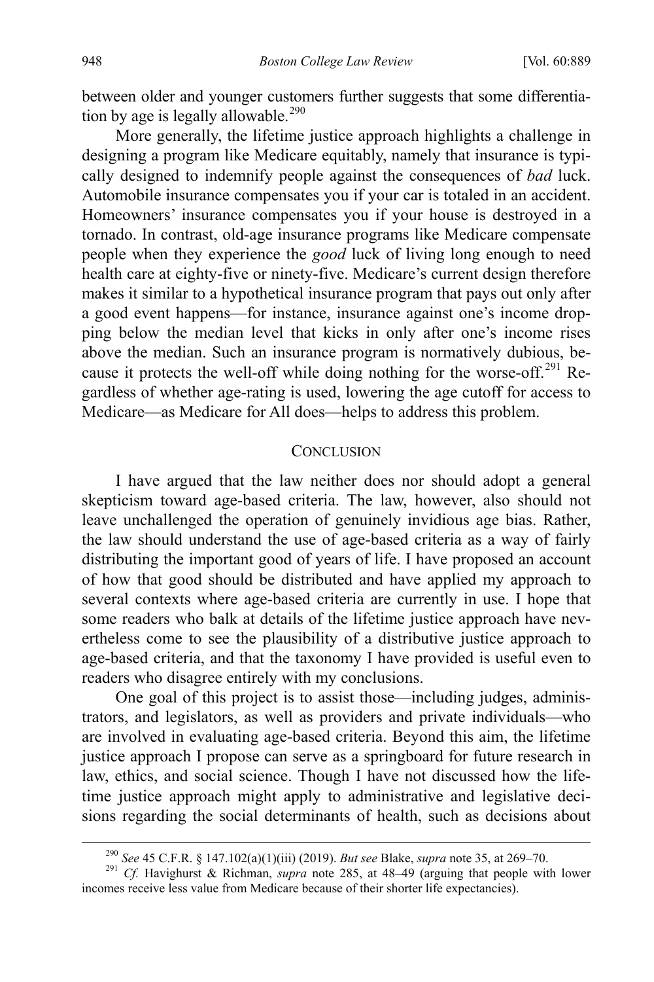between older and younger customers further suggests that some differentia-tion by age is legally allowable.<sup>[290](#page-61-1)</sup>

More generally, the lifetime justice approach highlights a challenge in designing a program like Medicare equitably, namely that insurance is typically designed to indemnify people against the consequences of *bad* luck. Automobile insurance compensates you if your car is totaled in an accident. Homeowners' insurance compensates you if your house is destroyed in a tornado. In contrast, old-age insurance programs like Medicare compensate people when they experience the *good* luck of living long enough to need health care at eighty-five or ninety-five. Medicare's current design therefore makes it similar to a hypothetical insurance program that pays out only after a good event happens—for instance, insurance against one's income dropping below the median level that kicks in only after one's income rises above the median. Such an insurance program is normatively dubious, because it protects the well-off while doing nothing for the worse-off.<sup>291</sup> Regardless of whether age-rating is used, lowering the age cutoff for access to Medicare—as Medicare for All does—helps to address this problem.

#### <span id="page-61-0"></span>**CONCLUSION**

I have argued that the law neither does nor should adopt a general skepticism toward age-based criteria. The law, however, also should not leave unchallenged the operation of genuinely invidious age bias. Rather, the law should understand the use of age-based criteria as a way of fairly distributing the important good of years of life. I have proposed an account of how that good should be distributed and have applied my approach to several contexts where age-based criteria are currently in use. I hope that some readers who balk at details of the lifetime justice approach have nevertheless come to see the plausibility of a distributive justice approach to age-based criteria, and that the taxonomy I have provided is useful even to readers who disagree entirely with my conclusions.

One goal of this project is to assist those—including judges, administrators, and legislators, as well as providers and private individuals—who are involved in evaluating age-based criteria. Beyond this aim, the lifetime justice approach I propose can serve as a springboard for future research in law, ethics, and social science. Though I have not discussed how the lifetime justice approach might apply to administrative and legislative decisions regarding the social determinants of health, such as decisions about

<sup>290</sup> *See* 45 C.F.R. § 147.102(a)(1)(iii) (2019). *But see* Blake, *supra* not[e 35,](#page-10-0) at 269–70. 291 *Cf.* Havighurst & Richman, *supra* note [285,](#page-60-6) at 48–49 (arguing that people with lower

<span id="page-61-2"></span><span id="page-61-1"></span>incomes receive less value from Medicare because of their shorter life expectancies).